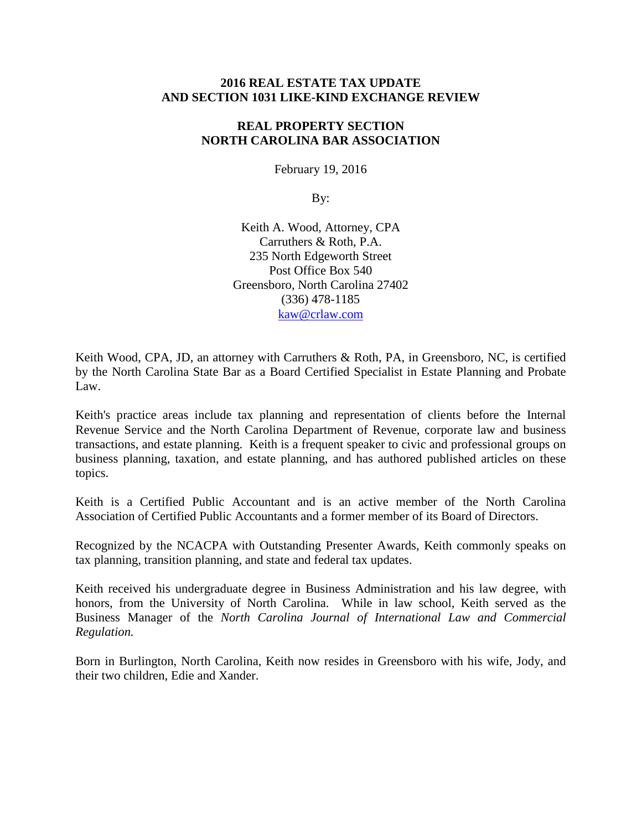## **2016 REAL ESTATE TAX UPDATE AND SECTION 1031 LIKE-KIND EXCHANGE REVIEW**

# **REAL PROPERTY SECTION NORTH CAROLINA BAR ASSOCIATION**

February 19, 2016

By:

Keith A. Wood, Attorney, CPA Carruthers & Roth, P.A. 235 North Edgeworth Street Post Office Box 540 Greensboro, North Carolina 27402 (336) 478-1185 [kaw@crlaw.com](mailto:kaw@crlaw.com)

Keith Wood, CPA, JD, an attorney with Carruthers & Roth, PA, in Greensboro, NC, is certified by the North Carolina State Bar as a Board Certified Specialist in Estate Planning and Probate Law.

Keith's practice areas include tax planning and representation of clients before the Internal Revenue Service and the North Carolina Department of Revenue, corporate law and business transactions, and estate planning. Keith is a frequent speaker to civic and professional groups on business planning, taxation, and estate planning, and has authored published articles on these topics.

Keith is a Certified Public Accountant and is an active member of the North Carolina Association of Certified Public Accountants and a former member of its Board of Directors.

Recognized by the NCACPA with Outstanding Presenter Awards, Keith commonly speaks on tax planning, transition planning, and state and federal tax updates.

Keith received his undergraduate degree in Business Administration and his law degree, with honors, from the University of North Carolina. While in law school, Keith served as the Business Manager of the *North Carolina Journal of International Law and Commercial Regulation.*

Born in Burlington, North Carolina, Keith now resides in Greensboro with his wife, Jody, and their two children, Edie and Xander.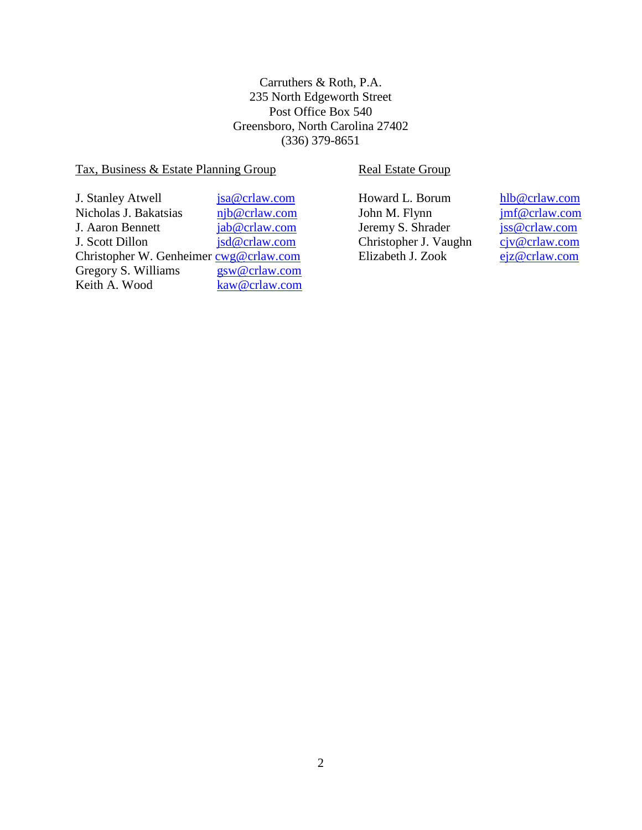Carruthers & Roth, P.A. 235 North Edgeworth Street Post Office Box 540 Greensboro, North Carolina 27402 (336) 379-8651

# Tax, Business & Estate Planning Group Real Estate Group

| jsa@crlaw.com                          |
|----------------------------------------|
| njb@crlaw.com                          |
| jab@crlaw.com                          |
| jsd@crlaw.com                          |
| Christopher W. Genheimer cwg@crlaw.com |
| gsw@crlaw.com                          |
| kaw@crlaw.com                          |
|                                        |

om Floward L. Borum Howard L. Borum [hlb@crlaw.com](mailto:hlb@crlaw.com)<br>
John M. Flynn her imf@crlaw.com nicom John M. Flynn imf@crlaw.com John M. Flynn [jmf@crlaw.com](mailto:jmf@crlaw.com) Frame S. Shrader <u>[jss@crlaw.com](mailto:jss@crlaw.com)</u><br>
S. Shrader <u>jss@crlaw.com</u> Christopher J. Vaughn cjv@crlaw.com Scott Christopher J. Vaughn civ@crlaw.com<br>Com Clizabeth J. Zook ciz@crlaw.com Christopher Christopher Christopher Christopher Christopher Christopher Christopher Christopher Christopher Ch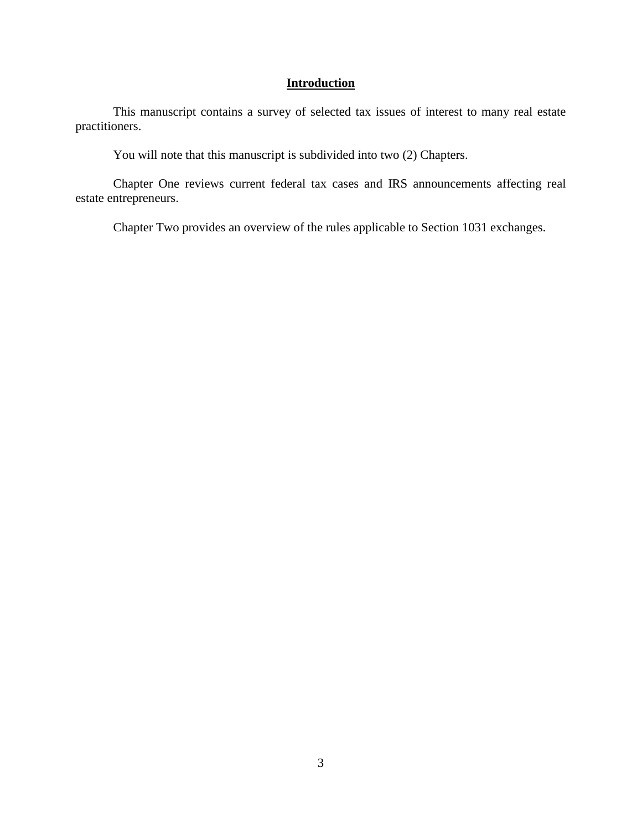# **Introduction**

This manuscript contains a survey of selected tax issues of interest to many real estate practitioners.

You will note that this manuscript is subdivided into two (2) Chapters.

Chapter One reviews current federal tax cases and IRS announcements affecting real estate entrepreneurs.

Chapter Two provides an overview of the rules applicable to Section 1031 exchanges.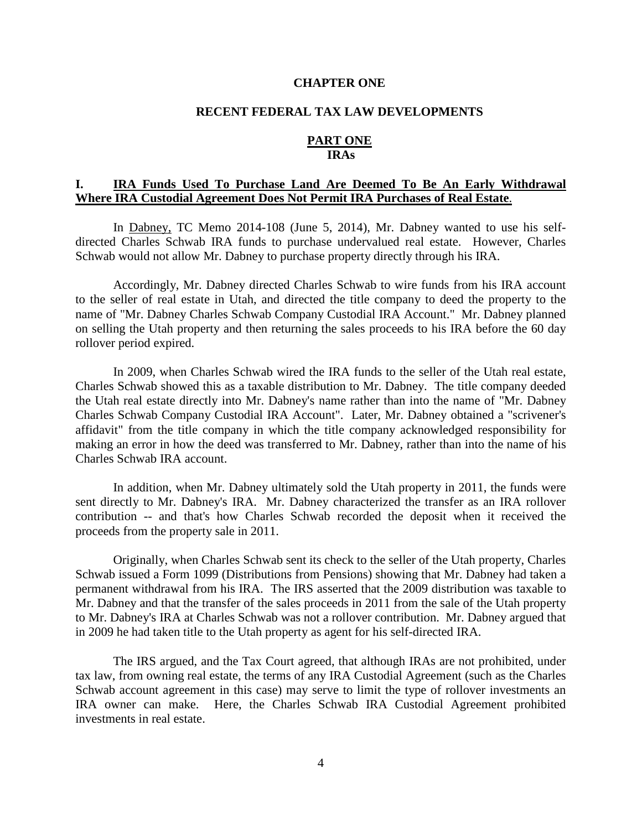#### **CHAPTER ONE**

#### **RECENT FEDERAL TAX LAW DEVELOPMENTS**

## **PART ONE IRAs**

## **I. IRA Funds Used To Purchase Land Are Deemed To Be An Early Withdrawal Where IRA Custodial Agreement Does Not Permit IRA Purchases of Real Estate**.

In Dabney, TC Memo 2014-108 (June 5, 2014), Mr. Dabney wanted to use his selfdirected Charles Schwab IRA funds to purchase undervalued real estate. However, Charles Schwab would not allow Mr. Dabney to purchase property directly through his IRA.

Accordingly, Mr. Dabney directed Charles Schwab to wire funds from his IRA account to the seller of real estate in Utah, and directed the title company to deed the property to the name of "Mr. Dabney Charles Schwab Company Custodial IRA Account." Mr. Dabney planned on selling the Utah property and then returning the sales proceeds to his IRA before the 60 day rollover period expired.

In 2009, when Charles Schwab wired the IRA funds to the seller of the Utah real estate, Charles Schwab showed this as a taxable distribution to Mr. Dabney. The title company deeded the Utah real estate directly into Mr. Dabney's name rather than into the name of "Mr. Dabney Charles Schwab Company Custodial IRA Account". Later, Mr. Dabney obtained a "scrivener's affidavit" from the title company in which the title company acknowledged responsibility for making an error in how the deed was transferred to Mr. Dabney, rather than into the name of his Charles Schwab IRA account.

In addition, when Mr. Dabney ultimately sold the Utah property in 2011, the funds were sent directly to Mr. Dabney's IRA. Mr. Dabney characterized the transfer as an IRA rollover contribution -- and that's how Charles Schwab recorded the deposit when it received the proceeds from the property sale in 2011.

Originally, when Charles Schwab sent its check to the seller of the Utah property, Charles Schwab issued a Form 1099 (Distributions from Pensions) showing that Mr. Dabney had taken a permanent withdrawal from his IRA. The IRS asserted that the 2009 distribution was taxable to Mr. Dabney and that the transfer of the sales proceeds in 2011 from the sale of the Utah property to Mr. Dabney's IRA at Charles Schwab was not a rollover contribution. Mr. Dabney argued that in 2009 he had taken title to the Utah property as agent for his self-directed IRA.

The IRS argued, and the Tax Court agreed, that although IRAs are not prohibited, under tax law, from owning real estate, the terms of any IRA Custodial Agreement (such as the Charles Schwab account agreement in this case) may serve to limit the type of rollover investments an IRA owner can make. Here, the Charles Schwab IRA Custodial Agreement prohibited investments in real estate.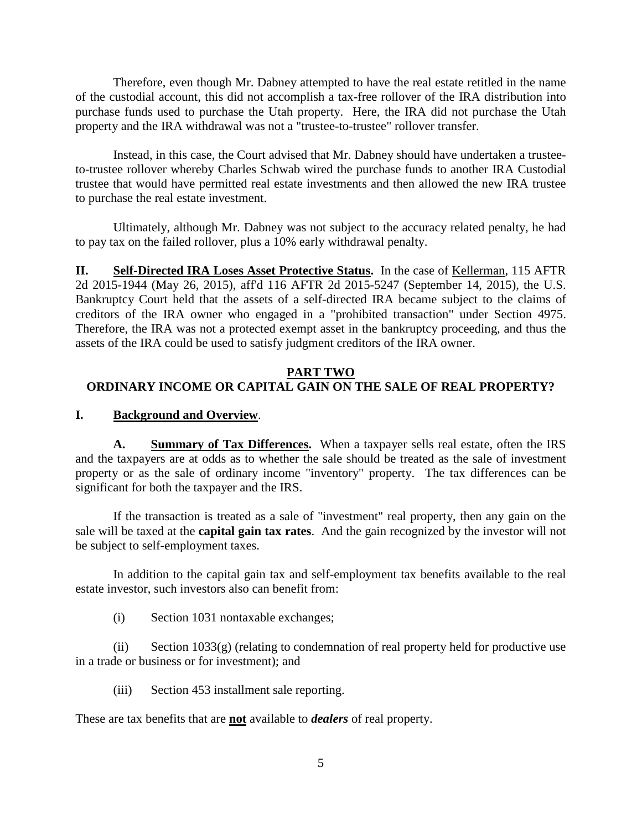Therefore, even though Mr. Dabney attempted to have the real estate retitled in the name of the custodial account, this did not accomplish a tax-free rollover of the IRA distribution into purchase funds used to purchase the Utah property. Here, the IRA did not purchase the Utah property and the IRA withdrawal was not a "trustee-to-trustee" rollover transfer.

Instead, in this case, the Court advised that Mr. Dabney should have undertaken a trusteeto-trustee rollover whereby Charles Schwab wired the purchase funds to another IRA Custodial trustee that would have permitted real estate investments and then allowed the new IRA trustee to purchase the real estate investment.

Ultimately, although Mr. Dabney was not subject to the accuracy related penalty, he had to pay tax on the failed rollover, plus a 10% early withdrawal penalty.

**II. Self-Directed IRA Loses Asset Protective Status.** In the case of Kellerman, 115 AFTR 2d 2015-1944 (May 26, 2015), aff'd 116 AFTR 2d 2015-5247 (September 14, 2015), the U.S. Bankruptcy Court held that the assets of a self-directed IRA became subject to the claims of creditors of the IRA owner who engaged in a "prohibited transaction" under Section 4975. Therefore, the IRA was not a protected exempt asset in the bankruptcy proceeding, and thus the assets of the IRA could be used to satisfy judgment creditors of the IRA owner.

## **PART TWO ORDINARY INCOME OR CAPITAL GAIN ON THE SALE OF REAL PROPERTY?**

# **I. Background and Overview**.

**A. Summary of Tax Differences.** When a taxpayer sells real estate, often the IRS and the taxpayers are at odds as to whether the sale should be treated as the sale of investment property or as the sale of ordinary income "inventory" property. The tax differences can be significant for both the taxpayer and the IRS.

If the transaction is treated as a sale of "investment" real property, then any gain on the sale will be taxed at the **capital gain tax rates**. And the gain recognized by the investor will not be subject to self-employment taxes.

In addition to the capital gain tax and self-employment tax benefits available to the real estate investor, such investors also can benefit from:

(i) Section 1031 nontaxable exchanges;

(ii) Section  $1033(g)$  (relating to condemnation of real property held for productive use in a trade or business or for investment); and

(iii) Section 453 installment sale reporting.

These are tax benefits that are **not** available to *dealers* of real property.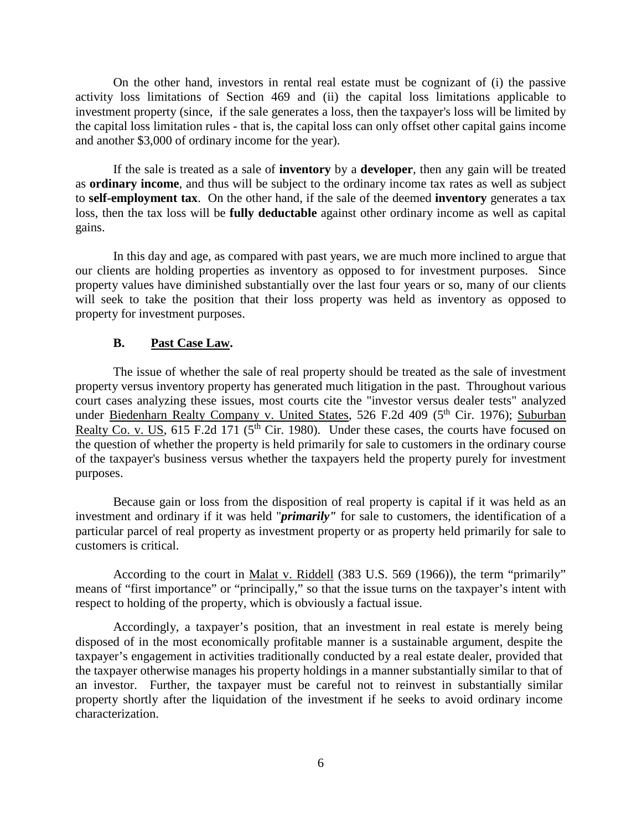On the other hand, investors in rental real estate must be cognizant of (i) the passive activity loss limitations of Section 469 and (ii) the capital loss limitations applicable to investment property (since, if the sale generates a loss, then the taxpayer's loss will be limited by the capital loss limitation rules - that is, the capital loss can only offset other capital gains income and another \$3,000 of ordinary income for the year).

If the sale is treated as a sale of **inventory** by a **developer**, then any gain will be treated as **ordinary income**, and thus will be subject to the ordinary income tax rates as well as subject to **self-employment tax**. On the other hand, if the sale of the deemed **inventory** generates a tax loss, then the tax loss will be **fully deductable** against other ordinary income as well as capital gains.

In this day and age, as compared with past years, we are much more inclined to argue that our clients are holding properties as inventory as opposed to for investment purposes. Since property values have diminished substantially over the last four years or so, many of our clients will seek to take the position that their loss property was held as inventory as opposed to property for investment purposes.

#### **B. Past Case Law.**

The issue of whether the sale of real property should be treated as the sale of investment property versus inventory property has generated much litigation in the past. Throughout various court cases analyzing these issues, most courts cite the "investor versus dealer tests" analyzed under Biedenharn Realty Company v. United States, 526 F.2d 409 (5<sup>th</sup> Cir. 1976); Suburban Realty Co. v. US, 615 F.2d 171 ( $5<sup>th</sup>$  Cir. 1980). Under these cases, the courts have focused on the question of whether the property is held primarily for sale to customers in the ordinary course of the taxpayer's business versus whether the taxpayers held the property purely for investment purposes.

Because gain or loss from the disposition of real property is capital if it was held as an investment and ordinary if it was held "*primarily"* for sale to customers, the identification of a particular parcel of real property as investment property or as property held primarily for sale to customers is critical.

According to the court in Malat v. Riddell (383 U.S. 569 (1966)), the term "primarily" means of "first importance" or "principally," so that the issue turns on the taxpayer's intent with respect to holding of the property, which is obviously a factual issue.

Accordingly, a taxpayer's position, that an investment in real estate is merely being disposed of in the most economically profitable manner is a sustainable argument, despite the taxpayer's engagement in activities traditionally conducted by a real estate dealer, provided that the taxpayer otherwise manages his property holdings in a manner substantially similar to that of an investor. Further, the taxpayer must be careful not to reinvest in substantially similar property shortly after the liquidation of the investment if he seeks to avoid ordinary income characterization.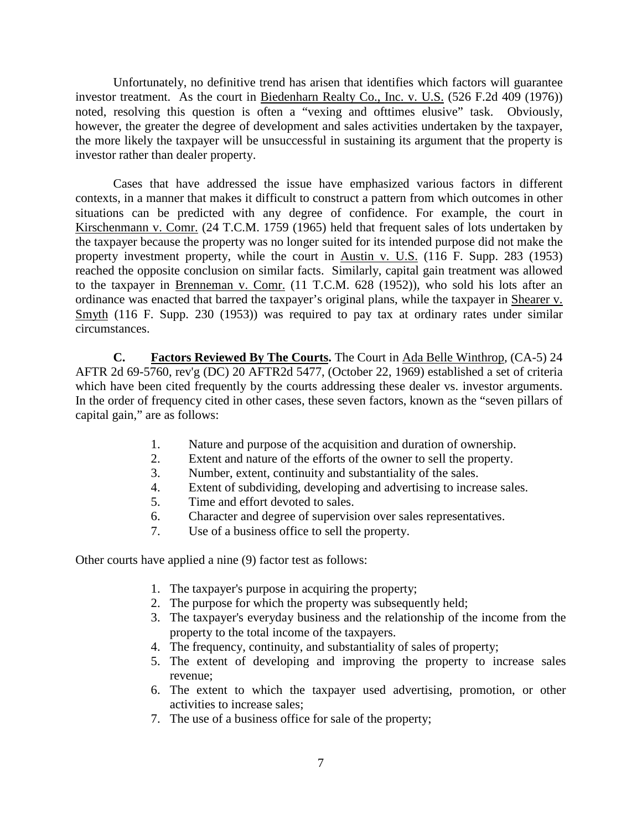Unfortunately, no definitive trend has arisen that identifies which factors will guarantee investor treatment. As the court in Biedenharn Realty Co., Inc. v. U.S. (526 F.2d 409 (1976)) noted, resolving this question is often a "vexing and ofttimes elusive" task. Obviously, however, the greater the degree of development and sales activities undertaken by the taxpayer, the more likely the taxpayer will be unsuccessful in sustaining its argument that the property is investor rather than dealer property.

Cases that have addressed the issue have emphasized various factors in different contexts, in a manner that makes it difficult to construct a pattern from which outcomes in other situations can be predicted with any degree of confidence. For example, the court in Kirschenmann v. Comr. (24 T.C.M. 1759 (1965) held that frequent sales of lots undertaken by the taxpayer because the property was no longer suited for its intended purpose did not make the property investment property, while the court in Austin v. U.S. (116 F. Supp. 283 (1953) reached the opposite conclusion on similar facts. Similarly, capital gain treatment was allowed to the taxpayer in Brenneman v. Comr. (11 T.C.M. 628 (1952)), who sold his lots after an ordinance was enacted that barred the taxpayer's original plans, while the taxpayer in Shearer v. Smyth (116 F. Supp. 230 (1953)) was required to pay tax at ordinary rates under similar circumstances.

**C. Factors Reviewed By The Courts.** The Court in Ada Belle Winthrop*,* (CA-5) 24 AFTR 2d 69-5760, rev'g (DC) 20 AFTR2d 5477, (October 22, 1969) established a set of criteria which have been cited frequently by the courts addressing these dealer vs. investor arguments. In the order of frequency cited in other cases, these seven factors, known as the "seven pillars of capital gain," are as follows:

- 1. Nature and purpose of the acquisition and duration of ownership.
- 2. Extent and nature of the efforts of the owner to sell the property.
- 3. Number, extent, continuity and substantiality of the sales.
- 4. Extent of subdividing, developing and advertising to increase sales.
- 5. Time and effort devoted to sales.
- 6. Character and degree of supervision over sales representatives.<br>7. Use of a business office to sell the property.
- Use of a business office to sell the property.

Other courts have applied a nine (9) factor test as follows:

- 1. The taxpayer's purpose in acquiring the property;
- 2. The purpose for which the property was subsequently held;
- 3. The taxpayer's everyday business and the relationship of the income from the property to the total income of the taxpayers.
- 4. The frequency, continuity, and substantiality of sales of property;
- 5. The extent of developing and improving the property to increase sales revenue;
- 6. The extent to which the taxpayer used advertising, promotion, or other activities to increase sales;
- 7. The use of a business office for sale of the property;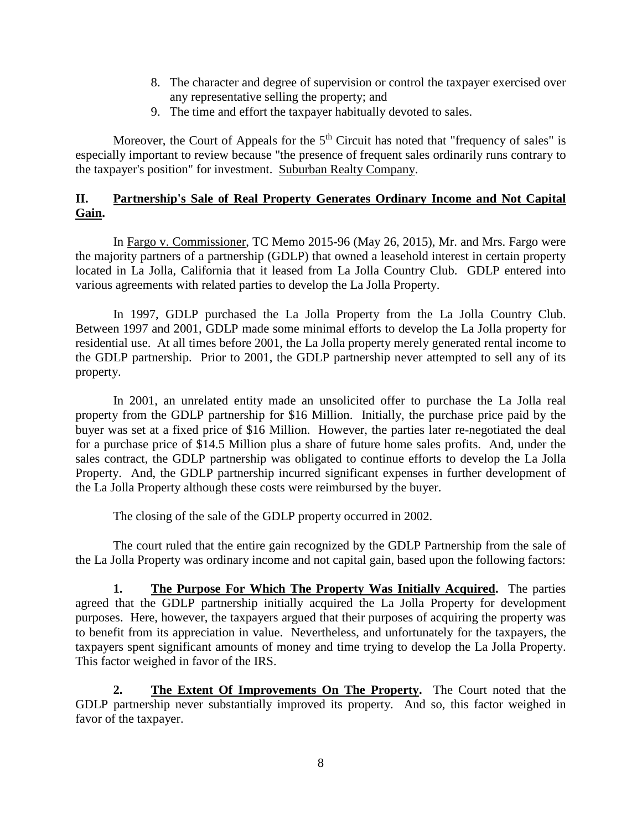- 8. The character and degree of supervision or control the taxpayer exercised over any representative selling the property; and
- 9. The time and effort the taxpayer habitually devoted to sales.

Moreover, the Court of Appeals for the  $5<sup>th</sup>$  Circuit has noted that "frequency of sales" is especially important to review because "the presence of frequent sales ordinarily runs contrary to the taxpayer's position" for investment. Suburban Realty Company.

# **II. Partnership's Sale of Real Property Generates Ordinary Income and Not Capital Gain.**

In Fargo v. Commissioner, TC Memo 2015-96 (May 26, 2015), Mr. and Mrs. Fargo were the majority partners of a partnership (GDLP) that owned a leasehold interest in certain property located in La Jolla, California that it leased from La Jolla Country Club. GDLP entered into various agreements with related parties to develop the La Jolla Property.

In 1997, GDLP purchased the La Jolla Property from the La Jolla Country Club. Between 1997 and 2001, GDLP made some minimal efforts to develop the La Jolla property for residential use. At all times before 2001, the La Jolla property merely generated rental income to the GDLP partnership. Prior to 2001, the GDLP partnership never attempted to sell any of its property.

In 2001, an unrelated entity made an unsolicited offer to purchase the La Jolla real property from the GDLP partnership for \$16 Million. Initially, the purchase price paid by the buyer was set at a fixed price of \$16 Million. However, the parties later re-negotiated the deal for a purchase price of \$14.5 Million plus a share of future home sales profits. And, under the sales contract, the GDLP partnership was obligated to continue efforts to develop the La Jolla Property. And, the GDLP partnership incurred significant expenses in further development of the La Jolla Property although these costs were reimbursed by the buyer.

The closing of the sale of the GDLP property occurred in 2002.

The court ruled that the entire gain recognized by the GDLP Partnership from the sale of the La Jolla Property was ordinary income and not capital gain, based upon the following factors:

**1. The Purpose For Which The Property Was Initially Acquired.** The parties agreed that the GDLP partnership initially acquired the La Jolla Property for development purposes. Here, however, the taxpayers argued that their purposes of acquiring the property was to benefit from its appreciation in value. Nevertheless, and unfortunately for the taxpayers, the taxpayers spent significant amounts of money and time trying to develop the La Jolla Property. This factor weighed in favor of the IRS.

**2. The Extent Of Improvements On The Property.** The Court noted that the GDLP partnership never substantially improved its property. And so, this factor weighed in favor of the taxpayer.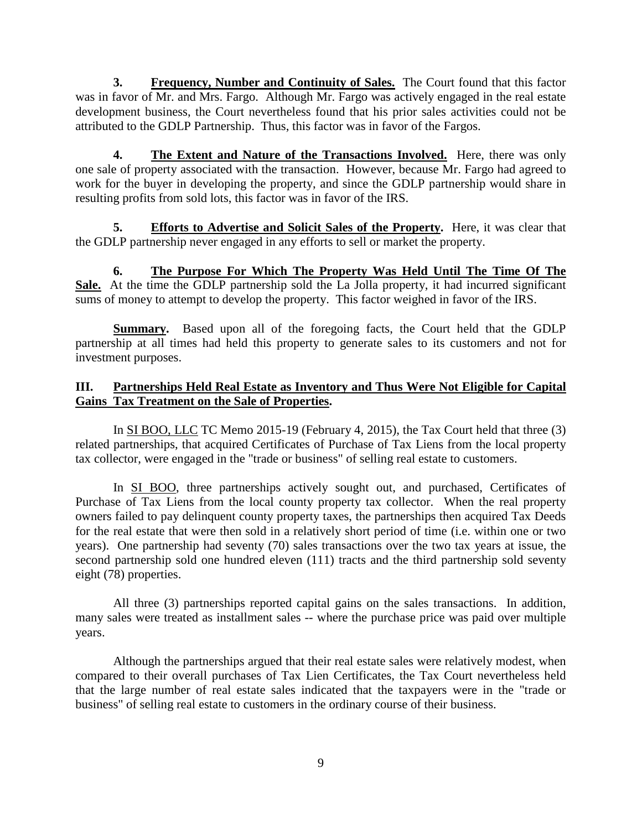**3. Frequency, Number and Continuity of Sales.** The Court found that this factor was in favor of Mr. and Mrs. Fargo. Although Mr. Fargo was actively engaged in the real estate development business, the Court nevertheless found that his prior sales activities could not be attributed to the GDLP Partnership. Thus, this factor was in favor of the Fargos.

**4. The Extent and Nature of the Transactions Involved.** Here, there was only one sale of property associated with the transaction. However, because Mr. Fargo had agreed to work for the buyer in developing the property, and since the GDLP partnership would share in resulting profits from sold lots, this factor was in favor of the IRS.

**5. Efforts to Advertise and Solicit Sales of the Property.** Here, it was clear that the GDLP partnership never engaged in any efforts to sell or market the property.

**6. The Purpose For Which The Property Was Held Until The Time Of The**  Sale. At the time the GDLP partnership sold the La Jolla property, it had incurred significant sums of money to attempt to develop the property. This factor weighed in favor of the IRS.

**Summary.** Based upon all of the foregoing facts, the Court held that the GDLP partnership at all times had held this property to generate sales to its customers and not for investment purposes.

# **III. Partnerships Held Real Estate as Inventory and Thus Were Not Eligible for Capital Gains Tax Treatment on the Sale of Properties.**

In SI BOO, LLC TC Memo 2015-19 (February 4, 2015), the Tax Court held that three (3) related partnerships, that acquired Certificates of Purchase of Tax Liens from the local property tax collector, were engaged in the "trade or business" of selling real estate to customers.

In SI BOO, three partnerships actively sought out, and purchased, Certificates of Purchase of Tax Liens from the local county property tax collector. When the real property owners failed to pay delinquent county property taxes, the partnerships then acquired Tax Deeds for the real estate that were then sold in a relatively short period of time (i.e. within one or two years). One partnership had seventy (70) sales transactions over the two tax years at issue, the second partnership sold one hundred eleven (111) tracts and the third partnership sold seventy eight (78) properties.

All three (3) partnerships reported capital gains on the sales transactions. In addition, many sales were treated as installment sales -- where the purchase price was paid over multiple years.

Although the partnerships argued that their real estate sales were relatively modest, when compared to their overall purchases of Tax Lien Certificates, the Tax Court nevertheless held that the large number of real estate sales indicated that the taxpayers were in the "trade or business" of selling real estate to customers in the ordinary course of their business.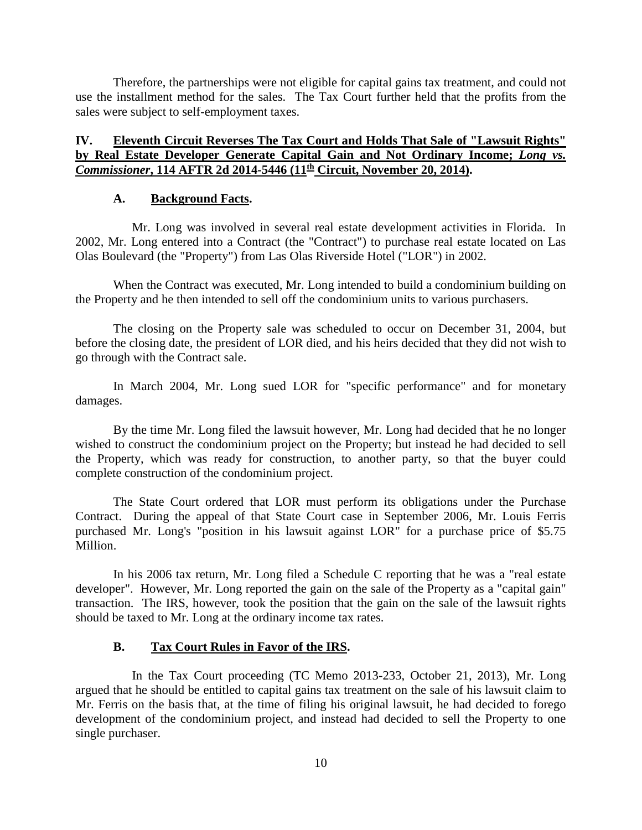Therefore, the partnerships were not eligible for capital gains tax treatment, and could not use the installment method for the sales. The Tax Court further held that the profits from the sales were subject to self-employment taxes.

# **IV. Eleventh Circuit Reverses The Tax Court and Holds That Sale of "Lawsuit Rights" by Real Estate Developer Generate Capital Gain and Not Ordinary Income;** *Long vs. Commissioner***, 114 AFTR 2d 2014-5446 (11th Circuit, November 20, 2014).**

#### **A. Background Facts.**

Mr. Long was involved in several real estate development activities in Florida. In 2002, Mr. Long entered into a Contract (the "Contract") to purchase real estate located on Las Olas Boulevard (the "Property") from Las Olas Riverside Hotel ("LOR") in 2002.

When the Contract was executed, Mr. Long intended to build a condominium building on the Property and he then intended to sell off the condominium units to various purchasers.

The closing on the Property sale was scheduled to occur on December 31, 2004, but before the closing date, the president of LOR died, and his heirs decided that they did not wish to go through with the Contract sale.

In March 2004, Mr. Long sued LOR for "specific performance" and for monetary damages.

By the time Mr. Long filed the lawsuit however, Mr. Long had decided that he no longer wished to construct the condominium project on the Property; but instead he had decided to sell the Property, which was ready for construction, to another party, so that the buyer could complete construction of the condominium project.

The State Court ordered that LOR must perform its obligations under the Purchase Contract. During the appeal of that State Court case in September 2006, Mr. Louis Ferris purchased Mr. Long's "position in his lawsuit against LOR" for a purchase price of \$5.75 Million.

In his 2006 tax return, Mr. Long filed a Schedule C reporting that he was a "real estate developer". However, Mr. Long reported the gain on the sale of the Property as a "capital gain" transaction. The IRS, however, took the position that the gain on the sale of the lawsuit rights should be taxed to Mr. Long at the ordinary income tax rates.

## **B. Tax Court Rules in Favor of the IRS.**

In the Tax Court proceeding (TC Memo 2013-233, October 21, 2013), Mr. Long argued that he should be entitled to capital gains tax treatment on the sale of his lawsuit claim to Mr. Ferris on the basis that, at the time of filing his original lawsuit, he had decided to forego development of the condominium project, and instead had decided to sell the Property to one single purchaser.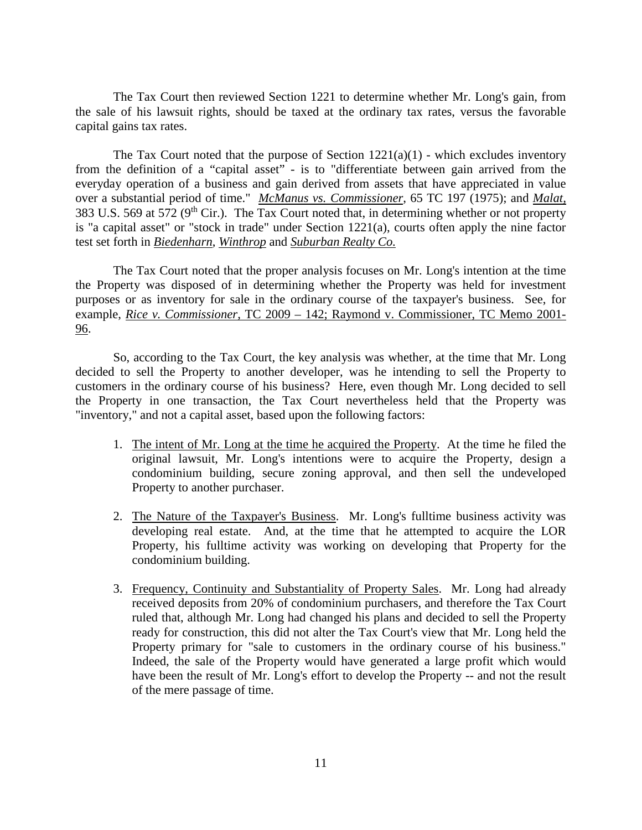The Tax Court then reviewed Section 1221 to determine whether Mr. Long's gain, from the sale of his lawsuit rights, should be taxed at the ordinary tax rates, versus the favorable capital gains tax rates.

The Tax Court noted that the purpose of Section  $1221(a)(1)$  - which excludes inventory from the definition of a "capital asset" - is to "differentiate between gain arrived from the everyday operation of a business and gain derived from assets that have appreciated in value over a substantial period of time." *McManus vs. Commissioner*, 65 TC 197 (1975); and *Malat,* 383 U.S. 569 at 572 ( $9<sup>th</sup>$  Cir.). The Tax Court noted that, in determining whether or not property is "a capital asset" or "stock in trade" under Section 1221(a), courts often apply the nine factor test set forth in *Biedenharn*, *Winthrop* and *Suburban Realty Co.*

The Tax Court noted that the proper analysis focuses on Mr. Long's intention at the time the Property was disposed of in determining whether the Property was held for investment purposes or as inventory for sale in the ordinary course of the taxpayer's business. See, for example, *Rice v. Commissioner*, TC 2009 – 142; Raymond v. Commissioner, TC Memo 2001- 96.

So, according to the Tax Court, the key analysis was whether, at the time that Mr. Long decided to sell the Property to another developer, was he intending to sell the Property to customers in the ordinary course of his business? Here, even though Mr. Long decided to sell the Property in one transaction, the Tax Court nevertheless held that the Property was "inventory," and not a capital asset, based upon the following factors:

- 1. The intent of Mr. Long at the time he acquired the Property. At the time he filed the original lawsuit, Mr. Long's intentions were to acquire the Property, design a condominium building, secure zoning approval, and then sell the undeveloped Property to another purchaser.
- 2. The Nature of the Taxpayer's Business. Mr. Long's fulltime business activity was developing real estate. And, at the time that he attempted to acquire the LOR Property, his fulltime activity was working on developing that Property for the condominium building.
- 3. Frequency, Continuity and Substantiality of Property Sales. Mr. Long had already received deposits from 20% of condominium purchasers, and therefore the Tax Court ruled that, although Mr. Long had changed his plans and decided to sell the Property ready for construction, this did not alter the Tax Court's view that Mr. Long held the Property primary for "sale to customers in the ordinary course of his business." Indeed, the sale of the Property would have generated a large profit which would have been the result of Mr. Long's effort to develop the Property -- and not the result of the mere passage of time.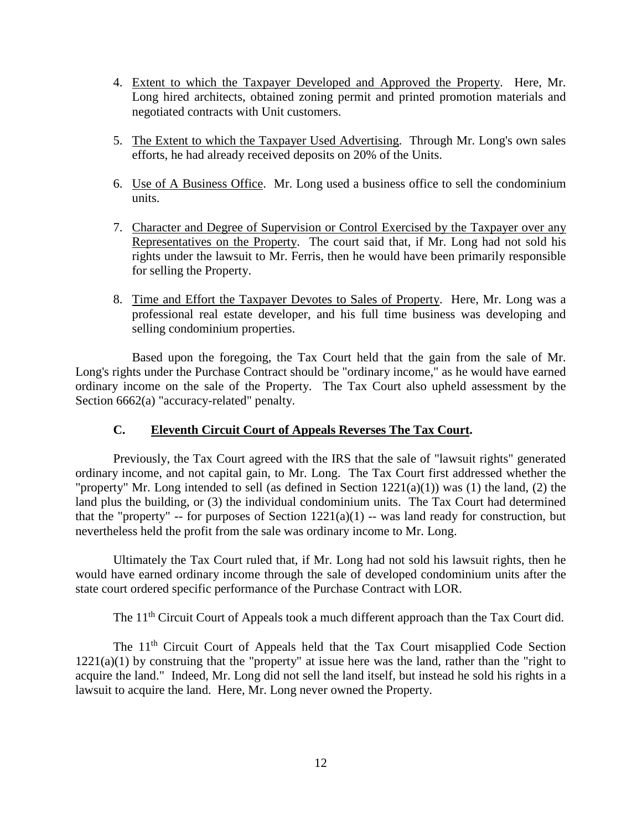- 4. Extent to which the Taxpayer Developed and Approved the Property. Here, Mr. Long hired architects, obtained zoning permit and printed promotion materials and negotiated contracts with Unit customers.
- 5. The Extent to which the Taxpayer Used Advertising. Through Mr. Long's own sales efforts, he had already received deposits on 20% of the Units.
- 6. Use of A Business Office. Mr. Long used a business office to sell the condominium units.
- 7. Character and Degree of Supervision or Control Exercised by the Taxpayer over any Representatives on the Property. The court said that, if Mr. Long had not sold his rights under the lawsuit to Mr. Ferris, then he would have been primarily responsible for selling the Property.
- 8. Time and Effort the Taxpayer Devotes to Sales of Property. Here, Mr. Long was a professional real estate developer, and his full time business was developing and selling condominium properties.

Based upon the foregoing, the Tax Court held that the gain from the sale of Mr. Long's rights under the Purchase Contract should be "ordinary income," as he would have earned ordinary income on the sale of the Property. The Tax Court also upheld assessment by the Section 6662(a) "accuracy-related" penalty.

# **C. Eleventh Circuit Court of Appeals Reverses The Tax Court.**

Previously, the Tax Court agreed with the IRS that the sale of "lawsuit rights" generated ordinary income, and not capital gain, to Mr. Long. The Tax Court first addressed whether the "property" Mr. Long intended to sell (as defined in Section  $1221(a)(1)$ ) was (1) the land, (2) the land plus the building, or (3) the individual condominium units. The Tax Court had determined that the "property" -- for purposes of Section  $1221(a)(1)$  -- was land ready for construction, but nevertheless held the profit from the sale was ordinary income to Mr. Long.

Ultimately the Tax Court ruled that, if Mr. Long had not sold his lawsuit rights, then he would have earned ordinary income through the sale of developed condominium units after the state court ordered specific performance of the Purchase Contract with LOR.

The 11<sup>th</sup> Circuit Court of Appeals took a much different approach than the Tax Court did.

The 11<sup>th</sup> Circuit Court of Appeals held that the Tax Court misapplied Code Section  $1221(a)(1)$  by construing that the "property" at issue here was the land, rather than the "right to" acquire the land." Indeed, Mr. Long did not sell the land itself, but instead he sold his rights in a lawsuit to acquire the land. Here, Mr. Long never owned the Property.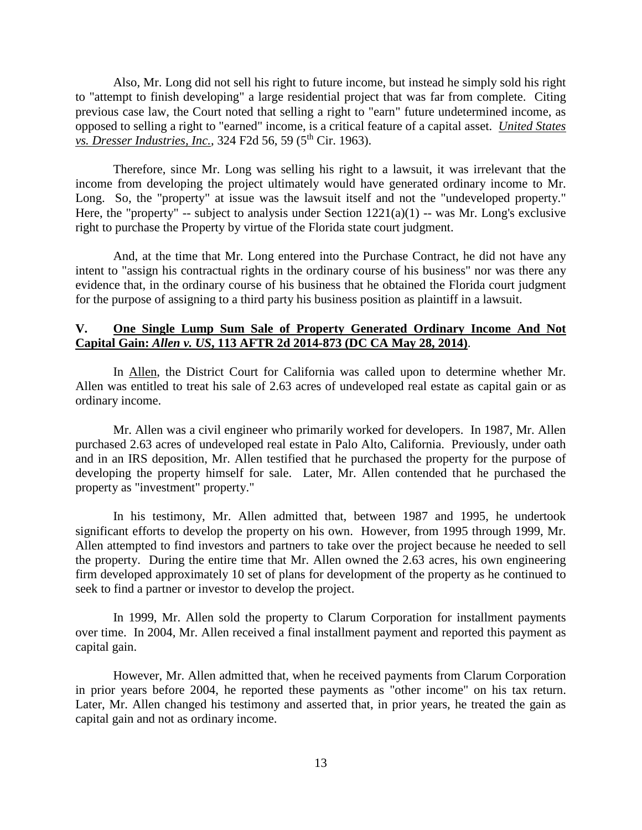Also, Mr. Long did not sell his right to future income, but instead he simply sold his right to "attempt to finish developing" a large residential project that was far from complete. Citing previous case law, the Court noted that selling a right to "earn" future undetermined income, as opposed to selling a right to "earned" income, is a critical feature of a capital asset. *United States vs. Dresser Industries, Inc., 324 F2d 56, 59 (5<sup>th</sup> Cir. 1963).* 

Therefore, since Mr. Long was selling his right to a lawsuit, it was irrelevant that the income from developing the project ultimately would have generated ordinary income to Mr. Long. So, the "property" at issue was the lawsuit itself and not the "undeveloped property." Here, the "property" -- subject to analysis under Section  $1221(a)(1)$  -- was Mr. Long's exclusive right to purchase the Property by virtue of the Florida state court judgment.

And, at the time that Mr. Long entered into the Purchase Contract, he did not have any intent to "assign his contractual rights in the ordinary course of his business" nor was there any evidence that, in the ordinary course of his business that he obtained the Florida court judgment for the purpose of assigning to a third party his business position as plaintiff in a lawsuit.

## **V. One Single Lump Sum Sale of Property Generated Ordinary Income And Not Capital Gain:** *Allen v. US***, 113 AFTR 2d 2014-873 (DC CA May 28, 2014)**.

In Allen, the District Court for California was called upon to determine whether Mr. Allen was entitled to treat his sale of 2.63 acres of undeveloped real estate as capital gain or as ordinary income.

Mr. Allen was a civil engineer who primarily worked for developers. In 1987, Mr. Allen purchased 2.63 acres of undeveloped real estate in Palo Alto, California. Previously, under oath and in an IRS deposition, Mr. Allen testified that he purchased the property for the purpose of developing the property himself for sale. Later, Mr. Allen contended that he purchased the property as "investment" property."

In his testimony, Mr. Allen admitted that, between 1987 and 1995, he undertook significant efforts to develop the property on his own. However, from 1995 through 1999, Mr. Allen attempted to find investors and partners to take over the project because he needed to sell the property. During the entire time that Mr. Allen owned the 2.63 acres, his own engineering firm developed approximately 10 set of plans for development of the property as he continued to seek to find a partner or investor to develop the project.

In 1999, Mr. Allen sold the property to Clarum Corporation for installment payments over time. In 2004, Mr. Allen received a final installment payment and reported this payment as capital gain.

However, Mr. Allen admitted that, when he received payments from Clarum Corporation in prior years before 2004, he reported these payments as "other income" on his tax return. Later, Mr. Allen changed his testimony and asserted that, in prior years, he treated the gain as capital gain and not as ordinary income.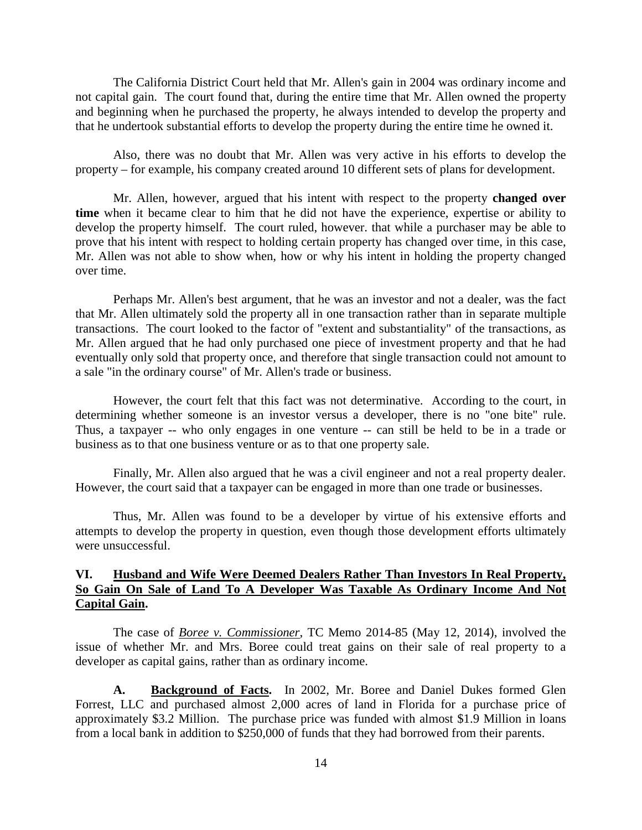The California District Court held that Mr. Allen's gain in 2004 was ordinary income and not capital gain. The court found that, during the entire time that Mr. Allen owned the property and beginning when he purchased the property, he always intended to develop the property and that he undertook substantial efforts to develop the property during the entire time he owned it.

Also, there was no doubt that Mr. Allen was very active in his efforts to develop the property – for example, his company created around 10 different sets of plans for development.

Mr. Allen, however, argued that his intent with respect to the property **changed over time** when it became clear to him that he did not have the experience, expertise or ability to develop the property himself. The court ruled, however. that while a purchaser may be able to prove that his intent with respect to holding certain property has changed over time, in this case, Mr. Allen was not able to show when, how or why his intent in holding the property changed over time.

Perhaps Mr. Allen's best argument, that he was an investor and not a dealer, was the fact that Mr. Allen ultimately sold the property all in one transaction rather than in separate multiple transactions. The court looked to the factor of "extent and substantiality" of the transactions, as Mr. Allen argued that he had only purchased one piece of investment property and that he had eventually only sold that property once, and therefore that single transaction could not amount to a sale "in the ordinary course" of Mr. Allen's trade or business.

However, the court felt that this fact was not determinative. According to the court, in determining whether someone is an investor versus a developer, there is no "one bite" rule. Thus, a taxpayer -- who only engages in one venture -- can still be held to be in a trade or business as to that one business venture or as to that one property sale.

Finally, Mr. Allen also argued that he was a civil engineer and not a real property dealer. However, the court said that a taxpayer can be engaged in more than one trade or businesses.

Thus, Mr. Allen was found to be a developer by virtue of his extensive efforts and attempts to develop the property in question, even though those development efforts ultimately were unsuccessful.

# **VI. Husband and Wife Were Deemed Dealers Rather Than Investors In Real Property, So Gain On Sale of Land To A Developer Was Taxable As Ordinary Income And Not Capital Gain.**

The case of *Boree v. Commissioner*, TC Memo 2014-85 (May 12, 2014), involved the issue of whether Mr. and Mrs. Boree could treat gains on their sale of real property to a developer as capital gains, rather than as ordinary income.

**A. Background of Facts.** In 2002, Mr. Boree and Daniel Dukes formed Glen Forrest, LLC and purchased almost 2,000 acres of land in Florida for a purchase price of approximately \$3.2 Million. The purchase price was funded with almost \$1.9 Million in loans from a local bank in addition to \$250,000 of funds that they had borrowed from their parents.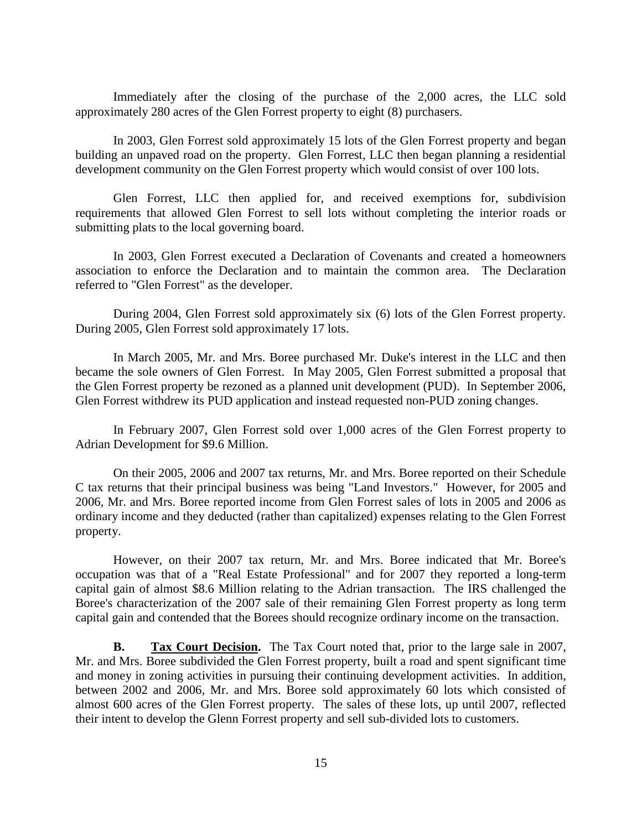Immediately after the closing of the purchase of the 2,000 acres, the LLC sold approximately 280 acres of the Glen Forrest property to eight (8) purchasers.

In 2003, Glen Forrest sold approximately 15 lots of the Glen Forrest property and began building an unpaved road on the property. Glen Forrest, LLC then began planning a residential development community on the Glen Forrest property which would consist of over 100 lots.

Glen Forrest, LLC then applied for, and received exemptions for, subdivision requirements that allowed Glen Forrest to sell lots without completing the interior roads or submitting plats to the local governing board.

In 2003, Glen Forrest executed a Declaration of Covenants and created a homeowners association to enforce the Declaration and to maintain the common area. The Declaration referred to "Glen Forrest" as the developer.

During 2004, Glen Forrest sold approximately six (6) lots of the Glen Forrest property. During 2005, Glen Forrest sold approximately 17 lots.

In March 2005, Mr. and Mrs. Boree purchased Mr. Duke's interest in the LLC and then became the sole owners of Glen Forrest. In May 2005, Glen Forrest submitted a proposal that the Glen Forrest property be rezoned as a planned unit development (PUD). In September 2006, Glen Forrest withdrew its PUD application and instead requested non-PUD zoning changes.

In February 2007, Glen Forrest sold over 1,000 acres of the Glen Forrest property to Adrian Development for \$9.6 Million.

On their 2005, 2006 and 2007 tax returns, Mr. and Mrs. Boree reported on their Schedule C tax returns that their principal business was being "Land Investors." However, for 2005 and 2006, Mr. and Mrs. Boree reported income from Glen Forrest sales of lots in 2005 and 2006 as ordinary income and they deducted (rather than capitalized) expenses relating to the Glen Forrest property.

However, on their 2007 tax return, Mr. and Mrs. Boree indicated that Mr. Boree's occupation was that of a "Real Estate Professional" and for 2007 they reported a long-term capital gain of almost \$8.6 Million relating to the Adrian transaction. The IRS challenged the Boree's characterization of the 2007 sale of their remaining Glen Forrest property as long term capital gain and contended that the Borees should recognize ordinary income on the transaction.

**B. Tax Court Decision.** The Tax Court noted that, prior to the large sale in 2007, Mr. and Mrs. Boree subdivided the Glen Forrest property, built a road and spent significant time and money in zoning activities in pursuing their continuing development activities. In addition, between 2002 and 2006, Mr. and Mrs. Boree sold approximately 60 lots which consisted of almost 600 acres of the Glen Forrest property. The sales of these lots, up until 2007, reflected their intent to develop the Glenn Forrest property and sell sub-divided lots to customers.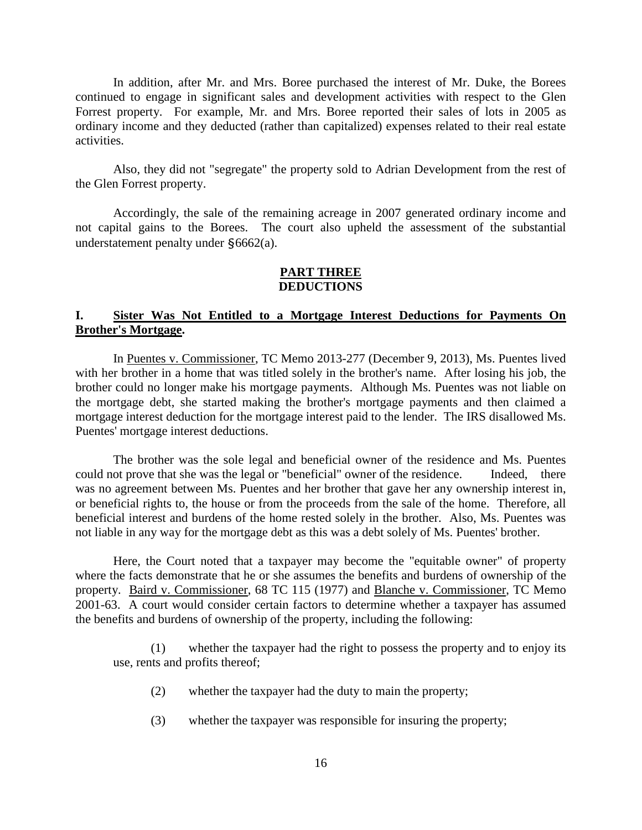In addition, after Mr. and Mrs. Boree purchased the interest of Mr. Duke, the Borees continued to engage in significant sales and development activities with respect to the Glen Forrest property. For example, Mr. and Mrs. Boree reported their sales of lots in 2005 as ordinary income and they deducted (rather than capitalized) expenses related to their real estate activities.

Also, they did not "segregate" the property sold to Adrian Development from the rest of the Glen Forrest property.

Accordingly, the sale of the remaining acreage in 2007 generated ordinary income and not capital gains to the Borees. The court also upheld the assessment of the substantial understatement penalty under §6662(a).

#### **PART THREE DEDUCTIONS**

# **I. Sister Was Not Entitled to a Mortgage Interest Deductions for Payments On Brother's Mortgage.**

In Puentes v. Commissioner, TC Memo 2013-277 (December 9, 2013), Ms. Puentes lived with her brother in a home that was titled solely in the brother's name. After losing his job, the brother could no longer make his mortgage payments. Although Ms. Puentes was not liable on the mortgage debt, she started making the brother's mortgage payments and then claimed a mortgage interest deduction for the mortgage interest paid to the lender. The IRS disallowed Ms. Puentes' mortgage interest deductions.

The brother was the sole legal and beneficial owner of the residence and Ms. Puentes could not prove that she was the legal or "beneficial" owner of the residence. Indeed, there was no agreement between Ms. Puentes and her brother that gave her any ownership interest in, or beneficial rights to, the house or from the proceeds from the sale of the home. Therefore, all beneficial interest and burdens of the home rested solely in the brother. Also, Ms. Puentes was not liable in any way for the mortgage debt as this was a debt solely of Ms. Puentes' brother.

Here, the Court noted that a taxpayer may become the "equitable owner" of property where the facts demonstrate that he or she assumes the benefits and burdens of ownership of the property. Baird v. Commissioner, 68 TC 115 (1977) and Blanche v. Commissioner, TC Memo 2001-63. A court would consider certain factors to determine whether a taxpayer has assumed the benefits and burdens of ownership of the property, including the following:

(1) whether the taxpayer had the right to possess the property and to enjoy its use, rents and profits thereof;

- (2) whether the taxpayer had the duty to main the property;
- (3) whether the taxpayer was responsible for insuring the property;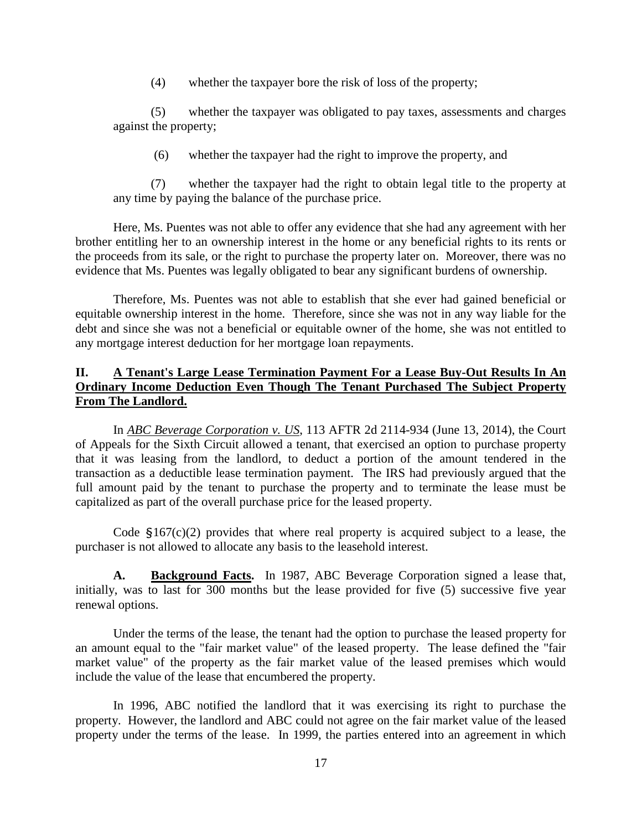(4) whether the taxpayer bore the risk of loss of the property;

(5) whether the taxpayer was obligated to pay taxes, assessments and charges against the property;

(6) whether the taxpayer had the right to improve the property, and

(7) whether the taxpayer had the right to obtain legal title to the property at any time by paying the balance of the purchase price.

Here, Ms. Puentes was not able to offer any evidence that she had any agreement with her brother entitling her to an ownership interest in the home or any beneficial rights to its rents or the proceeds from its sale, or the right to purchase the property later on. Moreover, there was no evidence that Ms. Puentes was legally obligated to bear any significant burdens of ownership.

Therefore, Ms. Puentes was not able to establish that she ever had gained beneficial or equitable ownership interest in the home. Therefore, since she was not in any way liable for the debt and since she was not a beneficial or equitable owner of the home, she was not entitled to any mortgage interest deduction for her mortgage loan repayments.

# **II. A Tenant's Large Lease Termination Payment For a Lease Buy-Out Results In An Ordinary Income Deduction Even Though The Tenant Purchased The Subject Property From The Landlord.**

In *ABC Beverage Corporation v. US*, 113 AFTR 2d 2114-934 (June 13, 2014), the Court of Appeals for the Sixth Circuit allowed a tenant, that exercised an option to purchase property that it was leasing from the landlord, to deduct a portion of the amount tendered in the transaction as a deductible lease termination payment. The IRS had previously argued that the full amount paid by the tenant to purchase the property and to terminate the lease must be capitalized as part of the overall purchase price for the leased property.

Code  $\S167(c)(2)$  provides that where real property is acquired subject to a lease, the purchaser is not allowed to allocate any basis to the leasehold interest.

**A. Background Facts.** In 1987, ABC Beverage Corporation signed a lease that, initially, was to last for 300 months but the lease provided for five (5) successive five year renewal options.

Under the terms of the lease, the tenant had the option to purchase the leased property for an amount equal to the "fair market value" of the leased property. The lease defined the "fair market value" of the property as the fair market value of the leased premises which would include the value of the lease that encumbered the property.

In 1996, ABC notified the landlord that it was exercising its right to purchase the property. However, the landlord and ABC could not agree on the fair market value of the leased property under the terms of the lease. In 1999, the parties entered into an agreement in which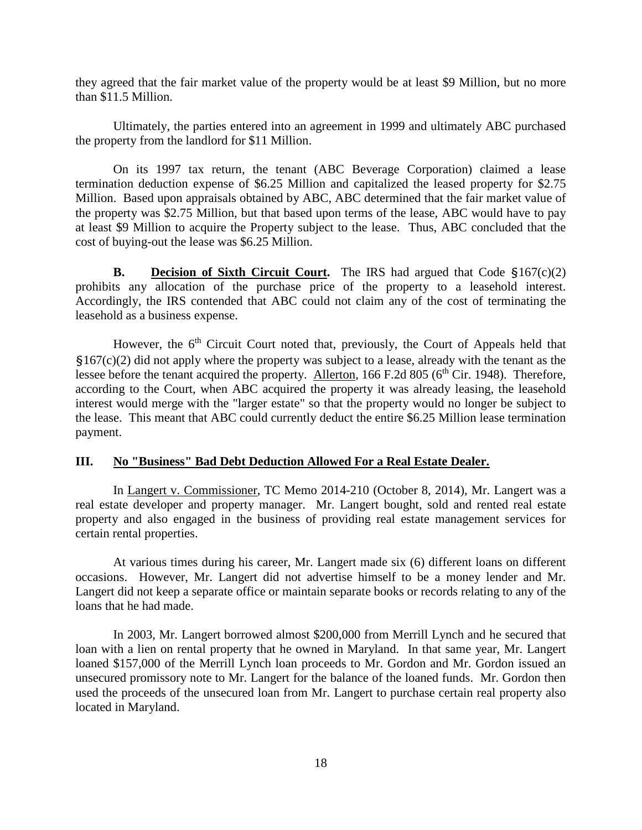they agreed that the fair market value of the property would be at least \$9 Million, but no more than \$11.5 Million.

Ultimately, the parties entered into an agreement in 1999 and ultimately ABC purchased the property from the landlord for \$11 Million.

On its 1997 tax return, the tenant (ABC Beverage Corporation) claimed a lease termination deduction expense of \$6.25 Million and capitalized the leased property for \$2.75 Million. Based upon appraisals obtained by ABC, ABC determined that the fair market value of the property was \$2.75 Million, but that based upon terms of the lease, ABC would have to pay at least \$9 Million to acquire the Property subject to the lease. Thus, ABC concluded that the cost of buying-out the lease was \$6.25 Million.

**B. Decision of Sixth Circuit Court.** The IRS had argued that Code §167(c)(2) prohibits any allocation of the purchase price of the property to a leasehold interest. Accordingly, the IRS contended that ABC could not claim any of the cost of terminating the leasehold as a business expense.

However, the  $6<sup>th</sup>$  Circuit Court noted that, previously, the Court of Appeals held that §167(c)(2) did not apply where the property was subject to a lease, already with the tenant as the lessee before the tenant acquired the property. Allerton,  $166$  F.2d  $805$  ( $6<sup>th</sup>$  Cir. 1948). Therefore, according to the Court, when ABC acquired the property it was already leasing, the leasehold interest would merge with the "larger estate" so that the property would no longer be subject to the lease. This meant that ABC could currently deduct the entire \$6.25 Million lease termination payment.

# **III. No "Business" Bad Debt Deduction Allowed For a Real Estate Dealer.**

In Langert v. Commissioner, TC Memo 2014-210 (October 8, 2014), Mr. Langert was a real estate developer and property manager. Mr. Langert bought, sold and rented real estate property and also engaged in the business of providing real estate management services for certain rental properties.

At various times during his career, Mr. Langert made six (6) different loans on different occasions. However, Mr. Langert did not advertise himself to be a money lender and Mr. Langert did not keep a separate office or maintain separate books or records relating to any of the loans that he had made.

In 2003, Mr. Langert borrowed almost \$200,000 from Merrill Lynch and he secured that loan with a lien on rental property that he owned in Maryland. In that same year, Mr. Langert loaned \$157,000 of the Merrill Lynch loan proceeds to Mr. Gordon and Mr. Gordon issued an unsecured promissory note to Mr. Langert for the balance of the loaned funds. Mr. Gordon then used the proceeds of the unsecured loan from Mr. Langert to purchase certain real property also located in Maryland.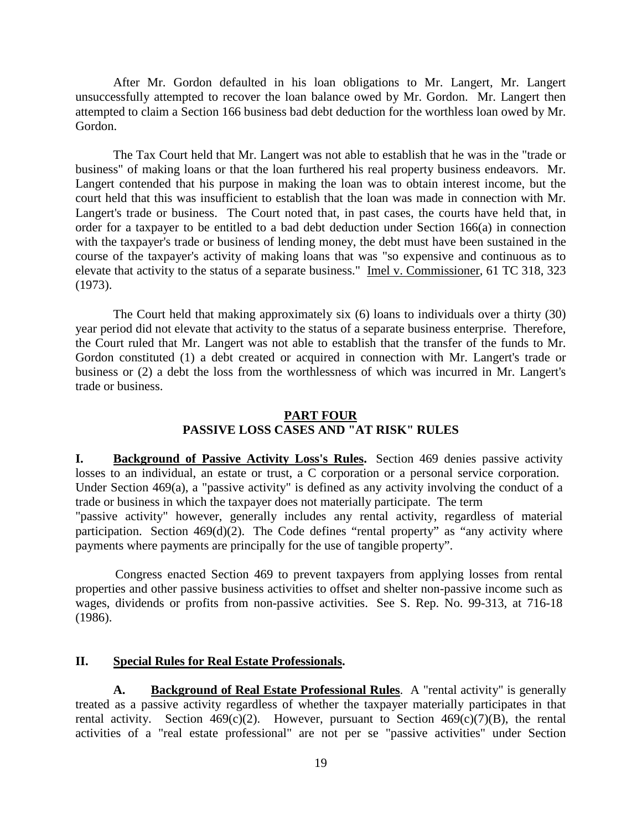After Mr. Gordon defaulted in his loan obligations to Mr. Langert, Mr. Langert unsuccessfully attempted to recover the loan balance owed by Mr. Gordon. Mr. Langert then attempted to claim a Section 166 business bad debt deduction for the worthless loan owed by Mr. Gordon.

The Tax Court held that Mr. Langert was not able to establish that he was in the "trade or business" of making loans or that the loan furthered his real property business endeavors. Mr. Langert contended that his purpose in making the loan was to obtain interest income, but the court held that this was insufficient to establish that the loan was made in connection with Mr. Langert's trade or business. The Court noted that, in past cases, the courts have held that, in order for a taxpayer to be entitled to a bad debt deduction under Section 166(a) in connection with the taxpayer's trade or business of lending money, the debt must have been sustained in the course of the taxpayer's activity of making loans that was "so expensive and continuous as to elevate that activity to the status of a separate business." Imel v. Commissioner, 61 TC 318, 323 (1973).

The Court held that making approximately six (6) loans to individuals over a thirty (30) year period did not elevate that activity to the status of a separate business enterprise. Therefore, the Court ruled that Mr. Langert was not able to establish that the transfer of the funds to Mr. Gordon constituted (1) a debt created or acquired in connection with Mr. Langert's trade or business or (2) a debt the loss from the worthlessness of which was incurred in Mr. Langert's trade or business.

## **PART FOUR PASSIVE LOSS CASES AND "AT RISK" RULES**

**I. Background of Passive Activity Loss's Rules.** Section 469 denies passive activity losses to an individual, an estate or trust, a C corporation or a personal service corporation. Under Section 469(a), a "passive activity" is defined as any activity involving the conduct of a trade or business in which the taxpayer does not materially participate. The term "passive activity" however, generally includes any rental activity, regardless of material participation. Section  $469(d)(2)$ . The Code defines "rental property" as "any activity where payments where payments are principally for the use of tangible property".

 Congress enacted Section 469 to prevent taxpayers from applying losses from rental properties and other passive business activities to offset and shelter non-passive income such as wages, dividends or profits from non-passive activities. See S. Rep. No. 99-313, at 716-18 (1986).

## **II. Special Rules for Real Estate Professionals.**

**A. Background of Real Estate Professional Rules**. A "rental activity" is generally treated as a passive activity regardless of whether the taxpayer materially participates in that rental activity. Section 469(c)(2). However, pursuant to Section 469(c)(7)(B), the rental activities of a "real estate professional" are not per se "passive activities" under Section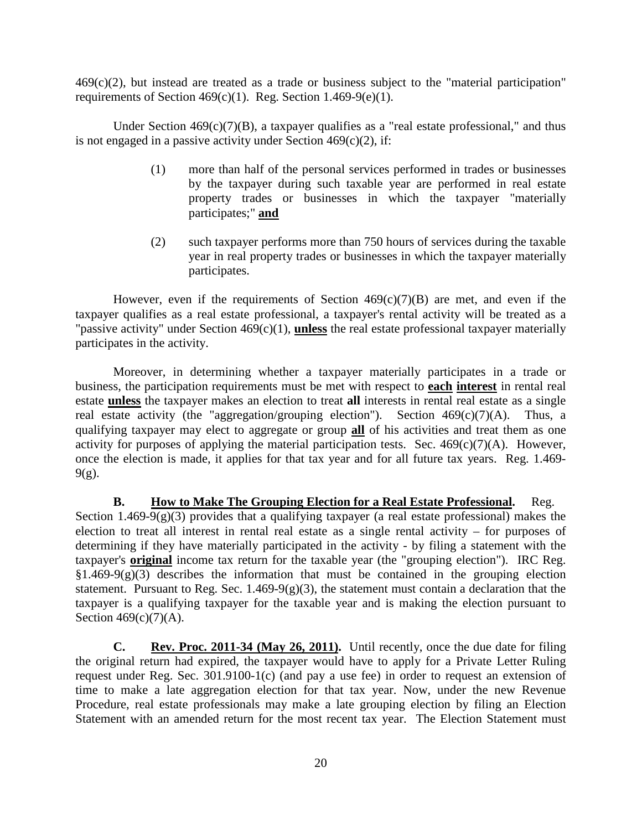$469(c)(2)$ , but instead are treated as a trade or business subject to the "material participation" requirements of Section 469(c)(1). Reg. Section 1.469-9(e)(1).

Under Section  $469(c)(7)(B)$ , a taxpayer qualifies as a "real estate professional," and thus is not engaged in a passive activity under Section 469(c)(2), if:

- (1) more than half of the personal services performed in trades or businesses by the taxpayer during such taxable year are performed in real estate property trades or businesses in which the taxpayer "materially participates;" **and**
- (2) such taxpayer performs more than 750 hours of services during the taxable year in real property trades or businesses in which the taxpayer materially participates.

However, even if the requirements of Section  $469(c)(7)(B)$  are met, and even if the taxpayer qualifies as a real estate professional, a taxpayer's rental activity will be treated as a "passive activity" under Section 469(c)(1), **unless** the real estate professional taxpayer materially participates in the activity.

Moreover, in determining whether a taxpayer materially participates in a trade or business, the participation requirements must be met with respect to **each interest** in rental real estate **unless** the taxpayer makes an election to treat **all** interests in rental real estate as a single real estate activity (the "aggregation/grouping election"). Section  $469(c)(7)(A)$ . Thus, a qualifying taxpayer may elect to aggregate or group **all** of his activities and treat them as one activity for purposes of applying the material participation tests. Sec.  $469(c)(7)(A)$ . However, once the election is made, it applies for that tax year and for all future tax years. Reg. 1.469-  $9(g)$ .

**B. How to Make The Grouping Election for a Real Estate Professional.** Reg. Section 1.469-9(g)(3) provides that a qualifying taxpayer (a real estate professional) makes the election to treat all interest in rental real estate as a single rental activity – for purposes of determining if they have materially participated in the activity - by filing a statement with the taxpayer's **original** income tax return for the taxable year (the "grouping election"). IRC Reg.  $§1.469-9(g)(3)$  describes the information that must be contained in the grouping election statement. Pursuant to Reg. Sec.  $1.469-9(g)(3)$ , the statement must contain a declaration that the taxpayer is a qualifying taxpayer for the taxable year and is making the election pursuant to Section  $469(c)(7)(A)$ .

**C. Rev. Proc. 2011-34 (May 26, 2011).** Until recently, once the due date for filing the original return had expired, the taxpayer would have to apply for a Private Letter Ruling request under Reg. Sec. 301.9100-1(c) (and pay a use fee) in order to request an extension of time to make a late aggregation election for that tax year. Now, under the new Revenue Procedure, real estate professionals may make a late grouping election by filing an Election Statement with an amended return for the most recent tax year. The Election Statement must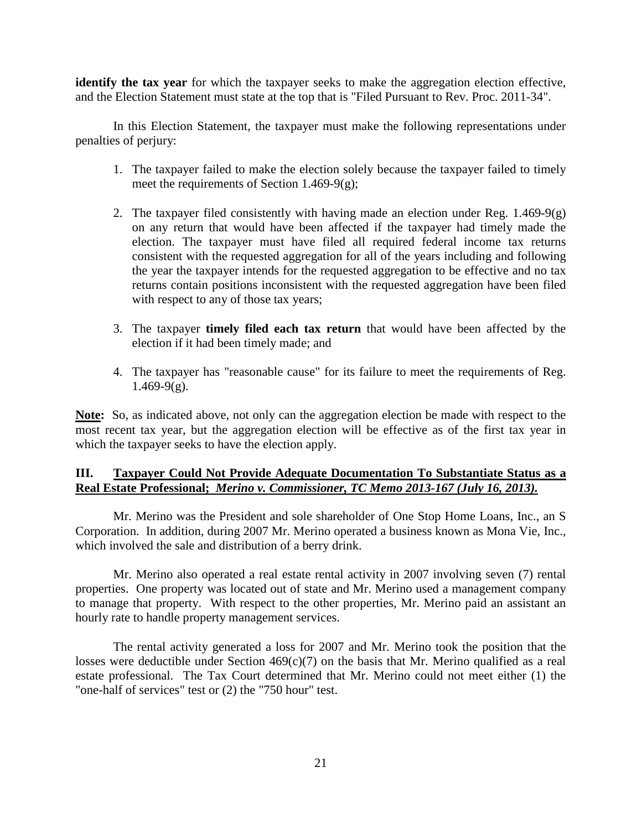**identify the tax year** for which the taxpayer seeks to make the aggregation election effective, and the Election Statement must state at the top that is "Filed Pursuant to Rev. Proc. 2011-34".

In this Election Statement, the taxpayer must make the following representations under penalties of perjury:

- 1. The taxpayer failed to make the election solely because the taxpayer failed to timely meet the requirements of Section 1.469-9(g);
- 2. The taxpayer filed consistently with having made an election under Reg. 1.469-9(g) on any return that would have been affected if the taxpayer had timely made the election. The taxpayer must have filed all required federal income tax returns consistent with the requested aggregation for all of the years including and following the year the taxpayer intends for the requested aggregation to be effective and no tax returns contain positions inconsistent with the requested aggregation have been filed with respect to any of those tax years;
- 3. The taxpayer **timely filed each tax return** that would have been affected by the election if it had been timely made; and
- 4. The taxpayer has "reasonable cause" for its failure to meet the requirements of Reg.  $1.469 - 9(g)$ .

**Note:** So, as indicated above, not only can the aggregation election be made with respect to the most recent tax year, but the aggregation election will be effective as of the first tax year in which the taxpayer seeks to have the election apply.

# **III. Taxpayer Could Not Provide Adequate Documentation To Substantiate Status as a Real Estate Professional;** *Merino v. Commissioner, TC Memo 2013-167 (July 16, 2013).*

Mr. Merino was the President and sole shareholder of One Stop Home Loans, Inc., an S Corporation. In addition, during 2007 Mr. Merino operated a business known as Mona Vie, Inc., which involved the sale and distribution of a berry drink.

Mr. Merino also operated a real estate rental activity in 2007 involving seven (7) rental properties. One property was located out of state and Mr. Merino used a management company to manage that property. With respect to the other properties, Mr. Merino paid an assistant an hourly rate to handle property management services.

The rental activity generated a loss for 2007 and Mr. Merino took the position that the losses were deductible under Section  $469(c)(7)$  on the basis that Mr. Merino qualified as a real estate professional. The Tax Court determined that Mr. Merino could not meet either (1) the "one-half of services" test or (2) the "750 hour" test.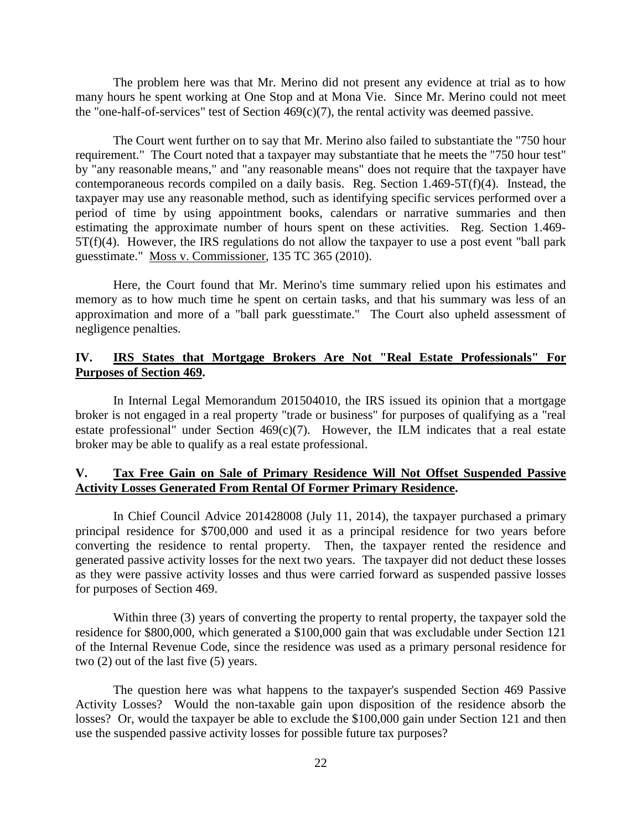The problem here was that Mr. Merino did not present any evidence at trial as to how many hours he spent working at One Stop and at Mona Vie. Since Mr. Merino could not meet the "one-half-of-services" test of Section  $469(c)(7)$ , the rental activity was deemed passive.

The Court went further on to say that Mr. Merino also failed to substantiate the "750 hour requirement." The Court noted that a taxpayer may substantiate that he meets the "750 hour test" by "any reasonable means," and "any reasonable means" does not require that the taxpayer have contemporaneous records compiled on a daily basis. Reg. Section  $1.469-5T(f)(4)$ . Instead, the taxpayer may use any reasonable method, such as identifying specific services performed over a period of time by using appointment books, calendars or narrative summaries and then estimating the approximate number of hours spent on these activities. Reg. Section 1.469- 5T(f)(4). However, the IRS regulations do not allow the taxpayer to use a post event "ball park guesstimate." Moss v. Commissioner, 135 TC 365 (2010).

Here, the Court found that Mr. Merino's time summary relied upon his estimates and memory as to how much time he spent on certain tasks, and that his summary was less of an approximation and more of a "ball park guesstimate." The Court also upheld assessment of negligence penalties.

# **IV. IRS States that Mortgage Brokers Are Not "Real Estate Professionals" For Purposes of Section 469.**

In Internal Legal Memorandum 201504010, the IRS issued its opinion that a mortgage broker is not engaged in a real property "trade or business" for purposes of qualifying as a "real estate professional" under Section  $469(c)(7)$ . However, the ILM indicates that a real estate broker may be able to qualify as a real estate professional.

## **V. Tax Free Gain on Sale of Primary Residence Will Not Offset Suspended Passive Activity Losses Generated From Rental Of Former Primary Residence.**

In Chief Council Advice 201428008 (July 11, 2014), the taxpayer purchased a primary principal residence for \$700,000 and used it as a principal residence for two years before converting the residence to rental property. Then, the taxpayer rented the residence and generated passive activity losses for the next two years. The taxpayer did not deduct these losses as they were passive activity losses and thus were carried forward as suspended passive losses for purposes of Section 469.

Within three (3) years of converting the property to rental property, the taxpayer sold the residence for \$800,000, which generated a \$100,000 gain that was excludable under Section 121 of the Internal Revenue Code, since the residence was used as a primary personal residence for two (2) out of the last five (5) years.

The question here was what happens to the taxpayer's suspended Section 469 Passive Activity Losses? Would the non-taxable gain upon disposition of the residence absorb the losses? Or, would the taxpayer be able to exclude the \$100,000 gain under Section 121 and then use the suspended passive activity losses for possible future tax purposes?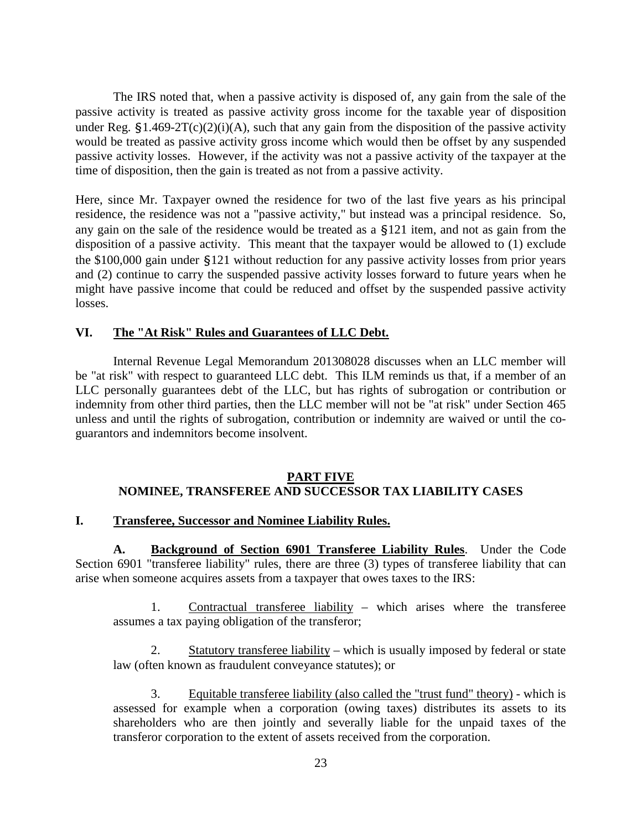The IRS noted that, when a passive activity is disposed of, any gain from the sale of the passive activity is treated as passive activity gross income for the taxable year of disposition under Reg.  $$1.469-2T(c)(2)(i)(A)$ , such that any gain from the disposition of the passive activity would be treated as passive activity gross income which would then be offset by any suspended passive activity losses. However, if the activity was not a passive activity of the taxpayer at the time of disposition, then the gain is treated as not from a passive activity.

Here, since Mr. Taxpayer owned the residence for two of the last five years as his principal residence, the residence was not a "passive activity," but instead was a principal residence. So, any gain on the sale of the residence would be treated as a §121 item, and not as gain from the disposition of a passive activity. This meant that the taxpayer would be allowed to (1) exclude the \$100,000 gain under §121 without reduction for any passive activity losses from prior years and (2) continue to carry the suspended passive activity losses forward to future years when he might have passive income that could be reduced and offset by the suspended passive activity losses.

# **VI. The "At Risk" Rules and Guarantees of LLC Debt.**

Internal Revenue Legal Memorandum 201308028 discusses when an LLC member will be "at risk" with respect to guaranteed LLC debt. This ILM reminds us that, if a member of an LLC personally guarantees debt of the LLC, but has rights of subrogation or contribution or indemnity from other third parties, then the LLC member will not be "at risk" under Section 465 unless and until the rights of subrogation, contribution or indemnity are waived or until the coguarantors and indemnitors become insolvent.

# **PART FIVE**

# **NOMINEE, TRANSFEREE AND SUCCESSOR TAX LIABILITY CASES**

# **I. Transferee, Successor and Nominee Liability Rules.**

**A. Background of Section 6901 Transferee Liability Rules**. Under the Code Section 6901 "transferee liability" rules, there are three (3) types of transferee liability that can arise when someone acquires assets from a taxpayer that owes taxes to the IRS:

1. Contractual transferee liability – which arises where the transferee assumes a tax paying obligation of the transferor;

2. Statutory transferee liability – which is usually imposed by federal or state law (often known as fraudulent conveyance statutes); or

3. Equitable transferee liability (also called the "trust fund" theory) - which is assessed for example when a corporation (owing taxes) distributes its assets to its shareholders who are then jointly and severally liable for the unpaid taxes of the transferor corporation to the extent of assets received from the corporation.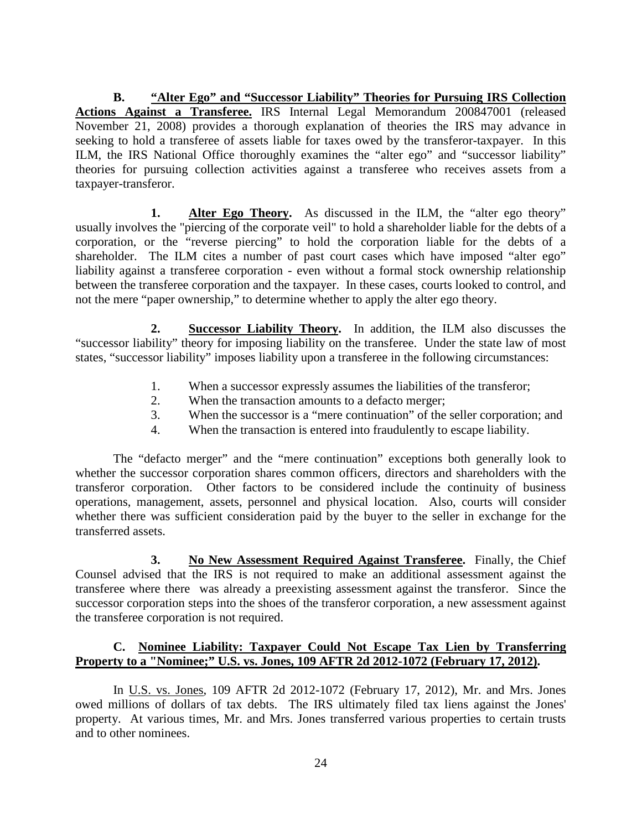**B. "Alter Ego" and "Successor Liability" Theories for Pursuing IRS Collection Actions Against a Transferee.** IRS Internal Legal Memorandum 200847001 (released November 21, 2008) provides a thorough explanation of theories the IRS may advance in seeking to hold a transferee of assets liable for taxes owed by the transferor-taxpayer. In this ILM, the IRS National Office thoroughly examines the "alter ego" and "successor liability" theories for pursuing collection activities against a transferee who receives assets from a taxpayer-transferor.

**1. Alter Ego Theory.** As discussed in the ILM, the "alter ego theory" usually involves the "piercing of the corporate veil" to hold a shareholder liable for the debts of a corporation, or the "reverse piercing" to hold the corporation liable for the debts of a shareholder. The ILM cites a number of past court cases which have imposed "alter ego" liability against a transferee corporation - even without a formal stock ownership relationship between the transferee corporation and the taxpayer. In these cases, courts looked to control, and not the mere "paper ownership," to determine whether to apply the alter ego theory.

**2. Successor Liability Theory.** In addition, the ILM also discusses the "successor liability" theory for imposing liability on the transferee. Under the state law of most states, "successor liability" imposes liability upon a transferee in the following circumstances:

- 1. When a successor expressly assumes the liabilities of the transferor;
- 2. When the transaction amounts to a defacto merger;
- 3. When the successor is a "mere continuation" of the seller corporation; and
- 4. When the transaction is entered into fraudulently to escape liability.

The "defacto merger" and the "mere continuation" exceptions both generally look to whether the successor corporation shares common officers, directors and shareholders with the transferor corporation. Other factors to be considered include the continuity of business operations, management, assets, personnel and physical location. Also, courts will consider whether there was sufficient consideration paid by the buyer to the seller in exchange for the transferred assets.

**3. No New Assessment Required Against Transferee.** Finally, the Chief Counsel advised that the IRS is not required to make an additional assessment against the transferee where there was already a preexisting assessment against the transferor. Since the successor corporation steps into the shoes of the transferor corporation, a new assessment against the transferee corporation is not required.

# **C. Nominee Liability: Taxpayer Could Not Escape Tax Lien by Transferring Property to a "Nominee;" U.S. vs. Jones, 109 AFTR 2d 2012-1072 (February 17, 2012).**

In U.S. vs. Jones, 109 AFTR 2d 2012-1072 (February 17, 2012), Mr. and Mrs. Jones owed millions of dollars of tax debts. The IRS ultimately filed tax liens against the Jones' property. At various times, Mr. and Mrs. Jones transferred various properties to certain trusts and to other nominees.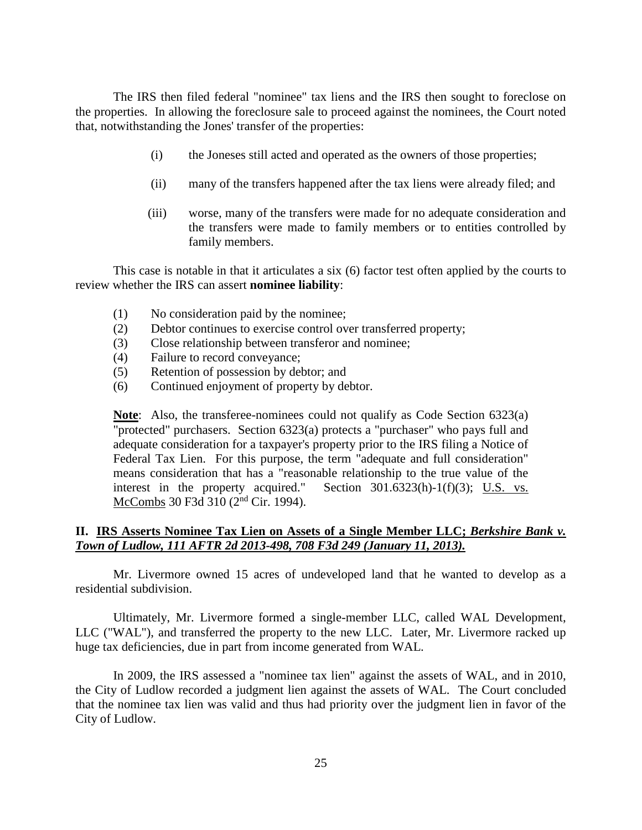The IRS then filed federal "nominee" tax liens and the IRS then sought to foreclose on the properties. In allowing the foreclosure sale to proceed against the nominees, the Court noted that, notwithstanding the Jones' transfer of the properties:

- (i) the Joneses still acted and operated as the owners of those properties;
- (ii) many of the transfers happened after the tax liens were already filed; and
- (iii) worse, many of the transfers were made for no adequate consideration and the transfers were made to family members or to entities controlled by family members.

This case is notable in that it articulates a six (6) factor test often applied by the courts to review whether the IRS can assert **nominee liability**:

- (1) No consideration paid by the nominee;
- (2) Debtor continues to exercise control over transferred property;
- (3) Close relationship between transferor and nominee;
- (4) Failure to record conveyance;
- (5) Retention of possession by debtor; and
- (6) Continued enjoyment of property by debtor.

Note: Also, the transferee-nominees could not qualify as Code Section 6323(a) "protected" purchasers. Section 6323(a) protects a "purchaser" who pays full and adequate consideration for a taxpayer's property prior to the IRS filing a Notice of Federal Tax Lien. For this purpose, the term "adequate and full consideration" means consideration that has a "reasonable relationship to the true value of the interest in the property acquired." Section 301.6323(h)-1(f)(3); U.S. vs. McCombs 30 F3d 310 (2nd Cir. 1994).

# **II. IRS Asserts Nominee Tax Lien on Assets of a Single Member LLC;** *Berkshire Bank v. Town of Ludlow, 111 AFTR 2d 2013-498, 708 F3d 249 (January 11, 2013).*

Mr. Livermore owned 15 acres of undeveloped land that he wanted to develop as a residential subdivision.

Ultimately, Mr. Livermore formed a single-member LLC, called WAL Development, LLC ("WAL"), and transferred the property to the new LLC. Later, Mr. Livermore racked up huge tax deficiencies, due in part from income generated from WAL.

In 2009, the IRS assessed a "nominee tax lien" against the assets of WAL, and in 2010, the City of Ludlow recorded a judgment lien against the assets of WAL. The Court concluded that the nominee tax lien was valid and thus had priority over the judgment lien in favor of the City of Ludlow.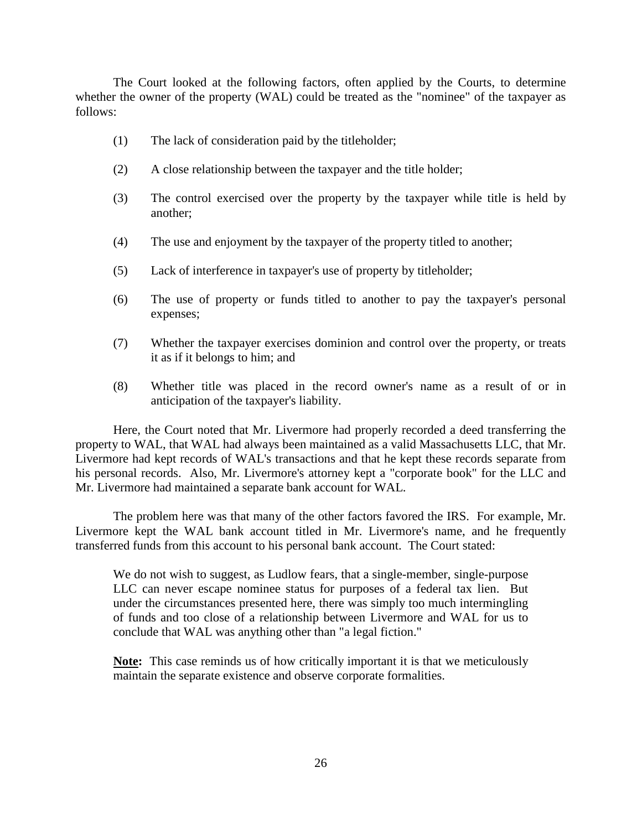The Court looked at the following factors, often applied by the Courts, to determine whether the owner of the property (WAL) could be treated as the "nominee" of the taxpayer as follows:

- (1) The lack of consideration paid by the titleholder;
- (2) A close relationship between the taxpayer and the title holder;
- (3) The control exercised over the property by the taxpayer while title is held by another;
- (4) The use and enjoyment by the taxpayer of the property titled to another;
- (5) Lack of interference in taxpayer's use of property by titleholder;
- (6) The use of property or funds titled to another to pay the taxpayer's personal expenses;
- (7) Whether the taxpayer exercises dominion and control over the property, or treats it as if it belongs to him; and
- (8) Whether title was placed in the record owner's name as a result of or in anticipation of the taxpayer's liability.

Here, the Court noted that Mr. Livermore had properly recorded a deed transferring the property to WAL, that WAL had always been maintained as a valid Massachusetts LLC, that Mr. Livermore had kept records of WAL's transactions and that he kept these records separate from his personal records. Also, Mr. Livermore's attorney kept a "corporate book" for the LLC and Mr. Livermore had maintained a separate bank account for WAL.

The problem here was that many of the other factors favored the IRS. For example, Mr. Livermore kept the WAL bank account titled in Mr. Livermore's name, and he frequently transferred funds from this account to his personal bank account. The Court stated:

We do not wish to suggest, as Ludlow fears, that a single-member, single-purpose LLC can never escape nominee status for purposes of a federal tax lien. But under the circumstances presented here, there was simply too much intermingling of funds and too close of a relationship between Livermore and WAL for us to conclude that WAL was anything other than "a legal fiction."

**Note:** This case reminds us of how critically important it is that we meticulously maintain the separate existence and observe corporate formalities.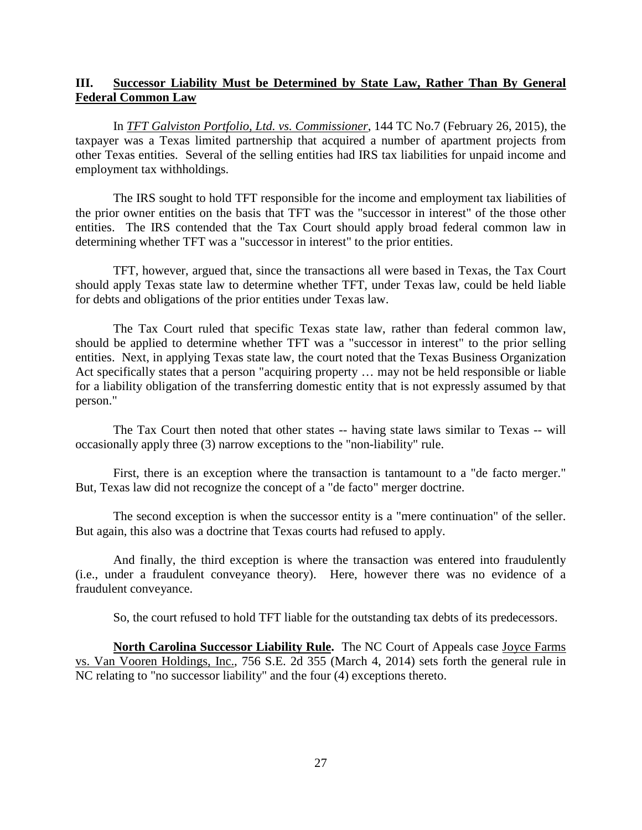## **III. Successor Liability Must be Determined by State Law, Rather Than By General Federal Common Law**

In *TFT Galviston Portfolio, Ltd. vs. Commissioner*, 144 TC No.7 (February 26, 2015), the taxpayer was a Texas limited partnership that acquired a number of apartment projects from other Texas entities. Several of the selling entities had IRS tax liabilities for unpaid income and employment tax withholdings.

The IRS sought to hold TFT responsible for the income and employment tax liabilities of the prior owner entities on the basis that TFT was the "successor in interest" of the those other entities. The IRS contended that the Tax Court should apply broad federal common law in determining whether TFT was a "successor in interest" to the prior entities.

TFT, however, argued that, since the transactions all were based in Texas, the Tax Court should apply Texas state law to determine whether TFT, under Texas law, could be held liable for debts and obligations of the prior entities under Texas law.

The Tax Court ruled that specific Texas state law, rather than federal common law, should be applied to determine whether TFT was a "successor in interest" to the prior selling entities. Next, in applying Texas state law, the court noted that the Texas Business Organization Act specifically states that a person "acquiring property ... may not be held responsible or liable for a liability obligation of the transferring domestic entity that is not expressly assumed by that person."

The Tax Court then noted that other states -- having state laws similar to Texas -- will occasionally apply three (3) narrow exceptions to the "non-liability" rule.

First, there is an exception where the transaction is tantamount to a "de facto merger." But, Texas law did not recognize the concept of a "de facto" merger doctrine.

The second exception is when the successor entity is a "mere continuation" of the seller. But again, this also was a doctrine that Texas courts had refused to apply.

And finally, the third exception is where the transaction was entered into fraudulently (i.e., under a fraudulent conveyance theory). Here, however there was no evidence of a fraudulent conveyance.

So, the court refused to hold TFT liable for the outstanding tax debts of its predecessors.

**North Carolina Successor Liability Rule.** The NC Court of Appeals case Joyce Farms vs. Van Vooren Holdings, Inc., 756 S.E. 2d 355 (March 4, 2014) sets forth the general rule in NC relating to "no successor liability" and the four (4) exceptions thereto.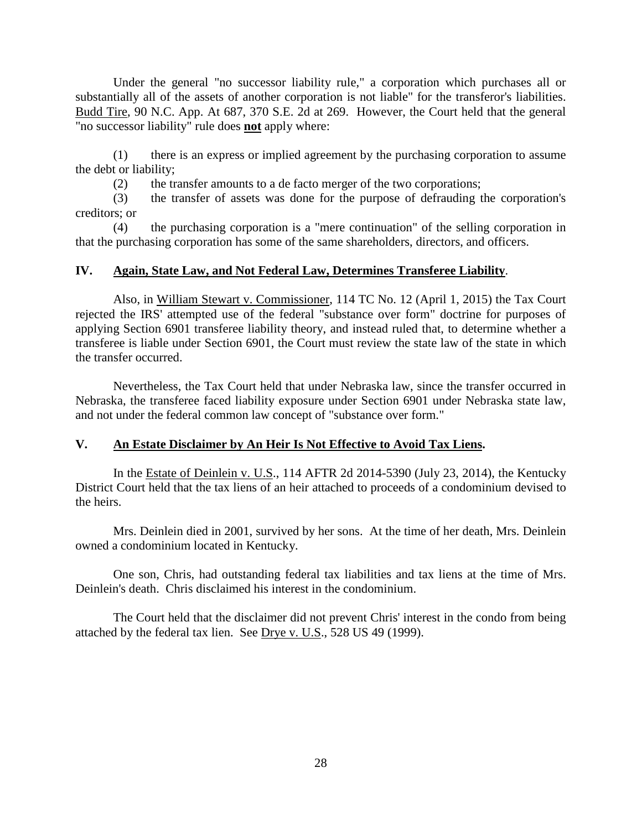Under the general "no successor liability rule," a corporation which purchases all or substantially all of the assets of another corporation is not liable" for the transferor's liabilities. Budd Tire, 90 N.C. App. At 687, 370 S.E. 2d at 269. However, the Court held that the general "no successor liability" rule does **not** apply where:

(1) there is an express or implied agreement by the purchasing corporation to assume the debt or liability;

(2) the transfer amounts to a de facto merger of the two corporations;

(3) the transfer of assets was done for the purpose of defrauding the corporation's creditors; or

(4) the purchasing corporation is a "mere continuation" of the selling corporation in that the purchasing corporation has some of the same shareholders, directors, and officers.

## **IV. Again, State Law, and Not Federal Law, Determines Transferee Liability**.

Also, in William Stewart v. Commissioner, 114 TC No. 12 (April 1, 2015) the Tax Court rejected the IRS' attempted use of the federal "substance over form" doctrine for purposes of applying Section 6901 transferee liability theory, and instead ruled that, to determine whether a transferee is liable under Section 6901, the Court must review the state law of the state in which the transfer occurred.

Nevertheless, the Tax Court held that under Nebraska law, since the transfer occurred in Nebraska, the transferee faced liability exposure under Section 6901 under Nebraska state law, and not under the federal common law concept of "substance over form."

## **V. An Estate Disclaimer by An Heir Is Not Effective to Avoid Tax Liens.**

In the Estate of Deinlein v. U.S., 114 AFTR 2d 2014-5390 (July 23, 2014), the Kentucky District Court held that the tax liens of an heir attached to proceeds of a condominium devised to the heirs.

Mrs. Deinlein died in 2001, survived by her sons. At the time of her death, Mrs. Deinlein owned a condominium located in Kentucky.

One son, Chris, had outstanding federal tax liabilities and tax liens at the time of Mrs. Deinlein's death. Chris disclaimed his interest in the condominium.

The Court held that the disclaimer did not prevent Chris' interest in the condo from being attached by the federal tax lien. See Drye v. U.S., 528 US 49 (1999).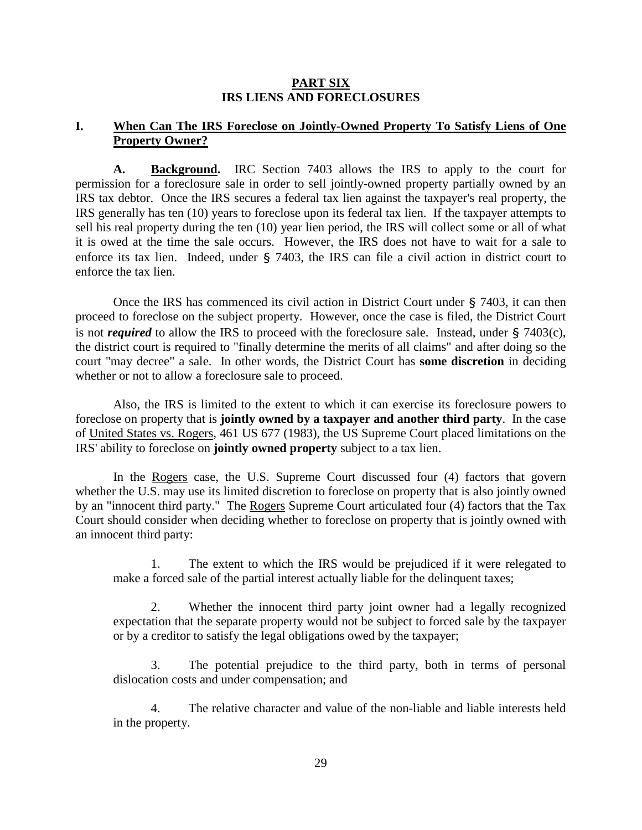## **PART SIX IRS LIENS AND FORECLOSURES**

# **I. When Can The IRS Foreclose on Jointly-Owned Property To Satisfy Liens of One Property Owner?**

**A. Background.** IRC Section 7403 allows the IRS to apply to the court for permission for a foreclosure sale in order to sell jointly-owned property partially owned by an IRS tax debtor. Once the IRS secures a federal tax lien against the taxpayer's real property, the IRS generally has ten (10) years to foreclose upon its federal tax lien. If the taxpayer attempts to sell his real property during the ten (10) year lien period, the IRS will collect some or all of what it is owed at the time the sale occurs. However, the IRS does not have to wait for a sale to enforce its tax lien. Indeed, under § 7403, the IRS can file a civil action in district court to enforce the tax lien.

Once the IRS has commenced its civil action in District Court under § 7403, it can then proceed to foreclose on the subject property. However, once the case is filed, the District Court is not *required* to allow the IRS to proceed with the foreclosure sale. Instead, under  $\S$  7403(c), the district court is required to "finally determine the merits of all claims" and after doing so the court "may decree" a sale. In other words, the District Court has **some discretion** in deciding whether or not to allow a foreclosure sale to proceed.

Also, the IRS is limited to the extent to which it can exercise its foreclosure powers to foreclose on property that is **jointly owned by a taxpayer and another third party**. In the case of United States vs. Rogers, 461 US 677 (1983), the US Supreme Court placed limitations on the IRS' ability to foreclose on **jointly owned property** subject to a tax lien.

In the Rogers case, the U.S. Supreme Court discussed four (4) factors that govern whether the U.S. may use its limited discretion to foreclose on property that is also jointly owned by an "innocent third party." The Rogers Supreme Court articulated four (4) factors that the Tax Court should consider when deciding whether to foreclose on property that is jointly owned with an innocent third party:

1. The extent to which the IRS would be prejudiced if it were relegated to make a forced sale of the partial interest actually liable for the delinquent taxes;

2. Whether the innocent third party joint owner had a legally recognized expectation that the separate property would not be subject to forced sale by the taxpayer or by a creditor to satisfy the legal obligations owed by the taxpayer;

3. The potential prejudice to the third party, both in terms of personal dislocation costs and under compensation; and

4. The relative character and value of the non-liable and liable interests held in the property.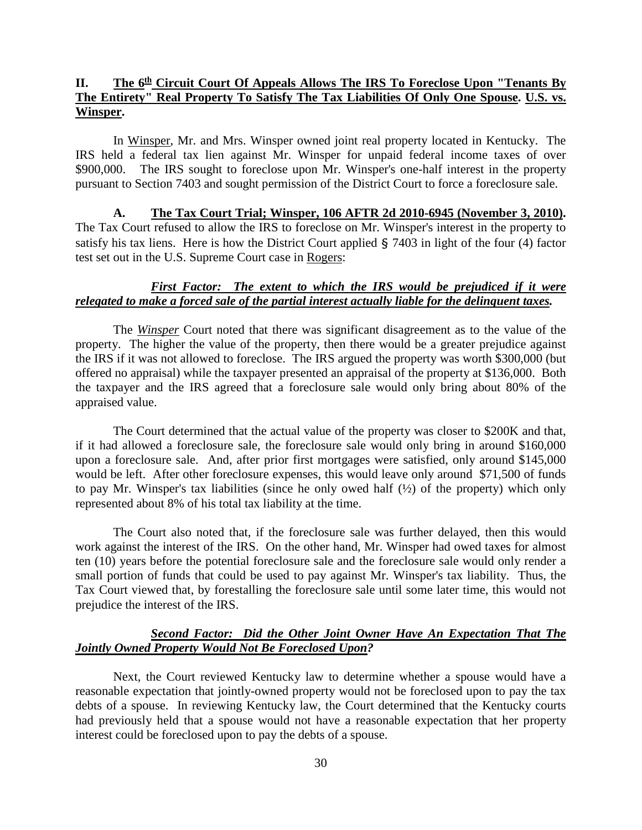# **II. The 6th Circuit Court Of Appeals Allows The IRS To Foreclose Upon "Tenants By The Entirety" Real Property To Satisfy The Tax Liabilities Of Only One Spouse. U.S. vs. Winsper.**

In Winsper, Mr. and Mrs. Winsper owned joint real property located in Kentucky. The IRS held a federal tax lien against Mr. Winsper for unpaid federal income taxes of over \$900,000. The IRS sought to foreclose upon Mr. Winsper's one-half interest in the property pursuant to Section 7403 and sought permission of the District Court to force a foreclosure sale.

**A. The Tax Court Trial; Winsper, 106 AFTR 2d 2010-6945 (November 3, 2010).**  The Tax Court refused to allow the IRS to foreclose on Mr. Winsper's interest in the property to satisfy his tax liens. Here is how the District Court applied § 7403 in light of the four (4) factor test set out in the U.S. Supreme Court case in Rogers:

## *First Factor: The extent to which the IRS would be prejudiced if it were relegated to make a forced sale of the partial interest actually liable for the delinquent taxes.*

The *Winsper* Court noted that there was significant disagreement as to the value of the property. The higher the value of the property, then there would be a greater prejudice against the IRS if it was not allowed to foreclose. The IRS argued the property was worth \$300,000 (but offered no appraisal) while the taxpayer presented an appraisal of the property at \$136,000. Both the taxpayer and the IRS agreed that a foreclosure sale would only bring about 80% of the appraised value.

The Court determined that the actual value of the property was closer to \$200K and that, if it had allowed a foreclosure sale, the foreclosure sale would only bring in around \$160,000 upon a foreclosure sale. And, after prior first mortgages were satisfied, only around \$145,000 would be left. After other foreclosure expenses, this would leave only around \$71,500 of funds to pay Mr. Winsper's tax liabilities (since he only owed half  $(\frac{1}{2})$  of the property) which only represented about 8% of his total tax liability at the time.

The Court also noted that, if the foreclosure sale was further delayed, then this would work against the interest of the IRS. On the other hand, Mr. Winsper had owed taxes for almost ten (10) years before the potential foreclosure sale and the foreclosure sale would only render a small portion of funds that could be used to pay against Mr. Winsper's tax liability. Thus, the Tax Court viewed that, by forestalling the foreclosure sale until some later time, this would not prejudice the interest of the IRS.

# *Second Factor: Did the Other Joint Owner Have An Expectation That The Jointly Owned Property Would Not Be Foreclosed Upon?*

Next, the Court reviewed Kentucky law to determine whether a spouse would have a reasonable expectation that jointly-owned property would not be foreclosed upon to pay the tax debts of a spouse. In reviewing Kentucky law, the Court determined that the Kentucky courts had previously held that a spouse would not have a reasonable expectation that her property interest could be foreclosed upon to pay the debts of a spouse.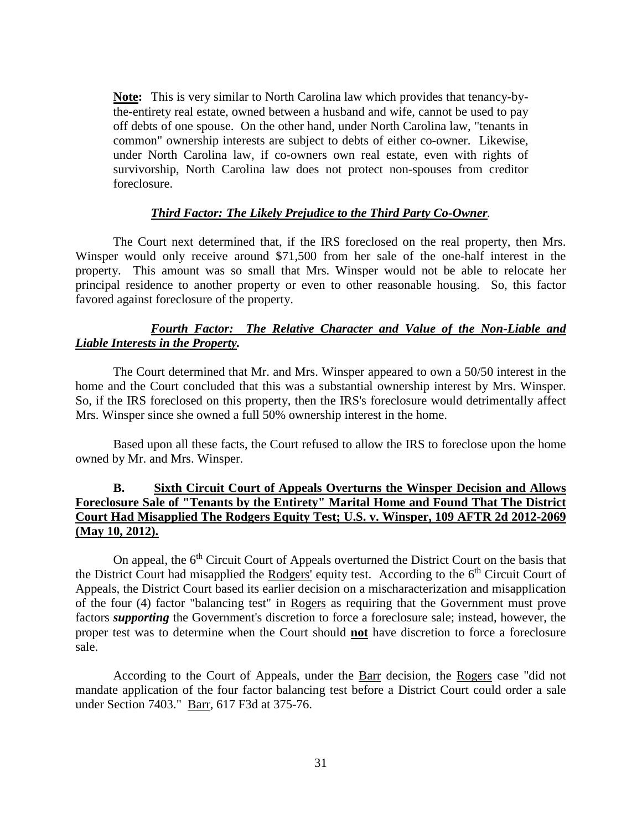**Note:** This is very similar to North Carolina law which provides that tenancy-bythe-entirety real estate, owned between a husband and wife, cannot be used to pay off debts of one spouse. On the other hand, under North Carolina law, "tenants in common" ownership interests are subject to debts of either co-owner. Likewise, under North Carolina law, if co-owners own real estate, even with rights of survivorship, North Carolina law does not protect non-spouses from creditor foreclosure.

#### *Third Factor: The Likely Prejudice to the Third Party Co-Owner.*

The Court next determined that, if the IRS foreclosed on the real property, then Mrs. Winsper would only receive around \$71,500 from her sale of the one-half interest in the property. This amount was so small that Mrs. Winsper would not be able to relocate her principal residence to another property or even to other reasonable housing. So, this factor favored against foreclosure of the property.

## *Fourth Factor: The Relative Character and Value of the Non-Liable and Liable Interests in the Property.*

The Court determined that Mr. and Mrs. Winsper appeared to own a 50/50 interest in the home and the Court concluded that this was a substantial ownership interest by Mrs. Winsper. So, if the IRS foreclosed on this property, then the IRS's foreclosure would detrimentally affect Mrs. Winsper since she owned a full 50% ownership interest in the home.

Based upon all these facts, the Court refused to allow the IRS to foreclose upon the home owned by Mr. and Mrs. Winsper.

# **B. Sixth Circuit Court of Appeals Overturns the Winsper Decision and Allows Foreclosure Sale of "Tenants by the Entirety" Marital Home and Found That The District Court Had Misapplied The Rodgers Equity Test; U.S. v. Winsper, 109 AFTR 2d 2012-2069 (May 10, 2012).**

On appeal, the  $6<sup>th</sup>$  Circuit Court of Appeals overturned the District Court on the basis that the District Court had misapplied the Rodgers' equity test. According to the  $6<sup>th</sup>$  Circuit Court of Appeals, the District Court based its earlier decision on a mischaracterization and misapplication of the four (4) factor "balancing test" in Rogers as requiring that the Government must prove factors *supporting* the Government's discretion to force a foreclosure sale; instead, however, the proper test was to determine when the Court should **not** have discretion to force a foreclosure sale.

According to the Court of Appeals, under the Barr decision, the Rogers case "did not mandate application of the four factor balancing test before a District Court could order a sale under Section 7403." Barr, 617 F3d at 375-76.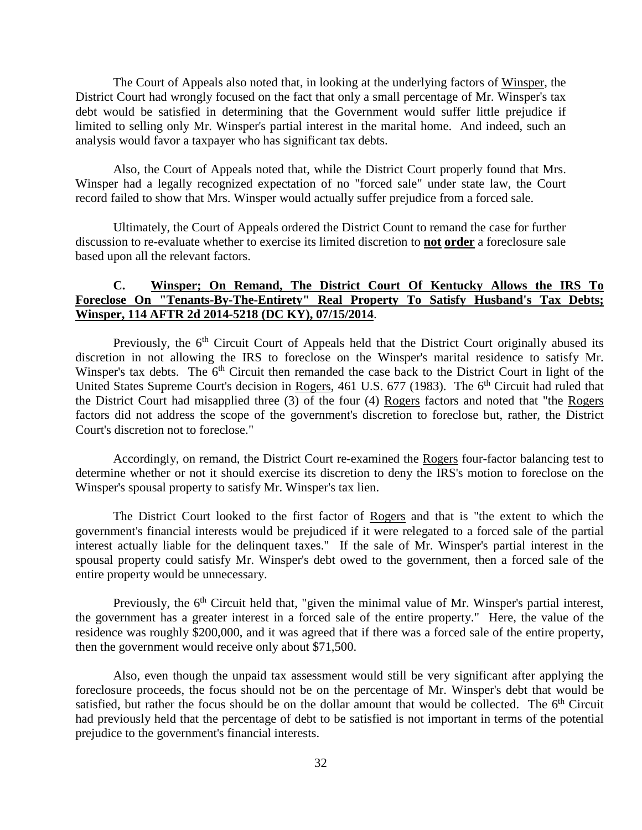The Court of Appeals also noted that, in looking at the underlying factors of Winsper, the District Court had wrongly focused on the fact that only a small percentage of Mr. Winsper's tax debt would be satisfied in determining that the Government would suffer little prejudice if limited to selling only Mr. Winsper's partial interest in the marital home. And indeed, such an analysis would favor a taxpayer who has significant tax debts.

Also, the Court of Appeals noted that, while the District Court properly found that Mrs. Winsper had a legally recognized expectation of no "forced sale" under state law, the Court record failed to show that Mrs. Winsper would actually suffer prejudice from a forced sale.

Ultimately, the Court of Appeals ordered the District Count to remand the case for further discussion to re-evaluate whether to exercise its limited discretion to **not order** a foreclosure sale based upon all the relevant factors.

# **C. Winsper; On Remand, The District Court Of Kentucky Allows the IRS To Foreclose On "Tenants-By-The-Entirety" Real Property To Satisfy Husband's Tax Debts; Winsper, 114 AFTR 2d 2014-5218 (DC KY), 07/15/2014**.

Previously, the 6<sup>th</sup> Circuit Court of Appeals held that the District Court originally abused its discretion in not allowing the IRS to foreclose on the Winsper's marital residence to satisfy Mr. Winsper's tax debts. The  $6<sup>th</sup>$  Circuit then remanded the case back to the District Court in light of the United States Supreme Court's decision in Rogers, 461 U.S. 677 (1983). The  $6<sup>th</sup>$  Circuit had ruled that the District Court had misapplied three (3) of the four (4) Rogers factors and noted that "the Rogers factors did not address the scope of the government's discretion to foreclose but, rather, the District Court's discretion not to foreclose."

Accordingly, on remand, the District Court re-examined the Rogers four-factor balancing test to determine whether or not it should exercise its discretion to deny the IRS's motion to foreclose on the Winsper's spousal property to satisfy Mr. Winsper's tax lien.

The District Court looked to the first factor of Rogers and that is "the extent to which the government's financial interests would be prejudiced if it were relegated to a forced sale of the partial interest actually liable for the delinquent taxes." If the sale of Mr. Winsper's partial interest in the spousal property could satisfy Mr. Winsper's debt owed to the government, then a forced sale of the entire property would be unnecessary.

Previously, the 6<sup>th</sup> Circuit held that, "given the minimal value of Mr. Winsper's partial interest, the government has a greater interest in a forced sale of the entire property." Here, the value of the residence was roughly \$200,000, and it was agreed that if there was a forced sale of the entire property, then the government would receive only about \$71,500.

Also, even though the unpaid tax assessment would still be very significant after applying the foreclosure proceeds, the focus should not be on the percentage of Mr. Winsper's debt that would be satisfied, but rather the focus should be on the dollar amount that would be collected. The  $6<sup>th</sup>$  Circuit had previously held that the percentage of debt to be satisfied is not important in terms of the potential prejudice to the government's financial interests.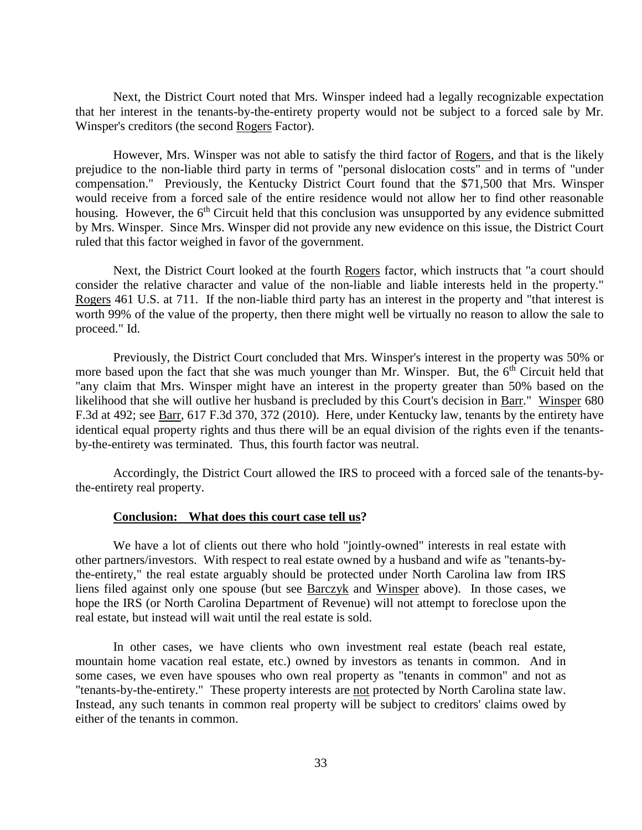Next, the District Court noted that Mrs. Winsper indeed had a legally recognizable expectation that her interest in the tenants-by-the-entirety property would not be subject to a forced sale by Mr. Winsper's creditors (the second Rogers Factor).

However, Mrs. Winsper was not able to satisfy the third factor of Rogers, and that is the likely prejudice to the non-liable third party in terms of "personal dislocation costs" and in terms of "under compensation." Previously, the Kentucky District Court found that the \$71,500 that Mrs. Winsper would receive from a forced sale of the entire residence would not allow her to find other reasonable housing. However, the 6<sup>th</sup> Circuit held that this conclusion was unsupported by any evidence submitted by Mrs. Winsper. Since Mrs. Winsper did not provide any new evidence on this issue, the District Court ruled that this factor weighed in favor of the government.

Next, the District Court looked at the fourth Rogers factor, which instructs that "a court should consider the relative character and value of the non-liable and liable interests held in the property." Rogers 461 U.S. at 711. If the non-liable third party has an interest in the property and "that interest is worth 99% of the value of the property, then there might well be virtually no reason to allow the sale to proceed." Id.

Previously, the District Court concluded that Mrs. Winsper's interest in the property was 50% or more based upon the fact that she was much younger than Mr. Winsper. But, the 6<sup>th</sup> Circuit held that "any claim that Mrs. Winsper might have an interest in the property greater than 50% based on the likelihood that she will outlive her husband is precluded by this Court's decision in Barr." Winsper 680 F.3d at 492; see Barr, 617 F.3d 370, 372 (2010). Here, under Kentucky law, tenants by the entirety have identical equal property rights and thus there will be an equal division of the rights even if the tenantsby-the-entirety was terminated. Thus, this fourth factor was neutral.

Accordingly, the District Court allowed the IRS to proceed with a forced sale of the tenants-bythe-entirety real property.

### **Conclusion: What does this court case tell us?**

We have a lot of clients out there who hold "jointly-owned" interests in real estate with other partners/investors. With respect to real estate owned by a husband and wife as "tenants-bythe-entirety," the real estate arguably should be protected under North Carolina law from IRS liens filed against only one spouse (but see Barczyk and Winsper above). In those cases, we hope the IRS (or North Carolina Department of Revenue) will not attempt to foreclose upon the real estate, but instead will wait until the real estate is sold.

In other cases, we have clients who own investment real estate (beach real estate, mountain home vacation real estate, etc.) owned by investors as tenants in common. And in some cases, we even have spouses who own real property as "tenants in common" and not as "tenants-by-the-entirety." These property interests are not protected by North Carolina state law. Instead, any such tenants in common real property will be subject to creditors' claims owed by either of the tenants in common.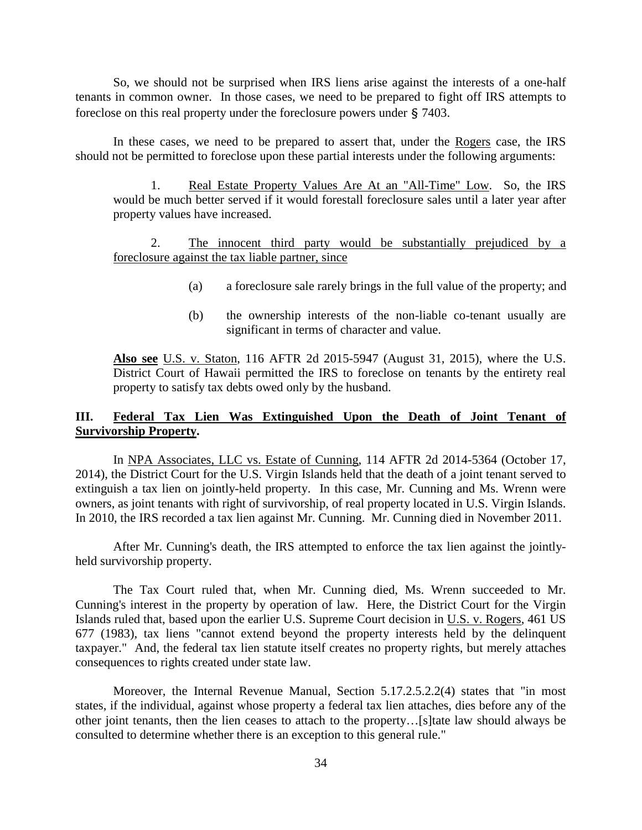So, we should not be surprised when IRS liens arise against the interests of a one-half tenants in common owner. In those cases, we need to be prepared to fight off IRS attempts to foreclose on this real property under the foreclosure powers under § 7403.

In these cases, we need to be prepared to assert that, under the Rogers case, the IRS should not be permitted to foreclose upon these partial interests under the following arguments:

1. Real Estate Property Values Are At an "All-Time" Low. So, the IRS would be much better served if it would forestall foreclosure sales until a later year after property values have increased.

2. The innocent third party would be substantially prejudiced by a foreclosure against the tax liable partner, since

- (a) a foreclosure sale rarely brings in the full value of the property; and
- (b) the ownership interests of the non-liable co-tenant usually are significant in terms of character and value.

**Also see** U.S. v. Staton, 116 AFTR 2d 2015-5947 (August 31, 2015), where the U.S. District Court of Hawaii permitted the IRS to foreclose on tenants by the entirety real property to satisfy tax debts owed only by the husband.

# **III. Federal Tax Lien Was Extinguished Upon the Death of Joint Tenant of Survivorship Property.**

In NPA Associates, LLC vs. Estate of Cunning, 114 AFTR 2d 2014-5364 (October 17, 2014), the District Court for the U.S. Virgin Islands held that the death of a joint tenant served to extinguish a tax lien on jointly-held property. In this case, Mr. Cunning and Ms. Wrenn were owners, as joint tenants with right of survivorship, of real property located in U.S. Virgin Islands. In 2010, the IRS recorded a tax lien against Mr. Cunning. Mr. Cunning died in November 2011.

After Mr. Cunning's death, the IRS attempted to enforce the tax lien against the jointlyheld survivorship property.

The Tax Court ruled that, when Mr. Cunning died, Ms. Wrenn succeeded to Mr. Cunning's interest in the property by operation of law. Here, the District Court for the Virgin Islands ruled that, based upon the earlier U.S. Supreme Court decision in U.S. v. Rogers, 461 US 677 (1983), tax liens "cannot extend beyond the property interests held by the delinquent taxpayer." And, the federal tax lien statute itself creates no property rights, but merely attaches consequences to rights created under state law.

Moreover, the Internal Revenue Manual, Section 5.17.2.5.2.2(4) states that "in most states, if the individual, against whose property a federal tax lien attaches, dies before any of the other joint tenants, then the lien ceases to attach to the property…[s]tate law should always be consulted to determine whether there is an exception to this general rule."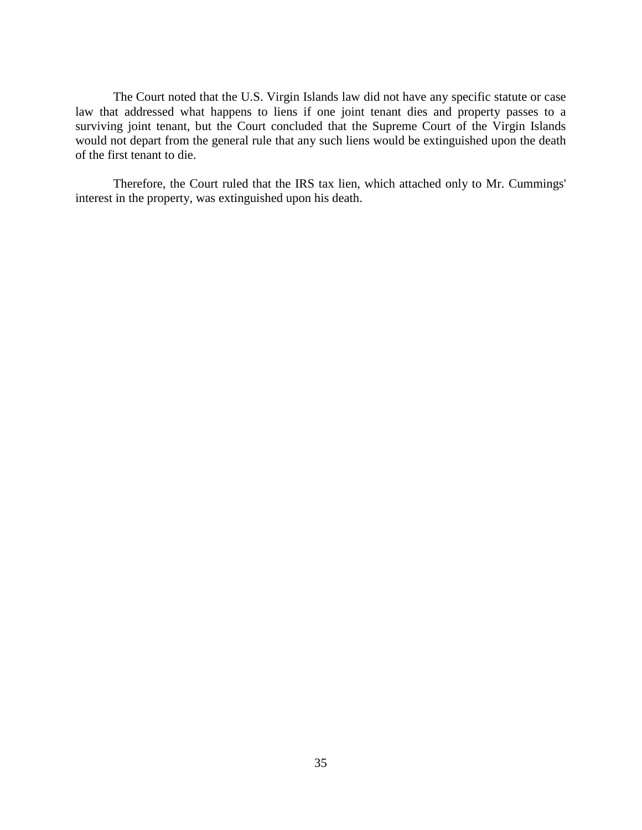The Court noted that the U.S. Virgin Islands law did not have any specific statute or case law that addressed what happens to liens if one joint tenant dies and property passes to a surviving joint tenant, but the Court concluded that the Supreme Court of the Virgin Islands would not depart from the general rule that any such liens would be extinguished upon the death of the first tenant to die.

Therefore, the Court ruled that the IRS tax lien, which attached only to Mr. Cummings' interest in the property, was extinguished upon his death.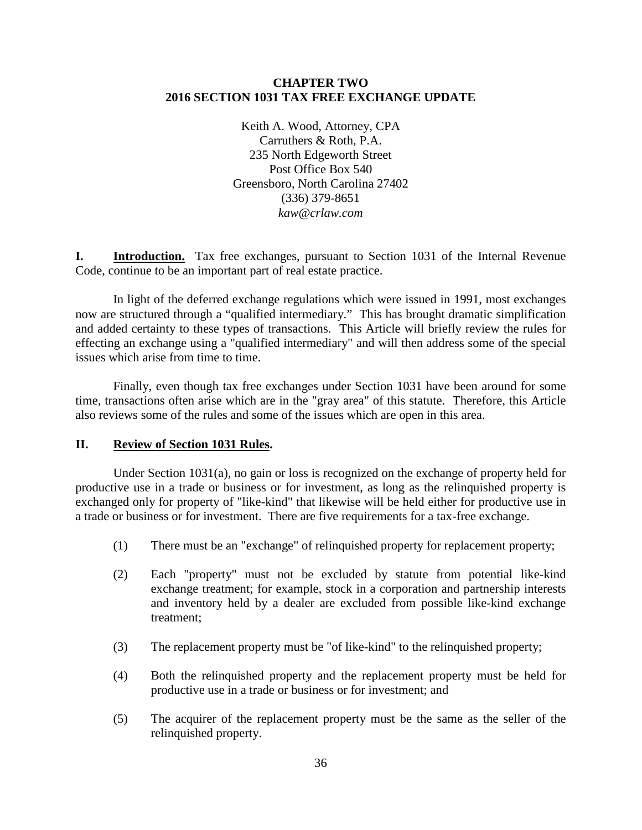## **CHAPTER TWO 2016 SECTION 1031 TAX FREE EXCHANGE UPDATE**

Keith A. Wood, Attorney, CPA Carruthers & Roth, P.A. 235 North Edgeworth Street Post Office Box 540 Greensboro, North Carolina 27402 (336) 379-8651 *kaw@crlaw.com*

**I. Introduction.** Tax free exchanges, pursuant to Section 1031 of the Internal Revenue Code, continue to be an important part of real estate practice.

In light of the deferred exchange regulations which were issued in 1991, most exchanges now are structured through a "qualified intermediary." This has brought dramatic simplification and added certainty to these types of transactions. This Article will briefly review the rules for effecting an exchange using a "qualified intermediary" and will then address some of the special issues which arise from time to time.

Finally, even though tax free exchanges under Section 1031 have been around for some time, transactions often arise which are in the "gray area" of this statute. Therefore, this Article also reviews some of the rules and some of the issues which are open in this area.

# **II. Review of Section 1031 Rules.**

Under Section 1031(a), no gain or loss is recognized on the exchange of property held for productive use in a trade or business or for investment, as long as the relinquished property is exchanged only for property of "like-kind" that likewise will be held either for productive use in a trade or business or for investment. There are five requirements for a tax-free exchange.

- (1) There must be an "exchange" of relinquished property for replacement property;
- (2) Each "property" must not be excluded by statute from potential like-kind exchange treatment; for example, stock in a corporation and partnership interests and inventory held by a dealer are excluded from possible like-kind exchange treatment;
- (3) The replacement property must be "of like-kind" to the relinquished property;
- (4) Both the relinquished property and the replacement property must be held for productive use in a trade or business or for investment; and
- (5) The acquirer of the replacement property must be the same as the seller of the relinquished property.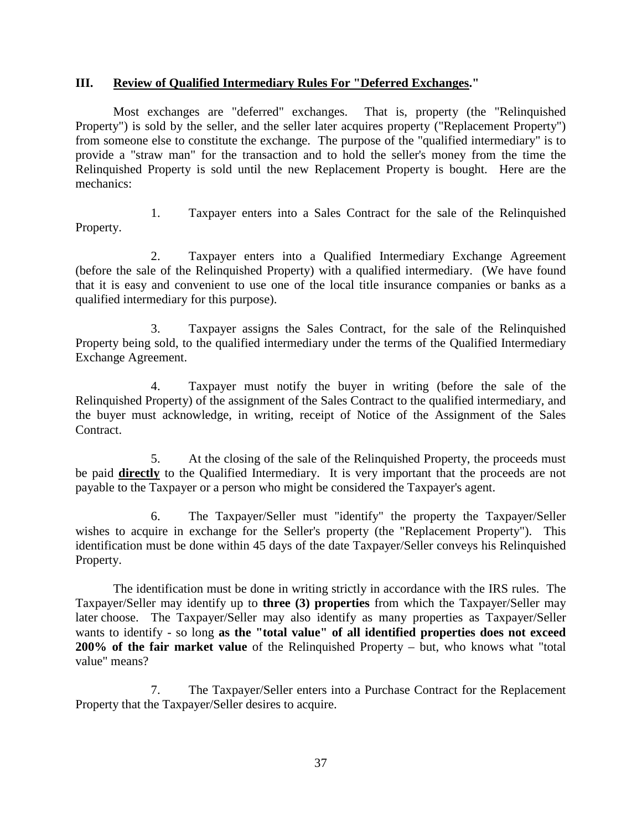## **III. Review of Qualified Intermediary Rules For "Deferred Exchanges."**

Most exchanges are "deferred" exchanges. That is, property (the "Relinquished Property") is sold by the seller, and the seller later acquires property ("Replacement Property") from someone else to constitute the exchange. The purpose of the "qualified intermediary" is to provide a "straw man" for the transaction and to hold the seller's money from the time the Relinquished Property is sold until the new Replacement Property is bought. Here are the mechanics:

Property.

1. Taxpayer enters into a Sales Contract for the sale of the Relinquished

2. Taxpayer enters into a Qualified Intermediary Exchange Agreement (before the sale of the Relinquished Property) with a qualified intermediary. (We have found that it is easy and convenient to use one of the local title insurance companies or banks as a qualified intermediary for this purpose).

3. Taxpayer assigns the Sales Contract, for the sale of the Relinquished Property being sold, to the qualified intermediary under the terms of the Qualified Intermediary Exchange Agreement.

4. Taxpayer must notify the buyer in writing (before the sale of the Relinquished Property) of the assignment of the Sales Contract to the qualified intermediary, and the buyer must acknowledge, in writing, receipt of Notice of the Assignment of the Sales Contract.

5. At the closing of the sale of the Relinquished Property, the proceeds must be paid **directly** to the Qualified Intermediary. It is very important that the proceeds are not payable to the Taxpayer or a person who might be considered the Taxpayer's agent.

6. The Taxpayer/Seller must "identify" the property the Taxpayer/Seller wishes to acquire in exchange for the Seller's property (the "Replacement Property"). This identification must be done within 45 days of the date Taxpayer/Seller conveys his Relinquished Property.

The identification must be done in writing strictly in accordance with the IRS rules. The Taxpayer/Seller may identify up to **three (3) properties** from which the Taxpayer/Seller may later choose. The Taxpayer/Seller may also identify as many properties as Taxpayer/Seller wants to identify - so long **as the "total value" of all identified properties does not exceed 200% of the fair market value** of the Relinquished Property – but, who knows what "total value" means?

7. The Taxpayer/Seller enters into a Purchase Contract for the Replacement Property that the Taxpayer/Seller desires to acquire.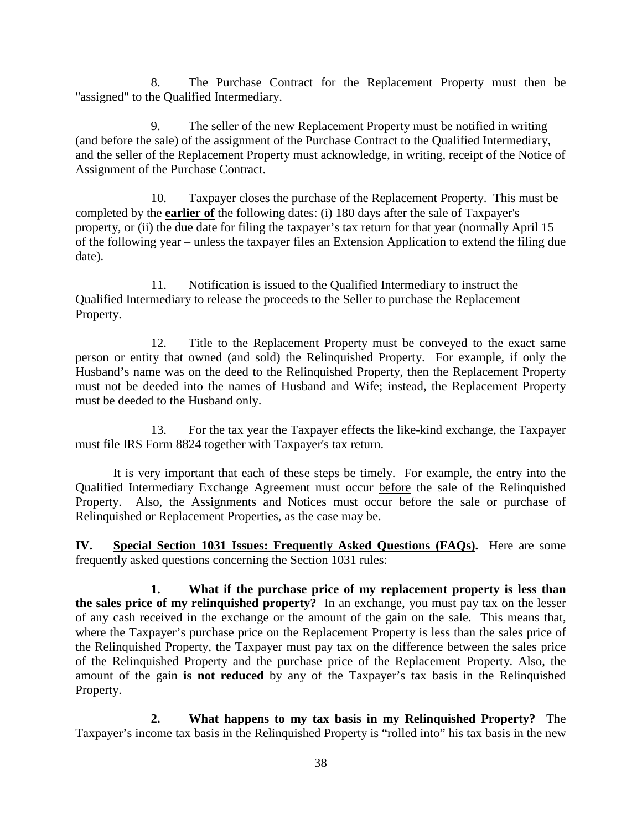8. The Purchase Contract for the Replacement Property must then be "assigned" to the Qualified Intermediary.

9. The seller of the new Replacement Property must be notified in writing (and before the sale) of the assignment of the Purchase Contract to the Qualified Intermediary, and the seller of the Replacement Property must acknowledge, in writing, receipt of the Notice of Assignment of the Purchase Contract.

10. Taxpayer closes the purchase of the Replacement Property. This must be completed by the **earlier of** the following dates: (i) 180 days after the sale of Taxpayer's property, or (ii) the due date for filing the taxpayer's tax return for that year (normally April 15 of the following year – unless the taxpayer files an Extension Application to extend the filing due date).

11. Notification is issued to the Qualified Intermediary to instruct the Qualified Intermediary to release the proceeds to the Seller to purchase the Replacement Property.

12. Title to the Replacement Property must be conveyed to the exact same person or entity that owned (and sold) the Relinquished Property. For example, if only the Husband's name was on the deed to the Relinquished Property, then the Replacement Property must not be deeded into the names of Husband and Wife; instead, the Replacement Property must be deeded to the Husband only.

13. For the tax year the Taxpayer effects the like-kind exchange, the Taxpayer must file IRS Form 8824 together with Taxpayer's tax return.

It is very important that each of these steps be timely. For example, the entry into the Qualified Intermediary Exchange Agreement must occur before the sale of the Relinquished Property. Also, the Assignments and Notices must occur before the sale or purchase of Relinquished or Replacement Properties, as the case may be.

**IV. Special Section 1031 Issues: Frequently Asked Questions (FAQs).** Here are some frequently asked questions concerning the Section 1031 rules:

**1. What if the purchase price of my replacement property is less than the sales price of my relinquished property?** In an exchange, you must pay tax on the lesser of any cash received in the exchange or the amount of the gain on the sale. This means that, where the Taxpayer's purchase price on the Replacement Property is less than the sales price of the Relinquished Property, the Taxpayer must pay tax on the difference between the sales price of the Relinquished Property and the purchase price of the Replacement Property. Also, the amount of the gain **is not reduced** by any of the Taxpayer's tax basis in the Relinquished Property.

**2. What happens to my tax basis in my Relinquished Property?** The Taxpayer's income tax basis in the Relinquished Property is "rolled into" his tax basis in the new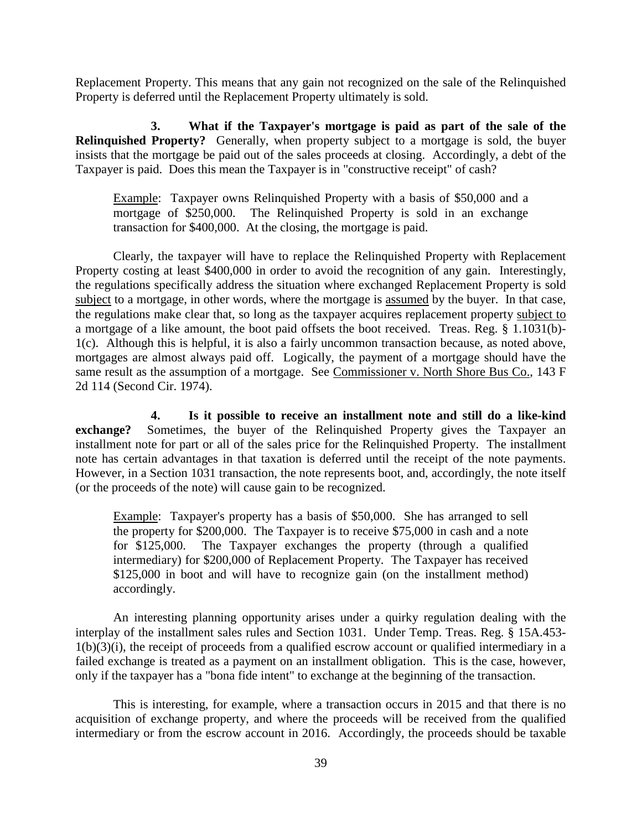Replacement Property. This means that any gain not recognized on the sale of the Relinquished Property is deferred until the Replacement Property ultimately is sold.

**3. What if the Taxpayer's mortgage is paid as part of the sale of the Relinquished Property?** Generally, when property subject to a mortgage is sold, the buyer insists that the mortgage be paid out of the sales proceeds at closing. Accordingly, a debt of the Taxpayer is paid. Does this mean the Taxpayer is in "constructive receipt" of cash?

Example: Taxpayer owns Relinquished Property with a basis of \$50,000 and a mortgage of \$250,000. The Relinquished Property is sold in an exchange transaction for \$400,000. At the closing, the mortgage is paid.

Clearly, the taxpayer will have to replace the Relinquished Property with Replacement Property costing at least \$400,000 in order to avoid the recognition of any gain. Interestingly, the regulations specifically address the situation where exchanged Replacement Property is sold subject to a mortgage, in other words, where the mortgage is assumed by the buyer. In that case, the regulations make clear that, so long as the taxpayer acquires replacement property subject to a mortgage of a like amount, the boot paid offsets the boot received. Treas. Reg. § 1.1031(b)- 1(c). Although this is helpful, it is also a fairly uncommon transaction because, as noted above, mortgages are almost always paid off. Logically, the payment of a mortgage should have the same result as the assumption of a mortgage. See Commissioner v. North Shore Bus Co., 143 F 2d 114 (Second Cir. 1974).

**4. Is it possible to receive an installment note and still do a like-kind exchange?** Sometimes, the buyer of the Relinquished Property gives the Taxpayer an installment note for part or all of the sales price for the Relinquished Property. The installment note has certain advantages in that taxation is deferred until the receipt of the note payments. However, in a Section 1031 transaction, the note represents boot, and, accordingly, the note itself (or the proceeds of the note) will cause gain to be recognized.

Example: Taxpayer's property has a basis of \$50,000. She has arranged to sell the property for \$200,000. The Taxpayer is to receive \$75,000 in cash and a note for \$125,000. The Taxpayer exchanges the property (through a qualified intermediary) for \$200,000 of Replacement Property. The Taxpayer has received \$125,000 in boot and will have to recognize gain (on the installment method) accordingly.

An interesting planning opportunity arises under a quirky regulation dealing with the interplay of the installment sales rules and Section 1031. Under Temp. Treas. Reg. § 15A.453-  $1(b)(3)(i)$ , the receipt of proceeds from a qualified escrow account or qualified intermediary in a failed exchange is treated as a payment on an installment obligation. This is the case, however, only if the taxpayer has a "bona fide intent" to exchange at the beginning of the transaction.

This is interesting, for example, where a transaction occurs in 2015 and that there is no acquisition of exchange property, and where the proceeds will be received from the qualified intermediary or from the escrow account in 2016. Accordingly, the proceeds should be taxable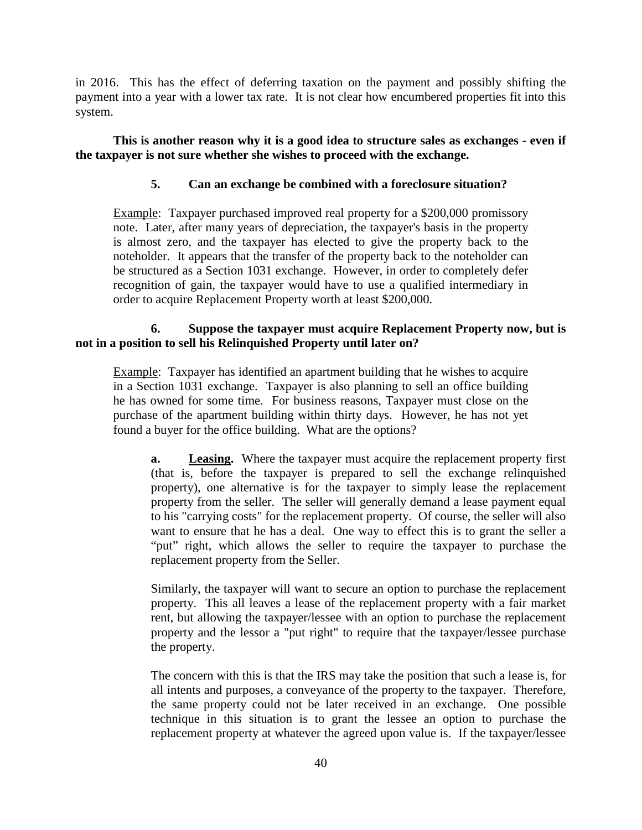in 2016. This has the effect of deferring taxation on the payment and possibly shifting the payment into a year with a lower tax rate. It is not clear how encumbered properties fit into this system.

**This is another reason why it is a good idea to structure sales as exchanges - even if the taxpayer is not sure whether she wishes to proceed with the exchange.**

# **5. Can an exchange be combined with a foreclosure situation?**

Example: Taxpayer purchased improved real property for a \$200,000 promissory note. Later, after many years of depreciation, the taxpayer's basis in the property is almost zero, and the taxpayer has elected to give the property back to the noteholder. It appears that the transfer of the property back to the noteholder can be structured as a Section 1031 exchange. However, in order to completely defer recognition of gain, the taxpayer would have to use a qualified intermediary in order to acquire Replacement Property worth at least \$200,000.

# **6. Suppose the taxpayer must acquire Replacement Property now, but is not in a position to sell his Relinquished Property until later on?**

Example: Taxpayer has identified an apartment building that he wishes to acquire in a Section 1031 exchange. Taxpayer is also planning to sell an office building he has owned for some time. For business reasons, Taxpayer must close on the purchase of the apartment building within thirty days. However, he has not yet found a buyer for the office building. What are the options?

**a. Leasing.** Where the taxpayer must acquire the replacement property first (that is, before the taxpayer is prepared to sell the exchange relinquished property), one alternative is for the taxpayer to simply lease the replacement property from the seller. The seller will generally demand a lease payment equal to his "carrying costs" for the replacement property. Of course, the seller will also want to ensure that he has a deal. One way to effect this is to grant the seller a "put" right, which allows the seller to require the taxpayer to purchase the replacement property from the Seller.

Similarly, the taxpayer will want to secure an option to purchase the replacement property. This all leaves a lease of the replacement property with a fair market rent, but allowing the taxpayer/lessee with an option to purchase the replacement property and the lessor a "put right" to require that the taxpayer/lessee purchase the property.

The concern with this is that the IRS may take the position that such a lease is, for all intents and purposes, a conveyance of the property to the taxpayer. Therefore, the same property could not be later received in an exchange. One possible technique in this situation is to grant the lessee an option to purchase the replacement property at whatever the agreed upon value is. If the taxpayer/lessee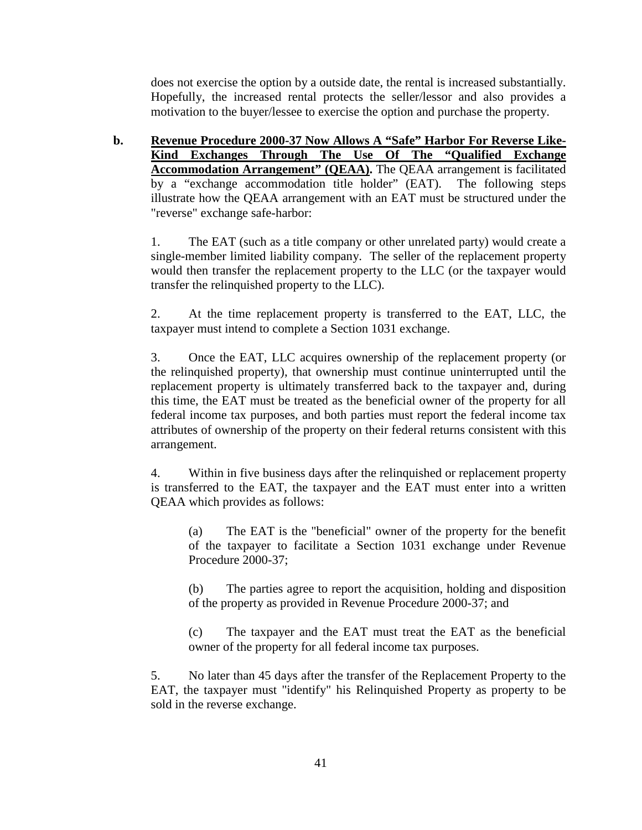does not exercise the option by a outside date, the rental is increased substantially. Hopefully, the increased rental protects the seller/lessor and also provides a motivation to the buyer/lessee to exercise the option and purchase the property.

**b. Revenue Procedure 2000-37 Now Allows A "Safe" Harbor For Reverse Like-Kind Exchanges Through The Use Of The "Qualified Exchange Accommodation Arrangement" (QEAA).** The QEAA arrangement is facilitated by a "exchange accommodation title holder" (EAT). The following steps illustrate how the QEAA arrangement with an EAT must be structured under the "reverse" exchange safe-harbor:

1. The EAT (such as a title company or other unrelated party) would create a single-member limited liability company. The seller of the replacement property would then transfer the replacement property to the LLC (or the taxpayer would transfer the relinquished property to the LLC).

2. At the time replacement property is transferred to the EAT, LLC, the taxpayer must intend to complete a Section 1031 exchange.

3. Once the EAT, LLC acquires ownership of the replacement property (or the relinquished property), that ownership must continue uninterrupted until the replacement property is ultimately transferred back to the taxpayer and, during this time, the EAT must be treated as the beneficial owner of the property for all federal income tax purposes, and both parties must report the federal income tax attributes of ownership of the property on their federal returns consistent with this arrangement.

4. Within in five business days after the relinquished or replacement property is transferred to the EAT, the taxpayer and the EAT must enter into a written QEAA which provides as follows:

(a) The EAT is the "beneficial" owner of the property for the benefit of the taxpayer to facilitate a Section 1031 exchange under Revenue Procedure 2000-37;

(b) The parties agree to report the acquisition, holding and disposition of the property as provided in Revenue Procedure 2000-37; and

(c) The taxpayer and the EAT must treat the EAT as the beneficial owner of the property for all federal income tax purposes.

5. No later than 45 days after the transfer of the Replacement Property to the EAT, the taxpayer must "identify" his Relinquished Property as property to be sold in the reverse exchange.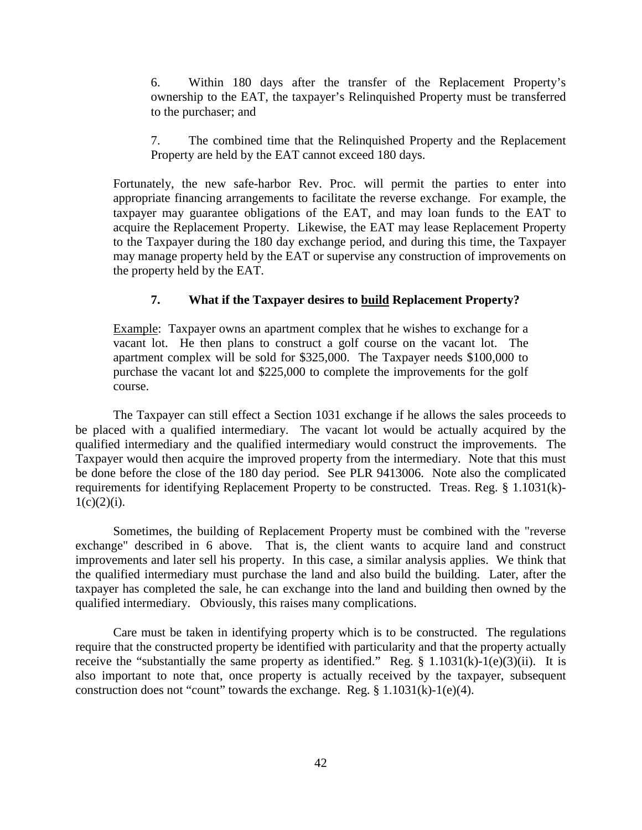6. Within 180 days after the transfer of the Replacement Property's ownership to the EAT, the taxpayer's Relinquished Property must be transferred to the purchaser; and

7. The combined time that the Relinquished Property and the Replacement Property are held by the EAT cannot exceed 180 days.

Fortunately, the new safe-harbor Rev. Proc. will permit the parties to enter into appropriate financing arrangements to facilitate the reverse exchange. For example, the taxpayer may guarantee obligations of the EAT, and may loan funds to the EAT to acquire the Replacement Property. Likewise, the EAT may lease Replacement Property to the Taxpayer during the 180 day exchange period, and during this time, the Taxpayer may manage property held by the EAT or supervise any construction of improvements on the property held by the EAT.

# **7. What if the Taxpayer desires to build Replacement Property?**

Example: Taxpayer owns an apartment complex that he wishes to exchange for a vacant lot. He then plans to construct a golf course on the vacant lot. The apartment complex will be sold for \$325,000. The Taxpayer needs \$100,000 to purchase the vacant lot and \$225,000 to complete the improvements for the golf course.

The Taxpayer can still effect a Section 1031 exchange if he allows the sales proceeds to be placed with a qualified intermediary. The vacant lot would be actually acquired by the qualified intermediary and the qualified intermediary would construct the improvements. The Taxpayer would then acquire the improved property from the intermediary. Note that this must be done before the close of the 180 day period. See PLR 9413006. Note also the complicated requirements for identifying Replacement Property to be constructed. Treas. Reg. § 1.1031(k)-  $1(c)(2)(i)$ .

Sometimes, the building of Replacement Property must be combined with the "reverse exchange" described in 6 above. That is, the client wants to acquire land and construct improvements and later sell his property. In this case, a similar analysis applies. We think that the qualified intermediary must purchase the land and also build the building. Later, after the taxpayer has completed the sale, he can exchange into the land and building then owned by the qualified intermediary. Obviously, this raises many complications.

Care must be taken in identifying property which is to be constructed. The regulations require that the constructed property be identified with particularity and that the property actually receive the "substantially the same property as identified." Reg.  $\S$  1.1031(k)-1(e)(3)(ii). It is also important to note that, once property is actually received by the taxpayer, subsequent construction does not "count" towards the exchange. Reg.  $\S 1.1031(k)-1(e)(4)$ .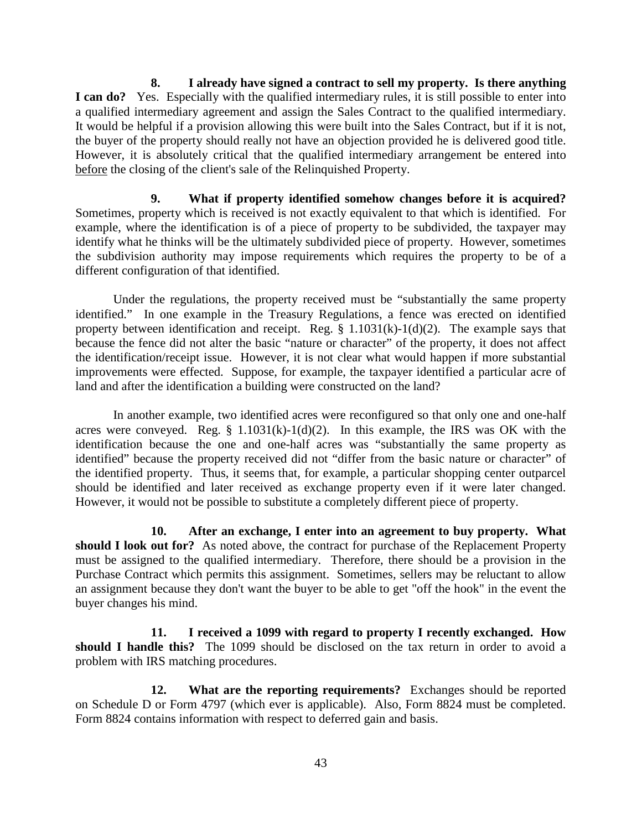**8. I already have signed a contract to sell my property. Is there anything I can do?** Yes. Especially with the qualified intermediary rules, it is still possible to enter into a qualified intermediary agreement and assign the Sales Contract to the qualified intermediary. It would be helpful if a provision allowing this were built into the Sales Contract, but if it is not, the buyer of the property should really not have an objection provided he is delivered good title. However, it is absolutely critical that the qualified intermediary arrangement be entered into before the closing of the client's sale of the Relinquished Property.

**9. What if property identified somehow changes before it is acquired?**  Sometimes, property which is received is not exactly equivalent to that which is identified. For example, where the identification is of a piece of property to be subdivided, the taxpayer may identify what he thinks will be the ultimately subdivided piece of property. However, sometimes the subdivision authority may impose requirements which requires the property to be of a different configuration of that identified.

Under the regulations, the property received must be "substantially the same property identified." In one example in the Treasury Regulations, a fence was erected on identified property between identification and receipt. Reg. § 1.1031(k)-1(d)(2). The example says that because the fence did not alter the basic "nature or character" of the property, it does not affect the identification/receipt issue. However, it is not clear what would happen if more substantial improvements were effected. Suppose, for example, the taxpayer identified a particular acre of land and after the identification a building were constructed on the land?

In another example, two identified acres were reconfigured so that only one and one-half acres were conveyed. Reg.  $\S$  1.1031(k)-1(d)(2). In this example, the IRS was OK with the identification because the one and one-half acres was "substantially the same property as identified" because the property received did not "differ from the basic nature or character" of the identified property. Thus, it seems that, for example, a particular shopping center outparcel should be identified and later received as exchange property even if it were later changed. However, it would not be possible to substitute a completely different piece of property.

**10. After an exchange, I enter into an agreement to buy property. What should I look out for?** As noted above, the contract for purchase of the Replacement Property must be assigned to the qualified intermediary. Therefore, there should be a provision in the Purchase Contract which permits this assignment. Sometimes, sellers may be reluctant to allow an assignment because they don't want the buyer to be able to get "off the hook" in the event the buyer changes his mind.

**11. I received a 1099 with regard to property I recently exchanged. How should I handle this?** The 1099 should be disclosed on the tax return in order to avoid a problem with IRS matching procedures.

**12. What are the reporting requirements?** Exchanges should be reported on Schedule D or Form 4797 (which ever is applicable). Also, Form 8824 must be completed. Form 8824 contains information with respect to deferred gain and basis.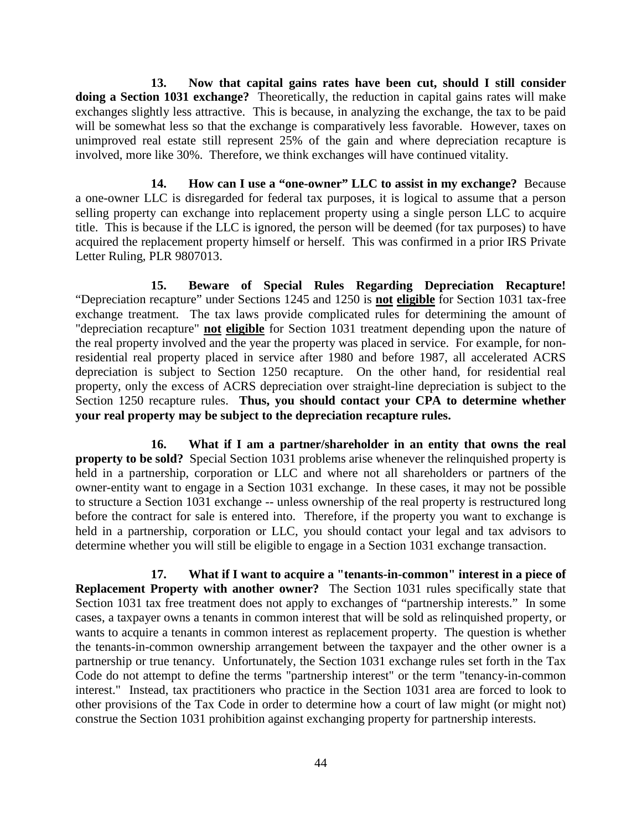**13. Now that capital gains rates have been cut, should I still consider doing a Section 1031 exchange?** Theoretically, the reduction in capital gains rates will make exchanges slightly less attractive. This is because, in analyzing the exchange, the tax to be paid will be somewhat less so that the exchange is comparatively less favorable. However, taxes on unimproved real estate still represent 25% of the gain and where depreciation recapture is involved, more like 30%. Therefore, we think exchanges will have continued vitality.

**14. How can I use a "one-owner" LLC to assist in my exchange?** Because a one-owner LLC is disregarded for federal tax purposes, it is logical to assume that a person selling property can exchange into replacement property using a single person LLC to acquire title. This is because if the LLC is ignored, the person will be deemed (for tax purposes) to have acquired the replacement property himself or herself. This was confirmed in a prior IRS Private Letter Ruling, PLR 9807013.

**15. Beware of Special Rules Regarding Depreciation Recapture!** "Depreciation recapture" under Sections 1245 and 1250 is **not eligible** for Section 1031 tax-free exchange treatment. The tax laws provide complicated rules for determining the amount of "depreciation recapture" **not eligible** for Section 1031 treatment depending upon the nature of the real property involved and the year the property was placed in service. For example, for nonresidential real property placed in service after 1980 and before 1987, all accelerated ACRS depreciation is subject to Section 1250 recapture. On the other hand, for residential real property, only the excess of ACRS depreciation over straight-line depreciation is subject to the Section 1250 recapture rules. **Thus, you should contact your CPA to determine whether your real property may be subject to the depreciation recapture rules.**

**16. What if I am a partner/shareholder in an entity that owns the real property to be sold?** Special Section 1031 problems arise whenever the relinquished property is held in a partnership, corporation or LLC and where not all shareholders or partners of the owner-entity want to engage in a Section 1031 exchange. In these cases, it may not be possible to structure a Section 1031 exchange -- unless ownership of the real property is restructured long before the contract for sale is entered into. Therefore, if the property you want to exchange is held in a partnership, corporation or LLC, you should contact your legal and tax advisors to determine whether you will still be eligible to engage in a Section 1031 exchange transaction.

**17. What if I want to acquire a "tenants-in-common" interest in a piece of Replacement Property with another owner?** The Section 1031 rules specifically state that Section 1031 tax free treatment does not apply to exchanges of "partnership interests." In some cases, a taxpayer owns a tenants in common interest that will be sold as relinquished property, or wants to acquire a tenants in common interest as replacement property. The question is whether the tenants-in-common ownership arrangement between the taxpayer and the other owner is a partnership or true tenancy. Unfortunately, the Section 1031 exchange rules set forth in the Tax Code do not attempt to define the terms "partnership interest" or the term "tenancy-in-common interest." Instead, tax practitioners who practice in the Section 1031 area are forced to look to other provisions of the Tax Code in order to determine how a court of law might (or might not) construe the Section 1031 prohibition against exchanging property for partnership interests.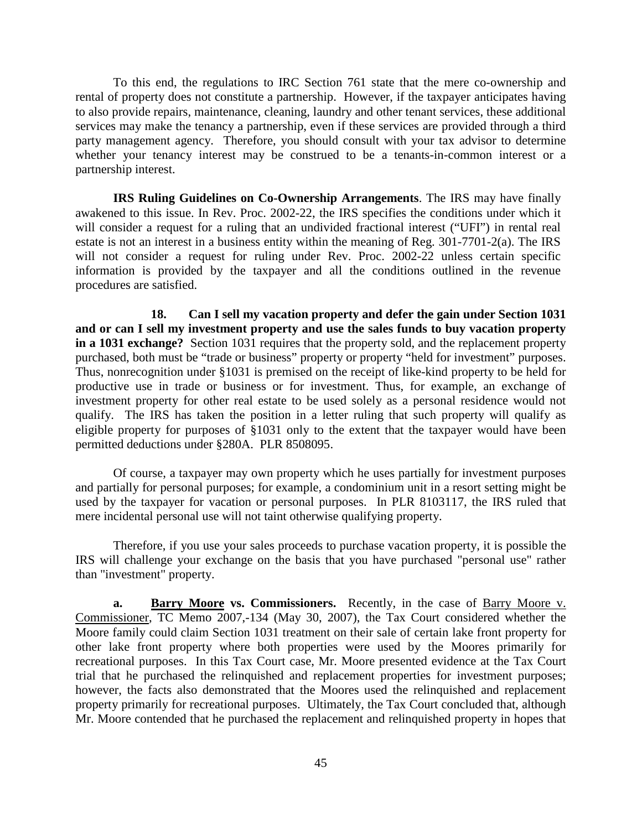To this end, the regulations to IRC Section 761 state that the mere co-ownership and rental of property does not constitute a partnership. However, if the taxpayer anticipates having to also provide repairs, maintenance, cleaning, laundry and other tenant services, these additional services may make the tenancy a partnership, even if these services are provided through a third party management agency. Therefore, you should consult with your tax advisor to determine whether your tenancy interest may be construed to be a tenants-in-common interest or a partnership interest.

**IRS Ruling Guidelines on Co-Ownership Arrangements**. The IRS may have finally awakened to this issue. In Rev. Proc. 2002-22, the IRS specifies the conditions under which it will consider a request for a ruling that an undivided fractional interest ("UFI") in rental real estate is not an interest in a business entity within the meaning of Reg. 301-7701-2(a). The IRS will not consider a request for ruling under Rev. Proc. 2002-22 unless certain specific information is provided by the taxpayer and all the conditions outlined in the revenue procedures are satisfied.

**18. Can I sell my vacation property and defer the gain under Section 1031 and or can I sell my investment property and use the sales funds to buy vacation property in a 1031 exchange?** Section 1031 requires that the property sold, and the replacement property purchased, both must be "trade or business" property or property "held for investment" purposes. Thus, nonrecognition under §1031 is premised on the receipt of like-kind property to be held for productive use in trade or business or for investment. Thus, for example, an exchange of investment property for other real estate to be used solely as a personal residence would not qualify. The IRS has taken the position in a letter ruling that such property will qualify as eligible property for purposes of §1031 only to the extent that the taxpayer would have been permitted deductions under §280A. PLR 8508095.

Of course, a taxpayer may own property which he uses partially for investment purposes and partially for personal purposes; for example, a condominium unit in a resort setting might be used by the taxpayer for vacation or personal purposes. In PLR 8103117, the IRS ruled that mere incidental personal use will not taint otherwise qualifying property.

Therefore, if you use your sales proceeds to purchase vacation property, it is possible the IRS will challenge your exchange on the basis that you have purchased "personal use" rather than "investment" property.

**a. Barry Moore vs. Commissioners.** Recently, in the case of Barry Moore v. Commissioner, TC Memo 2007,-134 (May 30, 2007), the Tax Court considered whether the Moore family could claim Section 1031 treatment on their sale of certain lake front property for other lake front property where both properties were used by the Moores primarily for recreational purposes. In this Tax Court case, Mr. Moore presented evidence at the Tax Court trial that he purchased the relinquished and replacement properties for investment purposes; however, the facts also demonstrated that the Moores used the relinquished and replacement property primarily for recreational purposes. Ultimately, the Tax Court concluded that, although Mr. Moore contended that he purchased the replacement and relinquished property in hopes that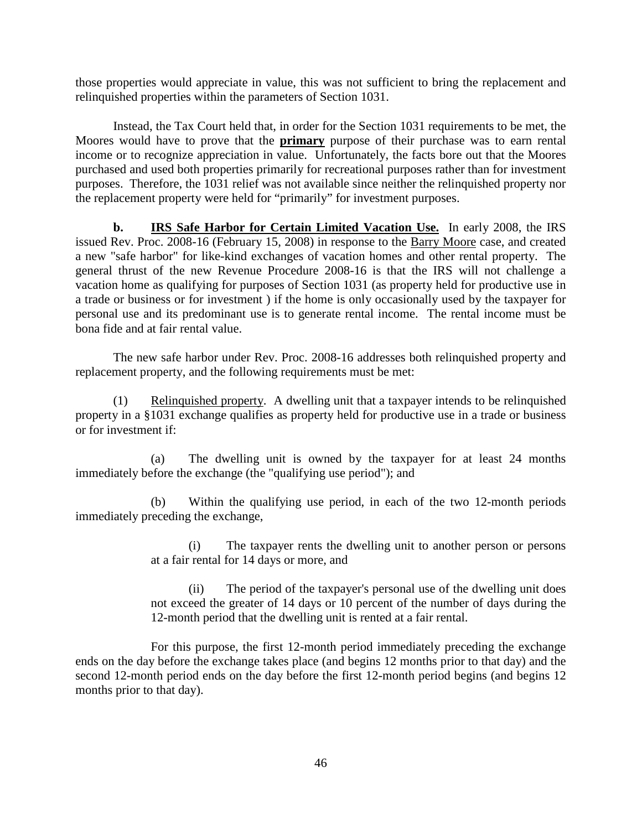those properties would appreciate in value, this was not sufficient to bring the replacement and relinquished properties within the parameters of Section 1031.

Instead, the Tax Court held that, in order for the Section 1031 requirements to be met, the Moores would have to prove that the **primary** purpose of their purchase was to earn rental income or to recognize appreciation in value. Unfortunately, the facts bore out that the Moores purchased and used both properties primarily for recreational purposes rather than for investment purposes. Therefore, the 1031 relief was not available since neither the relinquished property nor the replacement property were held for "primarily" for investment purposes.

**b. IRS Safe Harbor for Certain Limited Vacation Use.** In early 2008, the IRS issued Rev. Proc. 2008-16 (February 15, 2008) in response to the Barry Moore case, and created a new "safe harbor" for like-kind exchanges of vacation homes and other rental property. The general thrust of the new Revenue Procedure 2008-16 is that the IRS will not challenge a vacation home as qualifying for purposes of Section 1031 (as property held for productive use in a trade or business or for investment ) if the home is only occasionally used by the taxpayer for personal use and its predominant use is to generate rental income. The rental income must be bona fide and at fair rental value.

The new safe harbor under Rev. Proc. 2008-16 addresses both relinquished property and replacement property, and the following requirements must be met:

(1) Relinquished property. A dwelling unit that a taxpayer intends to be relinquished property in a §1031 exchange qualifies as property held for productive use in a trade or business or for investment if:

(a) The dwelling unit is owned by the taxpayer for at least 24 months immediately before the exchange (the "qualifying use period"); and

(b) Within the qualifying use period, in each of the two 12-month periods immediately preceding the exchange,

> (i) The taxpayer rents the dwelling unit to another person or persons at a fair rental for 14 days or more, and

> (ii) The period of the taxpayer's personal use of the dwelling unit does not exceed the greater of 14 days or 10 percent of the number of days during the 12-month period that the dwelling unit is rented at a fair rental.

For this purpose, the first 12-month period immediately preceding the exchange ends on the day before the exchange takes place (and begins 12 months prior to that day) and the second 12-month period ends on the day before the first 12-month period begins (and begins 12 months prior to that day).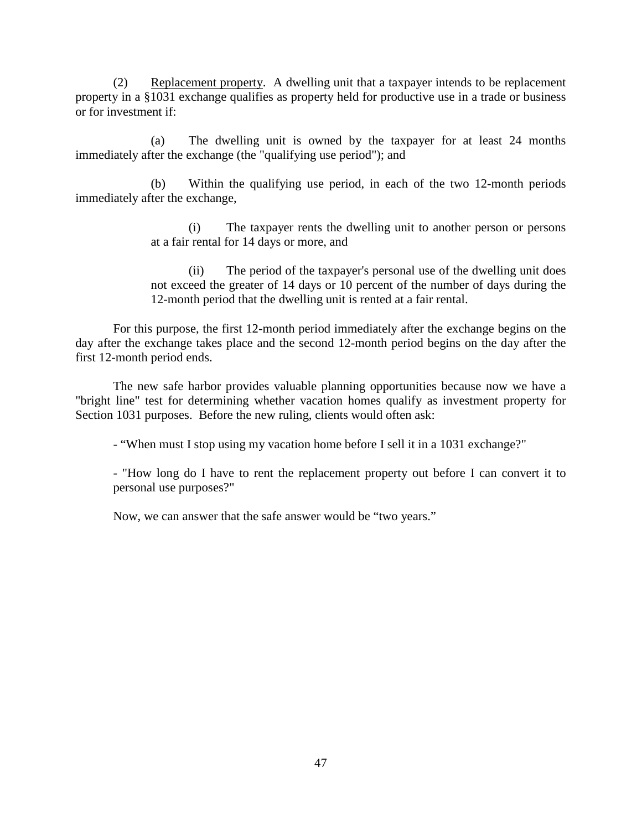(2) Replacement property. A dwelling unit that a taxpayer intends to be replacement property in a §1031 exchange qualifies as property held for productive use in a trade or business or for investment if:

(a) The dwelling unit is owned by the taxpayer for at least 24 months immediately after the exchange (the "qualifying use period"); and

(b) Within the qualifying use period, in each of the two 12-month periods immediately after the exchange,

> (i) The taxpayer rents the dwelling unit to another person or persons at a fair rental for 14 days or more, and

> (ii) The period of the taxpayer's personal use of the dwelling unit does not exceed the greater of 14 days or 10 percent of the number of days during the 12-month period that the dwelling unit is rented at a fair rental.

For this purpose, the first 12-month period immediately after the exchange begins on the day after the exchange takes place and the second 12-month period begins on the day after the first 12-month period ends.

The new safe harbor provides valuable planning opportunities because now we have a "bright line" test for determining whether vacation homes qualify as investment property for Section 1031 purposes. Before the new ruling, clients would often ask:

- "When must I stop using my vacation home before I sell it in a 1031 exchange?"

- "How long do I have to rent the replacement property out before I can convert it to personal use purposes?"

Now, we can answer that the safe answer would be "two years."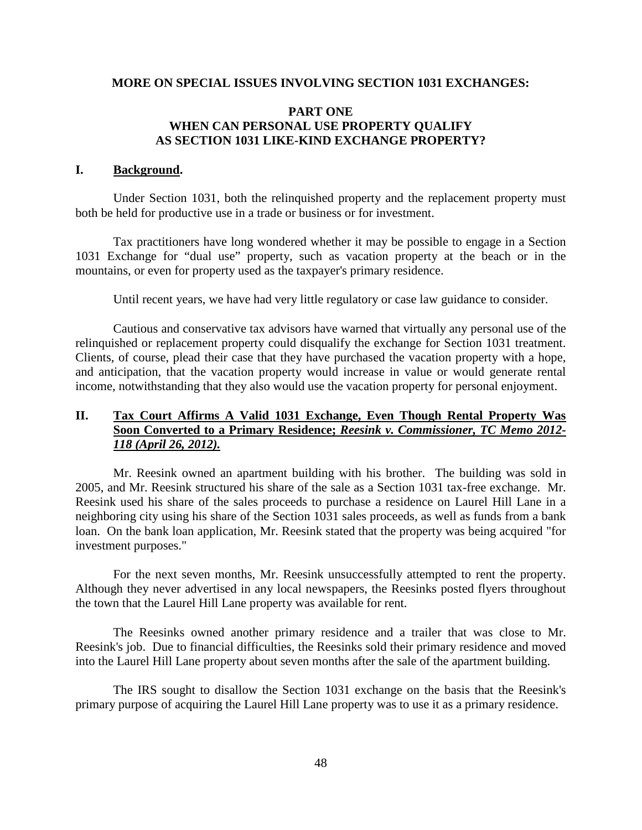#### **MORE ON SPECIAL ISSUES INVOLVING SECTION 1031 EXCHANGES:**

## **PART ONE WHEN CAN PERSONAL USE PROPERTY QUALIFY AS SECTION 1031 LIKE-KIND EXCHANGE PROPERTY?**

#### **I. Background.**

Under Section 1031, both the relinquished property and the replacement property must both be held for productive use in a trade or business or for investment.

Tax practitioners have long wondered whether it may be possible to engage in a Section 1031 Exchange for "dual use" property, such as vacation property at the beach or in the mountains, or even for property used as the taxpayer's primary residence.

Until recent years, we have had very little regulatory or case law guidance to consider.

Cautious and conservative tax advisors have warned that virtually any personal use of the relinquished or replacement property could disqualify the exchange for Section 1031 treatment. Clients, of course, plead their case that they have purchased the vacation property with a hope, and anticipation, that the vacation property would increase in value or would generate rental income, notwithstanding that they also would use the vacation property for personal enjoyment.

# **II. Tax Court Affirms A Valid 1031 Exchange, Even Though Rental Property Was Soon Converted to a Primary Residence;** *Reesink v. Commissioner, TC Memo 2012- 118 (April 26, 2012).*

Mr. Reesink owned an apartment building with his brother. The building was sold in 2005, and Mr. Reesink structured his share of the sale as a Section 1031 tax-free exchange. Mr. Reesink used his share of the sales proceeds to purchase a residence on Laurel Hill Lane in a neighboring city using his share of the Section 1031 sales proceeds, as well as funds from a bank loan. On the bank loan application, Mr. Reesink stated that the property was being acquired "for investment purposes."

For the next seven months, Mr. Reesink unsuccessfully attempted to rent the property. Although they never advertised in any local newspapers, the Reesinks posted flyers throughout the town that the Laurel Hill Lane property was available for rent.

The Reesinks owned another primary residence and a trailer that was close to Mr. Reesink's job. Due to financial difficulties, the Reesinks sold their primary residence and moved into the Laurel Hill Lane property about seven months after the sale of the apartment building.

The IRS sought to disallow the Section 1031 exchange on the basis that the Reesink's primary purpose of acquiring the Laurel Hill Lane property was to use it as a primary residence.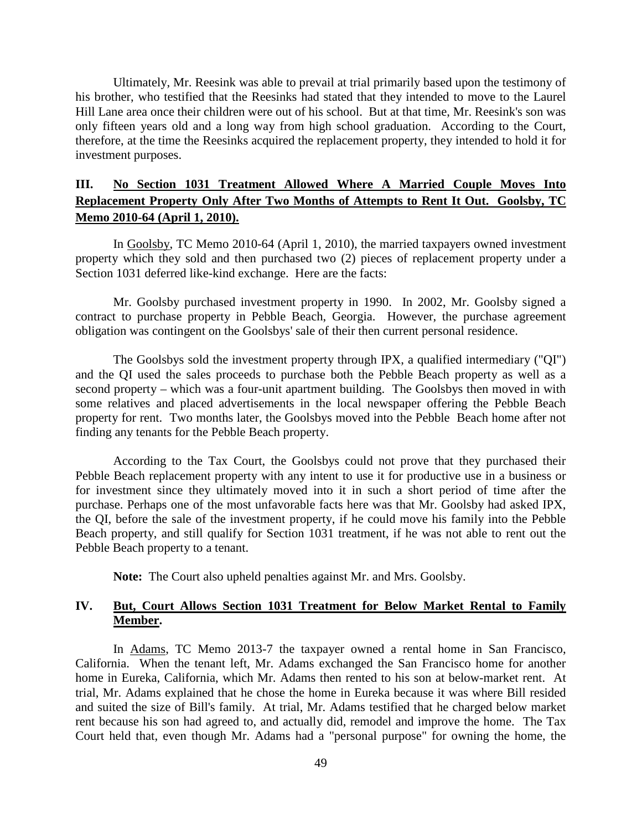Ultimately, Mr. Reesink was able to prevail at trial primarily based upon the testimony of his brother, who testified that the Reesinks had stated that they intended to move to the Laurel Hill Lane area once their children were out of his school. But at that time, Mr. Reesink's son was only fifteen years old and a long way from high school graduation. According to the Court, therefore, at the time the Reesinks acquired the replacement property, they intended to hold it for investment purposes.

# **III. No Section 1031 Treatment Allowed Where A Married Couple Moves Into Replacement Property Only After Two Months of Attempts to Rent It Out. Goolsby, TC Memo 2010-64 (April 1, 2010).**

In Goolsby, TC Memo 2010-64 (April 1, 2010), the married taxpayers owned investment property which they sold and then purchased two (2) pieces of replacement property under a Section 1031 deferred like-kind exchange. Here are the facts:

Mr. Goolsby purchased investment property in 1990. In 2002, Mr. Goolsby signed a contract to purchase property in Pebble Beach, Georgia. However, the purchase agreement obligation was contingent on the Goolsbys' sale of their then current personal residence.

The Goolsbys sold the investment property through IPX, a qualified intermediary ("QI") and the QI used the sales proceeds to purchase both the Pebble Beach property as well as a second property – which was a four-unit apartment building. The Goolsbys then moved in with some relatives and placed advertisements in the local newspaper offering the Pebble Beach property for rent. Two months later, the Goolsbys moved into the Pebble Beach home after not finding any tenants for the Pebble Beach property.

According to the Tax Court, the Goolsbys could not prove that they purchased their Pebble Beach replacement property with any intent to use it for productive use in a business or for investment since they ultimately moved into it in such a short period of time after the purchase. Perhaps one of the most unfavorable facts here was that Mr. Goolsby had asked IPX, the QI, before the sale of the investment property, if he could move his family into the Pebble Beach property, and still qualify for Section 1031 treatment, if he was not able to rent out the Pebble Beach property to a tenant.

**Note:** The Court also upheld penalties against Mr. and Mrs. Goolsby.

# **IV. But, Court Allows Section 1031 Treatment for Below Market Rental to Family Member.**

In Adams, TC Memo 2013-7 the taxpayer owned a rental home in San Francisco, California. When the tenant left, Mr. Adams exchanged the San Francisco home for another home in Eureka, California, which Mr. Adams then rented to his son at below-market rent. At trial, Mr. Adams explained that he chose the home in Eureka because it was where Bill resided and suited the size of Bill's family. At trial, Mr. Adams testified that he charged below market rent because his son had agreed to, and actually did, remodel and improve the home. The Tax Court held that, even though Mr. Adams had a "personal purpose" for owning the home, the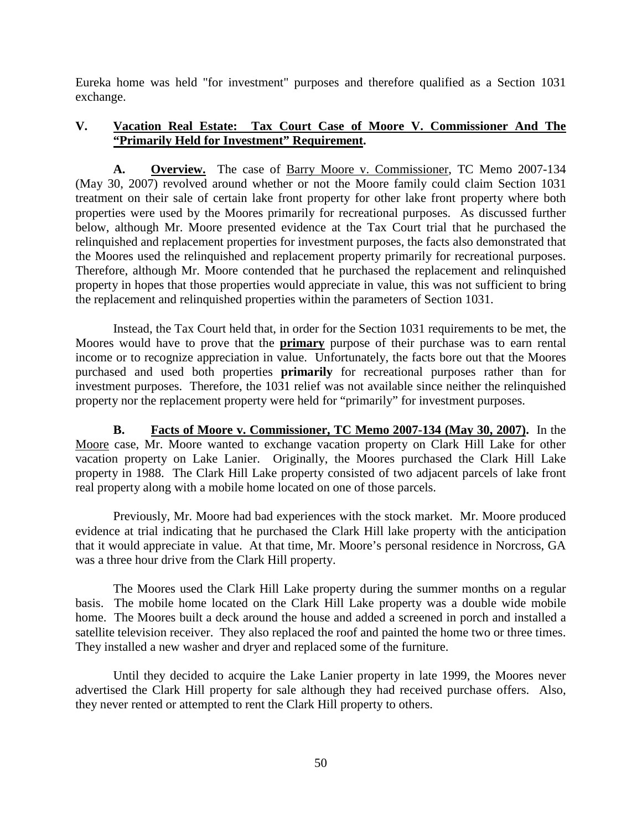Eureka home was held "for investment" purposes and therefore qualified as a Section 1031 exchange.

# **V. Vacation Real Estate: Tax Court Case of Moore V. Commissioner And The "Primarily Held for Investment" Requirement.**

**A. Overview.** The case of Barry Moore v. Commissioner, TC Memo 2007-134 (May 30, 2007) revolved around whether or not the Moore family could claim Section 1031 treatment on their sale of certain lake front property for other lake front property where both properties were used by the Moores primarily for recreational purposes. As discussed further below, although Mr. Moore presented evidence at the Tax Court trial that he purchased the relinquished and replacement properties for investment purposes, the facts also demonstrated that the Moores used the relinquished and replacement property primarily for recreational purposes. Therefore, although Mr. Moore contended that he purchased the replacement and relinquished property in hopes that those properties would appreciate in value, this was not sufficient to bring the replacement and relinquished properties within the parameters of Section 1031.

Instead, the Tax Court held that, in order for the Section 1031 requirements to be met, the Moores would have to prove that the **primary** purpose of their purchase was to earn rental income or to recognize appreciation in value. Unfortunately, the facts bore out that the Moores purchased and used both properties **primarily** for recreational purposes rather than for investment purposes. Therefore, the 1031 relief was not available since neither the relinquished property nor the replacement property were held for "primarily" for investment purposes.

**B. Facts of Moore v. Commissioner, TC Memo 2007-134 (May 30, 2007).** In the Moore case, Mr. Moore wanted to exchange vacation property on Clark Hill Lake for other vacation property on Lake Lanier. Originally, the Moores purchased the Clark Hill Lake property in 1988. The Clark Hill Lake property consisted of two adjacent parcels of lake front real property along with a mobile home located on one of those parcels.

Previously, Mr. Moore had bad experiences with the stock market. Mr. Moore produced evidence at trial indicating that he purchased the Clark Hill lake property with the anticipation that it would appreciate in value. At that time, Mr. Moore's personal residence in Norcross, GA was a three hour drive from the Clark Hill property.

The Moores used the Clark Hill Lake property during the summer months on a regular basis. The mobile home located on the Clark Hill Lake property was a double wide mobile home. The Moores built a deck around the house and added a screened in porch and installed a satellite television receiver. They also replaced the roof and painted the home two or three times. They installed a new washer and dryer and replaced some of the furniture.

Until they decided to acquire the Lake Lanier property in late 1999, the Moores never advertised the Clark Hill property for sale although they had received purchase offers. Also, they never rented or attempted to rent the Clark Hill property to others.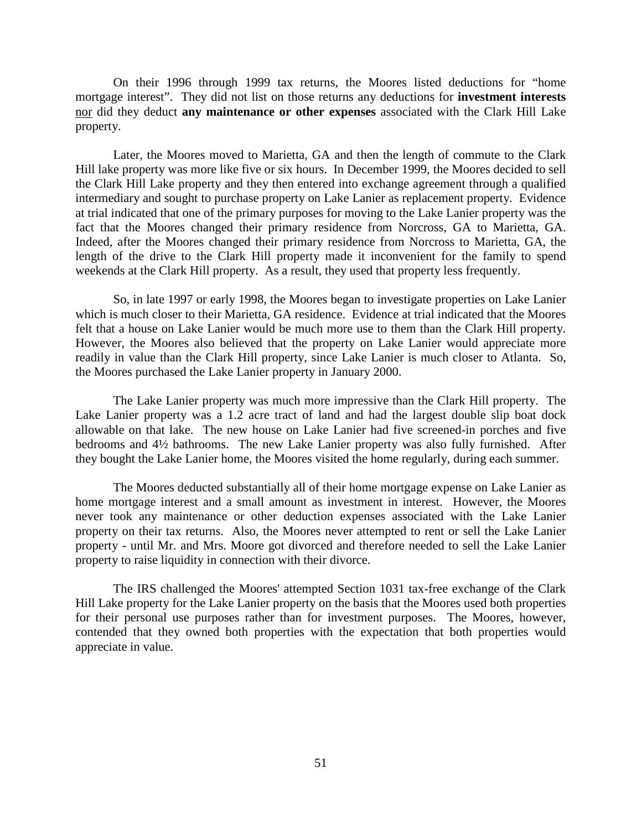On their 1996 through 1999 tax returns, the Moores listed deductions for "home mortgage interest". They did not list on those returns any deductions for **investment interests** nor did they deduct **any maintenance or other expenses** associated with the Clark Hill Lake property.

Later, the Moores moved to Marietta, GA and then the length of commute to the Clark Hill lake property was more like five or six hours. In December 1999, the Moores decided to sell the Clark Hill Lake property and they then entered into exchange agreement through a qualified intermediary and sought to purchase property on Lake Lanier as replacement property. Evidence at trial indicated that one of the primary purposes for moving to the Lake Lanier property was the fact that the Moores changed their primary residence from Norcross, GA to Marietta, GA. Indeed, after the Moores changed their primary residence from Norcross to Marietta, GA, the length of the drive to the Clark Hill property made it inconvenient for the family to spend weekends at the Clark Hill property. As a result, they used that property less frequently.

So, in late 1997 or early 1998, the Moores began to investigate properties on Lake Lanier which is much closer to their Marietta, GA residence. Evidence at trial indicated that the Moores felt that a house on Lake Lanier would be much more use to them than the Clark Hill property. However, the Moores also believed that the property on Lake Lanier would appreciate more readily in value than the Clark Hill property, since Lake Lanier is much closer to Atlanta. So, the Moores purchased the Lake Lanier property in January 2000.

The Lake Lanier property was much more impressive than the Clark Hill property. The Lake Lanier property was a 1.2 acre tract of land and had the largest double slip boat dock allowable on that lake. The new house on Lake Lanier had five screened-in porches and five bedrooms and 4½ bathrooms. The new Lake Lanier property was also fully furnished. After they bought the Lake Lanier home, the Moores visited the home regularly, during each summer.

The Moores deducted substantially all of their home mortgage expense on Lake Lanier as home mortgage interest and a small amount as investment in interest. However, the Moores never took any maintenance or other deduction expenses associated with the Lake Lanier property on their tax returns. Also, the Moores never attempted to rent or sell the Lake Lanier property - until Mr. and Mrs. Moore got divorced and therefore needed to sell the Lake Lanier property to raise liquidity in connection with their divorce.

The IRS challenged the Moores' attempted Section 1031 tax-free exchange of the Clark Hill Lake property for the Lake Lanier property on the basis that the Moores used both properties for their personal use purposes rather than for investment purposes. The Moores, however, contended that they owned both properties with the expectation that both properties would appreciate in value.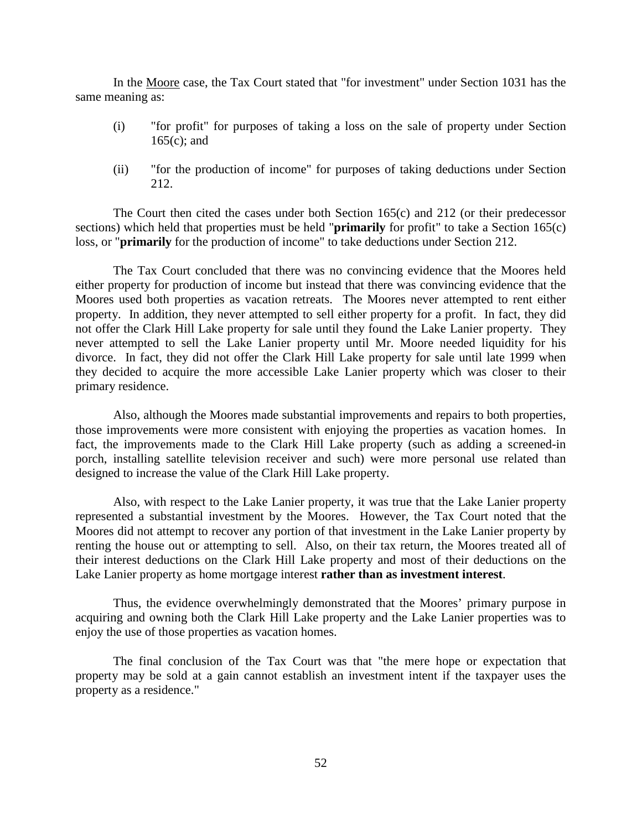In the Moore case, the Tax Court stated that "for investment" under Section 1031 has the same meaning as:

- (i) "for profit" for purposes of taking a loss on the sale of property under Section 165(c); and
- (ii) "for the production of income" for purposes of taking deductions under Section 212.

The Court then cited the cases under both Section 165(c) and 212 (or their predecessor sections) which held that properties must be held "**primarily** for profit" to take a Section 165(c) loss, or "**primarily** for the production of income" to take deductions under Section 212.

The Tax Court concluded that there was no convincing evidence that the Moores held either property for production of income but instead that there was convincing evidence that the Moores used both properties as vacation retreats. The Moores never attempted to rent either property. In addition, they never attempted to sell either property for a profit. In fact, they did not offer the Clark Hill Lake property for sale until they found the Lake Lanier property. They never attempted to sell the Lake Lanier property until Mr. Moore needed liquidity for his divorce. In fact, they did not offer the Clark Hill Lake property for sale until late 1999 when they decided to acquire the more accessible Lake Lanier property which was closer to their primary residence.

Also, although the Moores made substantial improvements and repairs to both properties, those improvements were more consistent with enjoying the properties as vacation homes. In fact, the improvements made to the Clark Hill Lake property (such as adding a screened-in porch, installing satellite television receiver and such) were more personal use related than designed to increase the value of the Clark Hill Lake property.

Also, with respect to the Lake Lanier property, it was true that the Lake Lanier property represented a substantial investment by the Moores. However, the Tax Court noted that the Moores did not attempt to recover any portion of that investment in the Lake Lanier property by renting the house out or attempting to sell. Also, on their tax return, the Moores treated all of their interest deductions on the Clark Hill Lake property and most of their deductions on the Lake Lanier property as home mortgage interest **rather than as investment interest**.

Thus, the evidence overwhelmingly demonstrated that the Moores' primary purpose in acquiring and owning both the Clark Hill Lake property and the Lake Lanier properties was to enjoy the use of those properties as vacation homes.

The final conclusion of the Tax Court was that "the mere hope or expectation that property may be sold at a gain cannot establish an investment intent if the taxpayer uses the property as a residence."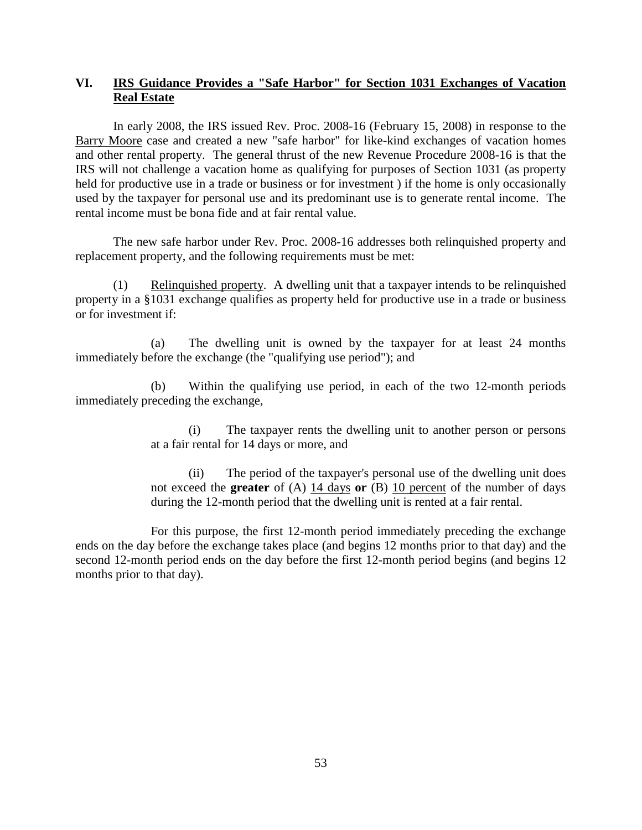# **VI. IRS Guidance Provides a "Safe Harbor" for Section 1031 Exchanges of Vacation Real Estate**

In early 2008, the IRS issued Rev. Proc. 2008-16 (February 15, 2008) in response to the Barry Moore case and created a new "safe harbor" for like-kind exchanges of vacation homes and other rental property. The general thrust of the new Revenue Procedure 2008-16 is that the IRS will not challenge a vacation home as qualifying for purposes of Section 1031 (as property held for productive use in a trade or business or for investment ) if the home is only occasionally used by the taxpayer for personal use and its predominant use is to generate rental income. The rental income must be bona fide and at fair rental value.

The new safe harbor under Rev. Proc. 2008-16 addresses both relinquished property and replacement property, and the following requirements must be met:

(1) Relinquished property. A dwelling unit that a taxpayer intends to be relinquished property in a §1031 exchange qualifies as property held for productive use in a trade or business or for investment if:

(a) The dwelling unit is owned by the taxpayer for at least 24 months immediately before the exchange (the "qualifying use period"); and

(b) Within the qualifying use period, in each of the two 12-month periods immediately preceding the exchange,

> (i) The taxpayer rents the dwelling unit to another person or persons at a fair rental for 14 days or more, and

> (ii) The period of the taxpayer's personal use of the dwelling unit does not exceed the **greater** of (A) 14 days **or** (B) 10 percent of the number of days during the 12-month period that the dwelling unit is rented at a fair rental.

For this purpose, the first 12-month period immediately preceding the exchange ends on the day before the exchange takes place (and begins 12 months prior to that day) and the second 12-month period ends on the day before the first 12-month period begins (and begins 12 months prior to that day).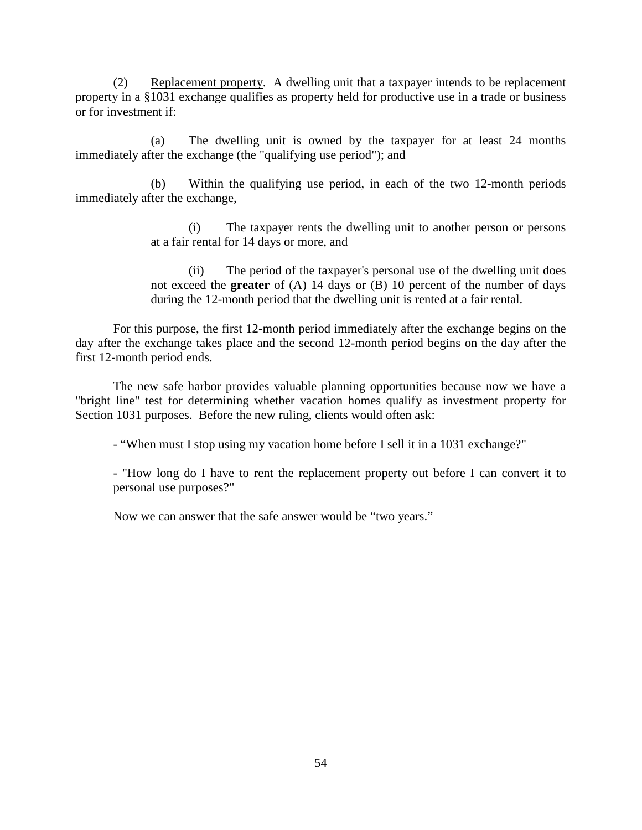(2) Replacement property. A dwelling unit that a taxpayer intends to be replacement property in a §1031 exchange qualifies as property held for productive use in a trade or business or for investment if:

(a) The dwelling unit is owned by the taxpayer for at least 24 months immediately after the exchange (the "qualifying use period"); and

(b) Within the qualifying use period, in each of the two 12-month periods immediately after the exchange,

> (i) The taxpayer rents the dwelling unit to another person or persons at a fair rental for 14 days or more, and

> (ii) The period of the taxpayer's personal use of the dwelling unit does not exceed the **greater** of (A) 14 days or (B) 10 percent of the number of days during the 12-month period that the dwelling unit is rented at a fair rental.

For this purpose, the first 12-month period immediately after the exchange begins on the day after the exchange takes place and the second 12-month period begins on the day after the first 12-month period ends.

The new safe harbor provides valuable planning opportunities because now we have a "bright line" test for determining whether vacation homes qualify as investment property for Section 1031 purposes. Before the new ruling, clients would often ask:

- "When must I stop using my vacation home before I sell it in a 1031 exchange?"

- "How long do I have to rent the replacement property out before I can convert it to personal use purposes?"

Now we can answer that the safe answer would be "two years."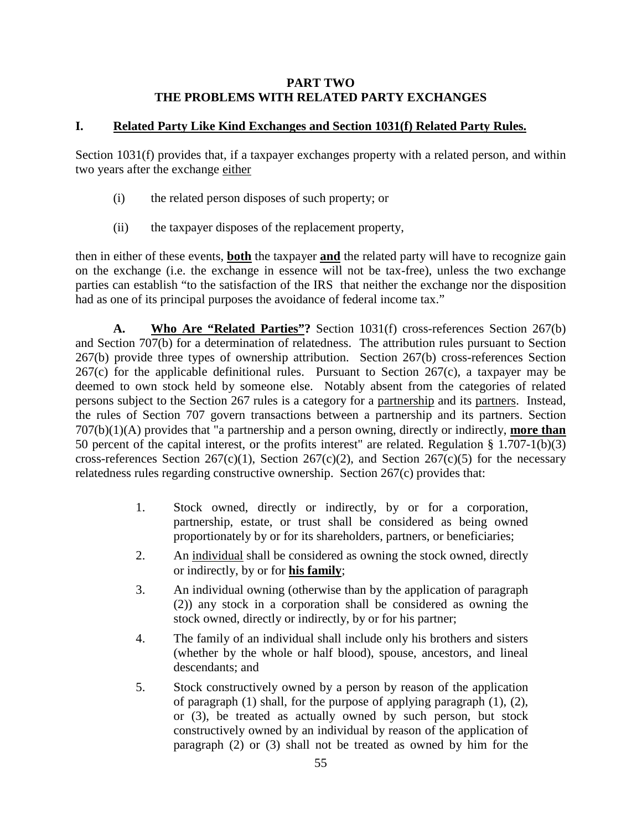# **PART TWO THE PROBLEMS WITH RELATED PARTY EXCHANGES**

# **I. Related Party Like Kind Exchanges and Section 1031(f) Related Party Rules.**

Section 1031(f) provides that, if a taxpayer exchanges property with a related person, and within two years after the exchange either

- (i) the related person disposes of such property; or
- (ii) the taxpayer disposes of the replacement property,

then in either of these events, **both** the taxpayer **and** the related party will have to recognize gain on the exchange (i.e. the exchange in essence will not be tax-free), unless the two exchange parties can establish "to the satisfaction of the IRS that neither the exchange nor the disposition had as one of its principal purposes the avoidance of federal income tax."

**A. Who Are "Related Parties"?** Section 1031(f) cross-references Section 267(b) and Section 707(b) for a determination of relatedness. The attribution rules pursuant to Section 267(b) provide three types of ownership attribution. Section 267(b) cross-references Section  $267(c)$  for the applicable definitional rules. Pursuant to Section  $267(c)$ , a taxpayer may be deemed to own stock held by someone else. Notably absent from the categories of related persons subject to the Section 267 rules is a category for a partnership and its partners. Instead, the rules of Section 707 govern transactions between a partnership and its partners. Section 707(b)(1)(A) provides that "a partnership and a person owning, directly or indirectly, **more than** 50 percent of the capital interest, or the profits interest" are related. Regulation  $\S 1.707-1(b)(3)$ cross-references Section 267(c)(1), Section 267(c)(2), and Section 267(c)(5) for the necessary relatedness rules regarding constructive ownership. Section 267(c) provides that:

- 1. Stock owned, directly or indirectly, by or for a corporation, partnership, estate, or trust shall be considered as being owned proportionately by or for its shareholders, partners, or beneficiaries;
- 2. An individual shall be considered as owning the stock owned, directly or indirectly, by or for **his family**;
- 3. An individual owning (otherwise than by the application of paragraph (2)) any stock in a corporation shall be considered as owning the stock owned, directly or indirectly, by or for his partner;
- 4. The family of an individual shall include only his brothers and sisters (whether by the whole or half blood), spouse, ancestors, and lineal descendants; and
- 5. Stock constructively owned by a person by reason of the application of paragraph (1) shall, for the purpose of applying paragraph (1), (2), or (3), be treated as actually owned by such person, but stock constructively owned by an individual by reason of the application of paragraph (2) or (3) shall not be treated as owned by him for the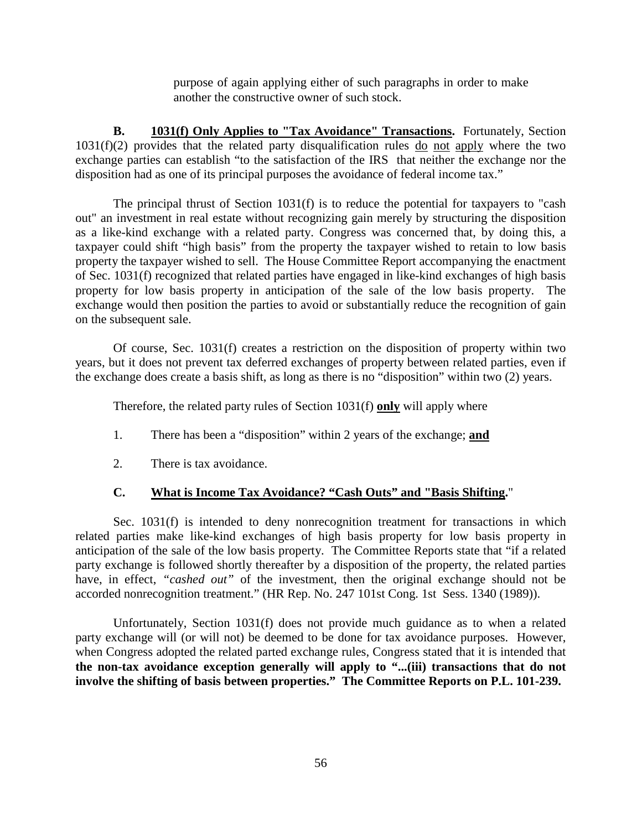purpose of again applying either of such paragraphs in order to make another the constructive owner of such stock.

**B. 1031(f) Only Applies to "Tax Avoidance" Transactions.** Fortunately, Section  $1031(f)(2)$  provides that the related party disqualification rules do not apply where the two exchange parties can establish "to the satisfaction of the IRS that neither the exchange nor the disposition had as one of its principal purposes the avoidance of federal income tax."

The principal thrust of Section 1031(f) is to reduce the potential for taxpayers to "cash out" an investment in real estate without recognizing gain merely by structuring the disposition as a like-kind exchange with a related party. Congress was concerned that, by doing this, a taxpayer could shift "high basis" from the property the taxpayer wished to retain to low basis property the taxpayer wished to sell. The House Committee Report accompanying the enactment of Sec. 1031(f) recognized that related parties have engaged in like-kind exchanges of high basis property for low basis property in anticipation of the sale of the low basis property. The exchange would then position the parties to avoid or substantially reduce the recognition of gain on the subsequent sale.

Of course, Sec. 1031(f) creates a restriction on the disposition of property within two years, but it does not prevent tax deferred exchanges of property between related parties, even if the exchange does create a basis shift, as long as there is no "disposition" within two (2) years.

Therefore, the related party rules of Section 1031(f) **only** will apply where

- 1. There has been a "disposition" within 2 years of the exchange; **and**
- 2. There is tax avoidance.

# **C. What is Income Tax Avoidance? "Cash Outs" and "Basis Shifting.**"

Sec. 1031(f) is intended to deny nonrecognition treatment for transactions in which related parties make like-kind exchanges of high basis property for low basis property in anticipation of the sale of the low basis property. The Committee Reports state that "if a related party exchange is followed shortly thereafter by a disposition of the property, the related parties have, in effect, "cashed out" of the investment, then the original exchange should not be accorded nonrecognition treatment." (HR Rep. No. 247 101st Cong. 1st Sess. 1340 (1989)).

Unfortunately, Section 1031(f) does not provide much guidance as to when a related party exchange will (or will not) be deemed to be done for tax avoidance purposes. However, when Congress adopted the related parted exchange rules, Congress stated that it is intended that **the non-tax avoidance exception generally will apply to "...(iii) transactions that do not involve the shifting of basis between properties." The Committee Reports on P.L. 101-239.**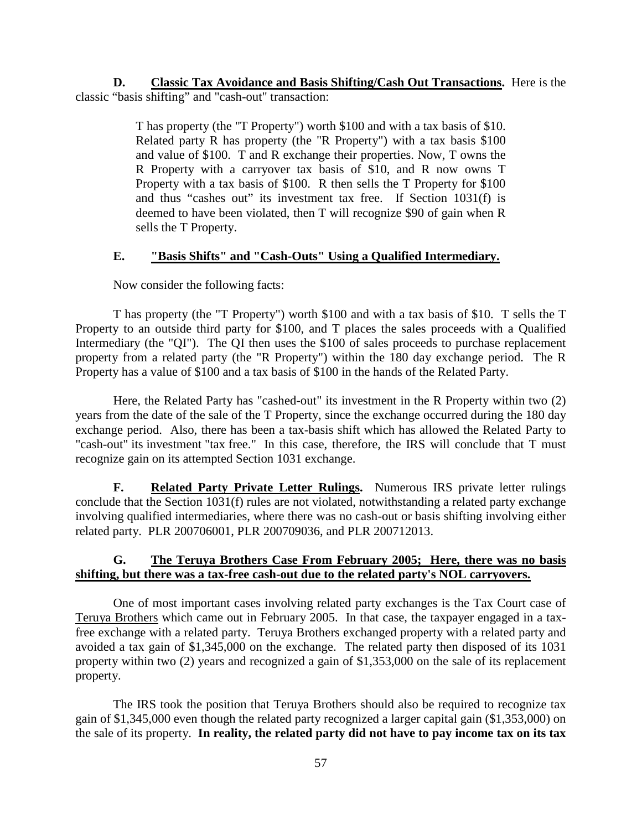**D. Classic Tax Avoidance and Basis Shifting/Cash Out Transactions.** Here is the classic "basis shifting" and "cash-out" transaction:

> T has property (the "T Property") worth \$100 and with a tax basis of \$10. Related party R has property (the "R Property") with a tax basis \$100 and value of \$100. T and R exchange their properties. Now, T owns the R Property with a carryover tax basis of \$10, and R now owns T Property with a tax basis of \$100. R then sells the T Property for \$100 and thus "cashes out" its investment tax free. If Section 1031(f) is deemed to have been violated, then T will recognize \$90 of gain when R sells the T Property.

# **E. "Basis Shifts" and "Cash-Outs" Using a Qualified Intermediary.**

Now consider the following facts:

T has property (the "T Property") worth \$100 and with a tax basis of \$10. T sells the T Property to an outside third party for \$100, and T places the sales proceeds with a Qualified Intermediary (the "QI"). The QI then uses the \$100 of sales proceeds to purchase replacement property from a related party (the "R Property") within the 180 day exchange period. The R Property has a value of \$100 and a tax basis of \$100 in the hands of the Related Party.

Here, the Related Party has "cashed-out" its investment in the R Property within two (2) years from the date of the sale of the T Property, since the exchange occurred during the 180 day exchange period. Also, there has been a tax-basis shift which has allowed the Related Party to "cash-out" its investment "tax free." In this case, therefore, the IRS will conclude that T must recognize gain on its attempted Section 1031 exchange.

**F.** Related Party Private Letter Rulings. Numerous IRS private letter rulings conclude that the Section 1031(f) rules are not violated, notwithstanding a related party exchange involving qualified intermediaries, where there was no cash-out or basis shifting involving either related party. PLR 200706001, PLR 200709036, and PLR 200712013.

# **G. The Teruya Brothers Case From February 2005; Here, there was no basis shifting, but there was a tax-free cash-out due to the related party's NOL carryovers.**

One of most important cases involving related party exchanges is the Tax Court case of Teruya Brothers which came out in February 2005. In that case, the taxpayer engaged in a taxfree exchange with a related party. Teruya Brothers exchanged property with a related party and avoided a tax gain of \$1,345,000 on the exchange. The related party then disposed of its 1031 property within two (2) years and recognized a gain of \$1,353,000 on the sale of its replacement property.

The IRS took the position that Teruya Brothers should also be required to recognize tax gain of \$1,345,000 even though the related party recognized a larger capital gain (\$1,353,000) on the sale of its property. **In reality, the related party did not have to pay income tax on its tax**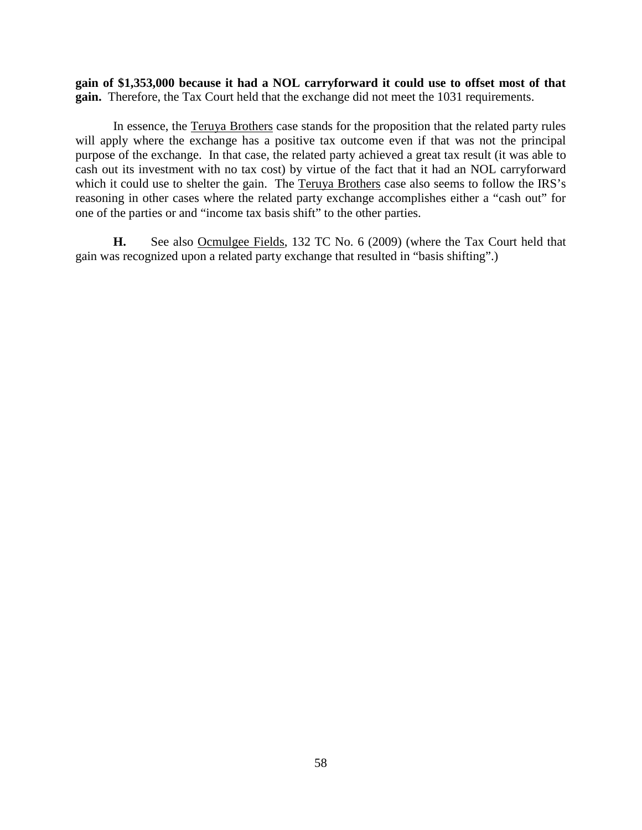**gain of \$1,353,000 because it had a NOL carryforward it could use to offset most of that gain.** Therefore, the Tax Court held that the exchange did not meet the 1031 requirements.

In essence, the Teruya Brothers case stands for the proposition that the related party rules will apply where the exchange has a positive tax outcome even if that was not the principal purpose of the exchange. In that case, the related party achieved a great tax result (it was able to cash out its investment with no tax cost) by virtue of the fact that it had an NOL carryforward which it could use to shelter the gain. The Teruya Brothers case also seems to follow the IRS's reasoning in other cases where the related party exchange accomplishes either a "cash out" for one of the parties or and "income tax basis shift" to the other parties.

**H.** See also Ocmulgee Fields, 132 TC No. 6 (2009) (where the Tax Court held that gain was recognized upon a related party exchange that resulted in "basis shifting".)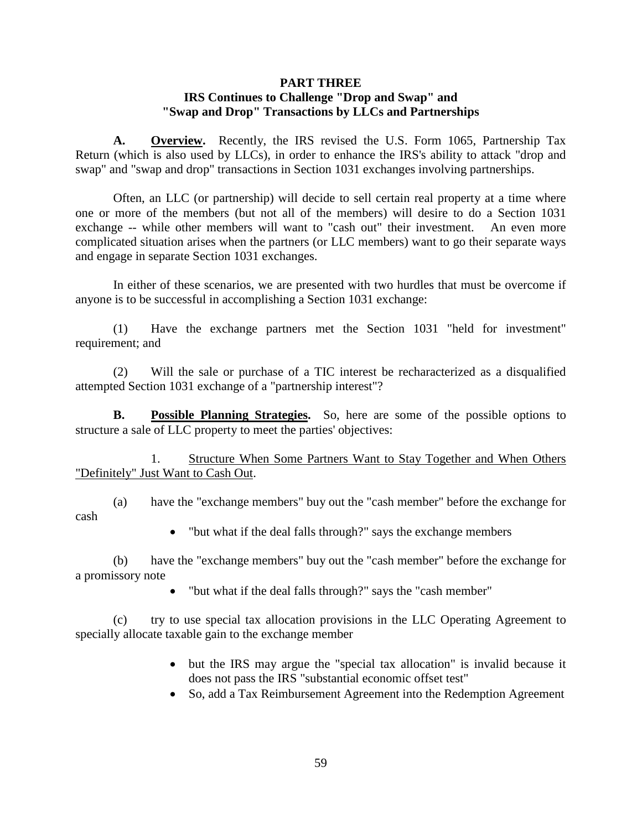# **PART THREE IRS Continues to Challenge "Drop and Swap" and "Swap and Drop" Transactions by LLCs and Partnerships**

**A. Overview.** Recently, the IRS revised the U.S. Form 1065, Partnership Tax Return (which is also used by LLCs), in order to enhance the IRS's ability to attack "drop and swap" and "swap and drop" transactions in Section 1031 exchanges involving partnerships.

Often, an LLC (or partnership) will decide to sell certain real property at a time where one or more of the members (but not all of the members) will desire to do a Section 1031 exchange -- while other members will want to "cash out" their investment. An even more complicated situation arises when the partners (or LLC members) want to go their separate ways and engage in separate Section 1031 exchanges.

In either of these scenarios, we are presented with two hurdles that must be overcome if anyone is to be successful in accomplishing a Section 1031 exchange:

(1) Have the exchange partners met the Section 1031 "held for investment" requirement; and

(2) Will the sale or purchase of a TIC interest be recharacterized as a disqualified attempted Section 1031 exchange of a "partnership interest"?

**B. Possible Planning Strategies.** So, here are some of the possible options to structure a sale of LLC property to meet the parties' objectives:

1. Structure When Some Partners Want to Stay Together and When Others "Definitely" Just Want to Cash Out.

(a) have the "exchange members" buy out the "cash member" before the exchange for cash

• "but what if the deal falls through?" says the exchange members

(b) have the "exchange members" buy out the "cash member" before the exchange for a promissory note

• "but what if the deal falls through?" says the "cash member"

(c) try to use special tax allocation provisions in the LLC Operating Agreement to specially allocate taxable gain to the exchange member

- but the IRS may argue the "special tax allocation" is invalid because it does not pass the IRS "substantial economic offset test"
- So, add a Tax Reimbursement Agreement into the Redemption Agreement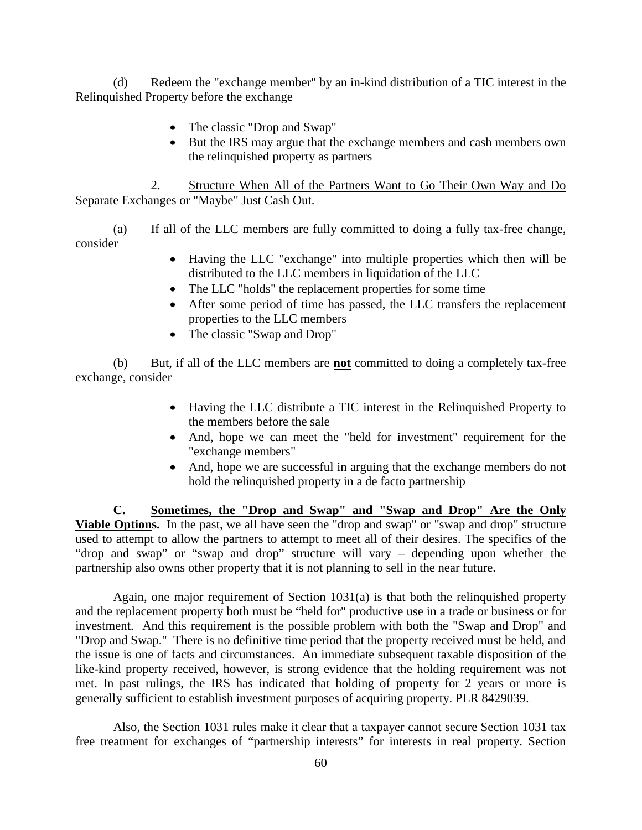(d) Redeem the "exchange member" by an in-kind distribution of a TIC interest in the Relinquished Property before the exchange

- The classic "Drop and Swap"
- But the IRS may argue that the exchange members and cash members own the relinquished property as partners

2. Structure When All of the Partners Want to Go Their Own Way and Do Separate Exchanges or "Maybe" Just Cash Out.

(a) If all of the LLC members are fully committed to doing a fully tax-free change, consider

- Having the LLC "exchange" into multiple properties which then will be distributed to the LLC members in liquidation of the LLC
- The LLC "holds" the replacement properties for some time
- After some period of time has passed, the LLC transfers the replacement properties to the LLC members
- The classic "Swap and Drop"

(b) But, if all of the LLC members are **not** committed to doing a completely tax-free exchange, consider

- Having the LLC distribute a TIC interest in the Relinquished Property to the members before the sale
- And, hope we can meet the "held for investment" requirement for the "exchange members"
- And, hope we are successful in arguing that the exchange members do not hold the relinquished property in a de facto partnership

**C. Sometimes, the "Drop and Swap" and "Swap and Drop" Are the Only Viable Options.** In the past, we all have seen the "drop and swap" or "swap and drop" structure used to attempt to allow the partners to attempt to meet all of their desires. The specifics of the "drop and swap" or "swap and drop" structure will vary – depending upon whether the partnership also owns other property that it is not planning to sell in the near future.

Again, one major requirement of Section 1031(a) is that both the relinquished property and the replacement property both must be "held for" productive use in a trade or business or for investment. And this requirement is the possible problem with both the "Swap and Drop" and "Drop and Swap." There is no definitive time period that the property received must be held, and the issue is one of facts and circumstances. An immediate subsequent taxable disposition of the like-kind property received, however, is strong evidence that the holding requirement was not met. In past rulings, the IRS has indicated that holding of property for 2 years or more is generally sufficient to establish investment purposes of acquiring property. PLR 8429039.

Also, the Section 1031 rules make it clear that a taxpayer cannot secure Section 1031 tax free treatment for exchanges of "partnership interests" for interests in real property. Section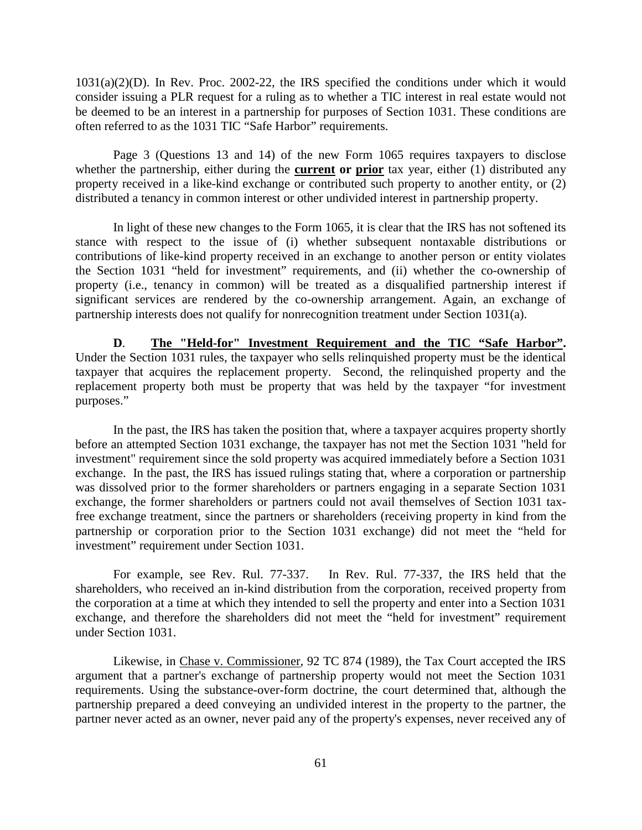1031(a)(2)(D). In Rev. Proc. 2002-22, the IRS specified the conditions under which it would consider issuing a PLR request for a ruling as to whether a TIC interest in real estate would not be deemed to be an interest in a partnership for purposes of Section 1031. These conditions are often referred to as the 1031 TIC "Safe Harbor" requirements.

Page 3 (Questions 13 and 14) of the new Form 1065 requires taxpayers to disclose whether the partnership, either during the **current or prior** tax year, either (1) distributed any property received in a like-kind exchange or contributed such property to another entity, or (2) distributed a tenancy in common interest or other undivided interest in partnership property.

In light of these new changes to the Form 1065, it is clear that the IRS has not softened its stance with respect to the issue of (i) whether subsequent nontaxable distributions or contributions of like-kind property received in an exchange to another person or entity violates the Section 1031 "held for investment" requirements, and (ii) whether the co-ownership of property (i.e., tenancy in common) will be treated as a disqualified partnership interest if significant services are rendered by the co-ownership arrangement. Again, an exchange of partnership interests does not qualify for nonrecognition treatment under Section 1031(a).

**D**. **The "Held-for" Investment Requirement and the TIC "Safe Harbor".**  Under the Section 1031 rules, the taxpayer who sells relinquished property must be the identical taxpayer that acquires the replacement property. Second, the relinquished property and the replacement property both must be property that was held by the taxpayer "for investment purposes."

In the past, the IRS has taken the position that, where a taxpayer acquires property shortly before an attempted Section 1031 exchange, the taxpayer has not met the Section 1031 "held for investment" requirement since the sold property was acquired immediately before a Section 1031 exchange. In the past, the IRS has issued rulings stating that, where a corporation or partnership was dissolved prior to the former shareholders or partners engaging in a separate Section 1031 exchange, the former shareholders or partners could not avail themselves of Section 1031 taxfree exchange treatment, since the partners or shareholders (receiving property in kind from the partnership or corporation prior to the Section 1031 exchange) did not meet the "held for investment" requirement under Section 1031.

For example, see Rev. Rul. 77-337. In Rev. Rul. 77-337, the IRS held that the shareholders, who received an in-kind distribution from the corporation, received property from the corporation at a time at which they intended to sell the property and enter into a Section 1031 exchange, and therefore the shareholders did not meet the "held for investment" requirement under Section 1031.

Likewise, in Chase v. Commissioner, 92 TC 874 (1989), the Tax Court accepted the IRS argument that a partner's exchange of partnership property would not meet the Section 1031 requirements. Using the substance-over-form doctrine, the court determined that, although the partnership prepared a deed conveying an undivided interest in the property to the partner, the partner never acted as an owner, never paid any of the property's expenses, never received any of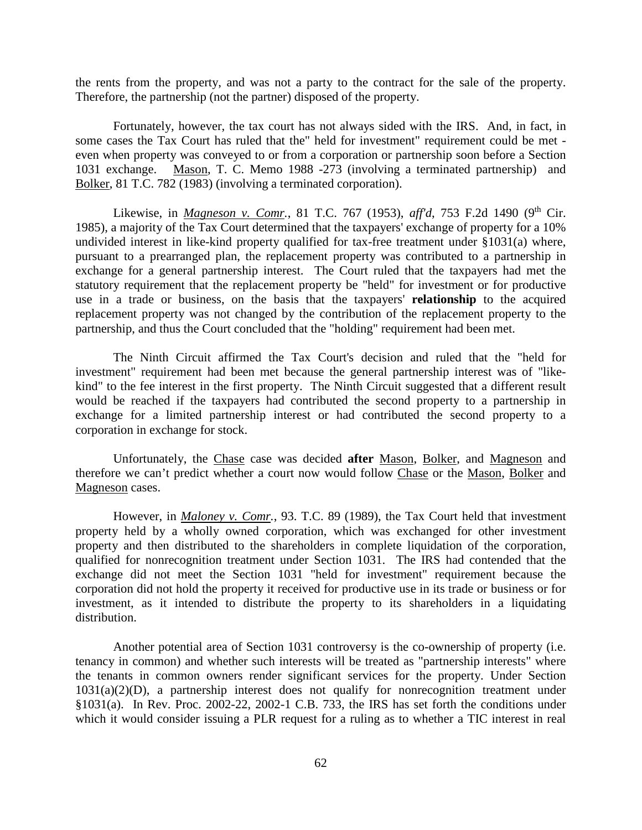the rents from the property, and was not a party to the contract for the sale of the property. Therefore, the partnership (not the partner) disposed of the property.

Fortunately, however, the tax court has not always sided with the IRS. And, in fact, in some cases the Tax Court has ruled that the" held for investment" requirement could be met even when property was conveyed to or from a corporation or partnership soon before a Section 1031 exchange. Mason, T. C. Memo 1988 -273 (involving a terminated partnership) and Bolker, 81 T.C. 782 (1983) (involving a terminated corporation).

Likewise, in *Magneson v. Comr.*, 81 T.C. 767 (1953), *aff'd*, 753 F.2d 1490 (9<sup>th</sup> Cir. 1985), a majority of the Tax Court determined that the taxpayers' exchange of property for a 10% undivided interest in like-kind property qualified for tax-free treatment under §1031(a) where, pursuant to a prearranged plan, the replacement property was contributed to a partnership in exchange for a general partnership interest. The Court ruled that the taxpayers had met the statutory requirement that the replacement property be "held" for investment or for productive use in a trade or business, on the basis that the taxpayers' **relationship** to the acquired replacement property was not changed by the contribution of the replacement property to the partnership, and thus the Court concluded that the "holding" requirement had been met.

The Ninth Circuit affirmed the Tax Court's decision and ruled that the "held for investment" requirement had been met because the general partnership interest was of "likekind" to the fee interest in the first property. The Ninth Circuit suggested that a different result would be reached if the taxpayers had contributed the second property to a partnership in exchange for a limited partnership interest or had contributed the second property to a corporation in exchange for stock.

Unfortunately, the Chase case was decided **after** Mason, Bolker, and Magneson and therefore we can't predict whether a court now would follow Chase or the Mason, Bolker and Magneson cases.

However, in *Maloney v. Comr.*, 93. T.C. 89 (1989), the Tax Court held that investment property held by a wholly owned corporation, which was exchanged for other investment property and then distributed to the shareholders in complete liquidation of the corporation, qualified for nonrecognition treatment under Section 1031. The IRS had contended that the exchange did not meet the Section 1031 "held for investment" requirement because the corporation did not hold the property it received for productive use in its trade or business or for investment, as it intended to distribute the property to its shareholders in a liquidating distribution.

Another potential area of Section 1031 controversy is the co-ownership of property (i.e. tenancy in common) and whether such interests will be treated as "partnership interests" where the tenants in common owners render significant services for the property. Under Section 1031(a)(2)(D), a partnership interest does not qualify for nonrecognition treatment under §1031(a). In Rev. Proc. 2002-22, 2002-1 C.B. 733, the IRS has set forth the conditions under which it would consider issuing a PLR request for a ruling as to whether a TIC interest in real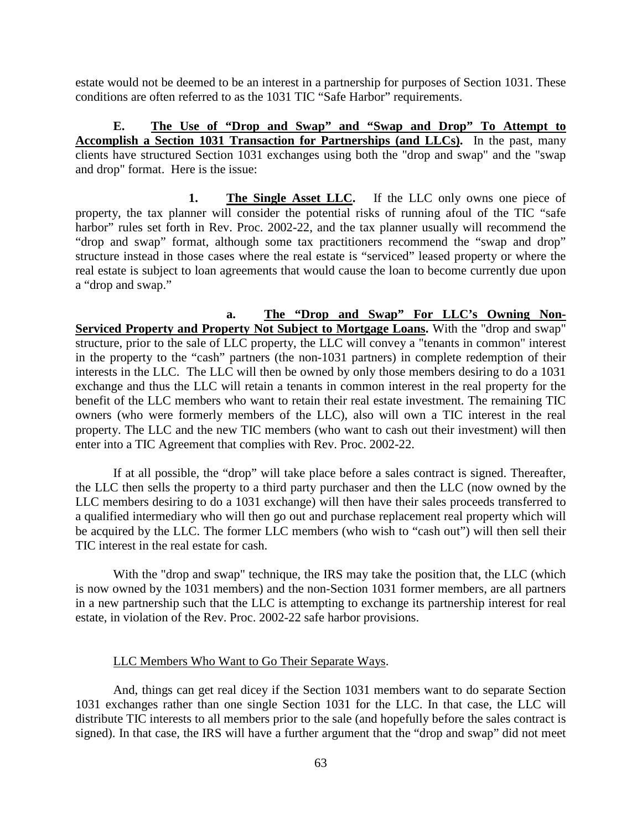estate would not be deemed to be an interest in a partnership for purposes of Section 1031. These conditions are often referred to as the 1031 TIC "Safe Harbor" requirements.

**E. The Use of "Drop and Swap" and "Swap and Drop" To Attempt to Accomplish a Section 1031 Transaction for Partnerships (and LLCs).** In the past, many clients have structured Section 1031 exchanges using both the "drop and swap" and the "swap and drop" format. Here is the issue:

**1.** The Single Asset LLC. If the LLC only owns one piece of property, the tax planner will consider the potential risks of running afoul of the TIC "safe harbor" rules set forth in Rev. Proc. 2002-22, and the tax planner usually will recommend the "drop and swap" format, although some tax practitioners recommend the "swap and drop" structure instead in those cases where the real estate is "serviced" leased property or where the real estate is subject to loan agreements that would cause the loan to become currently due upon a "drop and swap."

**a. The "Drop and Swap" For LLC's Owning Non-Serviced Property and Property Not Subject to Mortgage Loans.** With the "drop and swap" structure, prior to the sale of LLC property, the LLC will convey a "tenants in common" interest in the property to the "cash" partners (the non-1031 partners) in complete redemption of their interests in the LLC. The LLC will then be owned by only those members desiring to do a 1031 exchange and thus the LLC will retain a tenants in common interest in the real property for the benefit of the LLC members who want to retain their real estate investment. The remaining TIC owners (who were formerly members of the LLC), also will own a TIC interest in the real property. The LLC and the new TIC members (who want to cash out their investment) will then enter into a TIC Agreement that complies with Rev. Proc. 2002-22.

If at all possible, the "drop" will take place before a sales contract is signed. Thereafter, the LLC then sells the property to a third party purchaser and then the LLC (now owned by the LLC members desiring to do a 1031 exchange) will then have their sales proceeds transferred to a qualified intermediary who will then go out and purchase replacement real property which will be acquired by the LLC. The former LLC members (who wish to "cash out") will then sell their TIC interest in the real estate for cash.

With the "drop and swap" technique, the IRS may take the position that, the LLC (which is now owned by the 1031 members) and the non-Section 1031 former members, are all partners in a new partnership such that the LLC is attempting to exchange its partnership interest for real estate, in violation of the Rev. Proc. 2002-22 safe harbor provisions.

#### LLC Members Who Want to Go Their Separate Ways.

And, things can get real dicey if the Section 1031 members want to do separate Section 1031 exchanges rather than one single Section 1031 for the LLC. In that case, the LLC will distribute TIC interests to all members prior to the sale (and hopefully before the sales contract is signed). In that case, the IRS will have a further argument that the "drop and swap" did not meet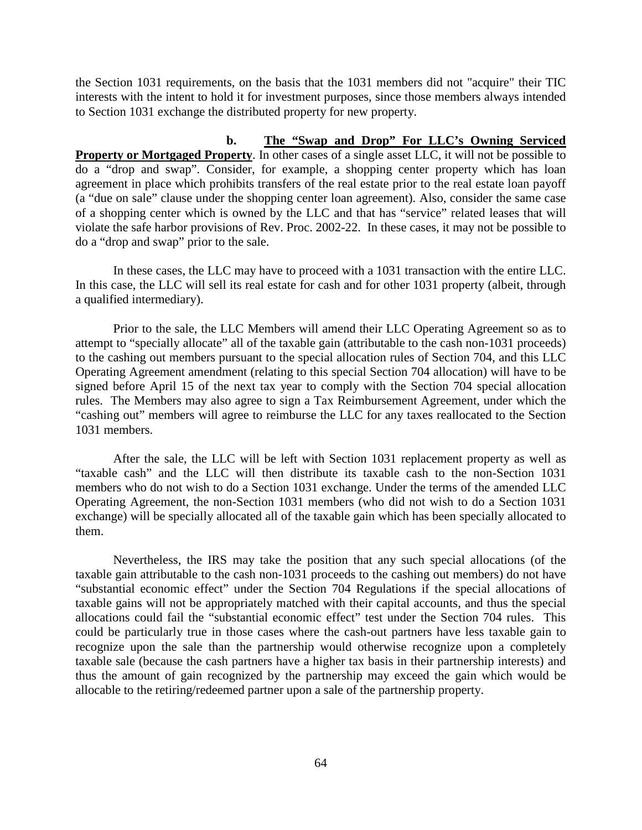the Section 1031 requirements, on the basis that the 1031 members did not "acquire" their TIC interests with the intent to hold it for investment purposes, since those members always intended to Section 1031 exchange the distributed property for new property.

**b. The "Swap and Drop" For LLC's Owning Serviced Property or Mortgaged Property.** In other cases of a single asset LLC, it will not be possible to do a "drop and swap". Consider, for example, a shopping center property which has loan agreement in place which prohibits transfers of the real estate prior to the real estate loan payoff (a "due on sale" clause under the shopping center loan agreement). Also, consider the same case of a shopping center which is owned by the LLC and that has "service" related leases that will violate the safe harbor provisions of Rev. Proc. 2002-22. In these cases, it may not be possible to do a "drop and swap" prior to the sale.

In these cases, the LLC may have to proceed with a 1031 transaction with the entire LLC. In this case, the LLC will sell its real estate for cash and for other 1031 property (albeit, through a qualified intermediary).

Prior to the sale, the LLC Members will amend their LLC Operating Agreement so as to attempt to "specially allocate" all of the taxable gain (attributable to the cash non-1031 proceeds) to the cashing out members pursuant to the special allocation rules of Section 704, and this LLC Operating Agreement amendment (relating to this special Section 704 allocation) will have to be signed before April 15 of the next tax year to comply with the Section 704 special allocation rules. The Members may also agree to sign a Tax Reimbursement Agreement, under which the "cashing out" members will agree to reimburse the LLC for any taxes reallocated to the Section 1031 members.

After the sale, the LLC will be left with Section 1031 replacement property as well as "taxable cash" and the LLC will then distribute its taxable cash to the non-Section 1031 members who do not wish to do a Section 1031 exchange. Under the terms of the amended LLC Operating Agreement, the non-Section 1031 members (who did not wish to do a Section 1031 exchange) will be specially allocated all of the taxable gain which has been specially allocated to them.

Nevertheless, the IRS may take the position that any such special allocations (of the taxable gain attributable to the cash non-1031 proceeds to the cashing out members) do not have "substantial economic effect" under the Section 704 Regulations if the special allocations of taxable gains will not be appropriately matched with their capital accounts, and thus the special allocations could fail the "substantial economic effect" test under the Section 704 rules. This could be particularly true in those cases where the cash-out partners have less taxable gain to recognize upon the sale than the partnership would otherwise recognize upon a completely taxable sale (because the cash partners have a higher tax basis in their partnership interests) and thus the amount of gain recognized by the partnership may exceed the gain which would be allocable to the retiring/redeemed partner upon a sale of the partnership property.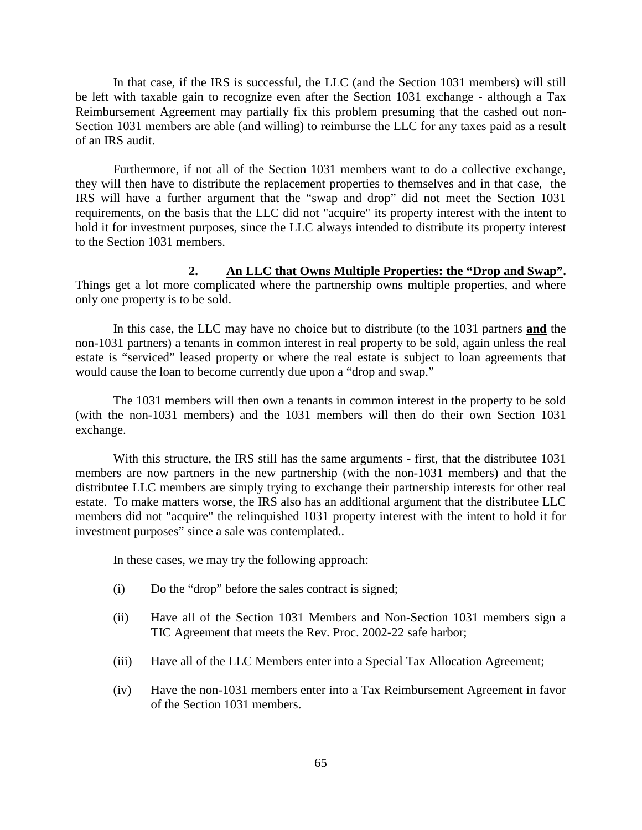In that case, if the IRS is successful, the LLC (and the Section 1031 members) will still be left with taxable gain to recognize even after the Section 1031 exchange - although a Tax Reimbursement Agreement may partially fix this problem presuming that the cashed out non-Section 1031 members are able (and willing) to reimburse the LLC for any taxes paid as a result of an IRS audit.

Furthermore, if not all of the Section 1031 members want to do a collective exchange, they will then have to distribute the replacement properties to themselves and in that case, the IRS will have a further argument that the "swap and drop" did not meet the Section 1031 requirements, on the basis that the LLC did not "acquire" its property interest with the intent to hold it for investment purposes, since the LLC always intended to distribute its property interest to the Section 1031 members.

**2. An LLC that Owns Multiple Properties: the "Drop and Swap".**

Things get a lot more complicated where the partnership owns multiple properties, and where only one property is to be sold.

In this case, the LLC may have no choice but to distribute (to the 1031 partners **and** the non-1031 partners) a tenants in common interest in real property to be sold, again unless the real estate is "serviced" leased property or where the real estate is subject to loan agreements that would cause the loan to become currently due upon a "drop and swap."

The 1031 members will then own a tenants in common interest in the property to be sold (with the non-1031 members) and the 1031 members will then do their own Section 1031 exchange.

With this structure, the IRS still has the same arguments - first, that the distributee 1031 members are now partners in the new partnership (with the non-1031 members) and that the distributee LLC members are simply trying to exchange their partnership interests for other real estate. To make matters worse, the IRS also has an additional argument that the distributee LLC members did not "acquire" the relinquished 1031 property interest with the intent to hold it for investment purposes" since a sale was contemplated..

In these cases, we may try the following approach:

- (i) Do the "drop" before the sales contract is signed;
- (ii) Have all of the Section 1031 Members and Non-Section 1031 members sign a TIC Agreement that meets the Rev. Proc. 2002-22 safe harbor;
- (iii) Have all of the LLC Members enter into a Special Tax Allocation Agreement;
- (iv) Have the non-1031 members enter into a Tax Reimbursement Agreement in favor of the Section 1031 members.